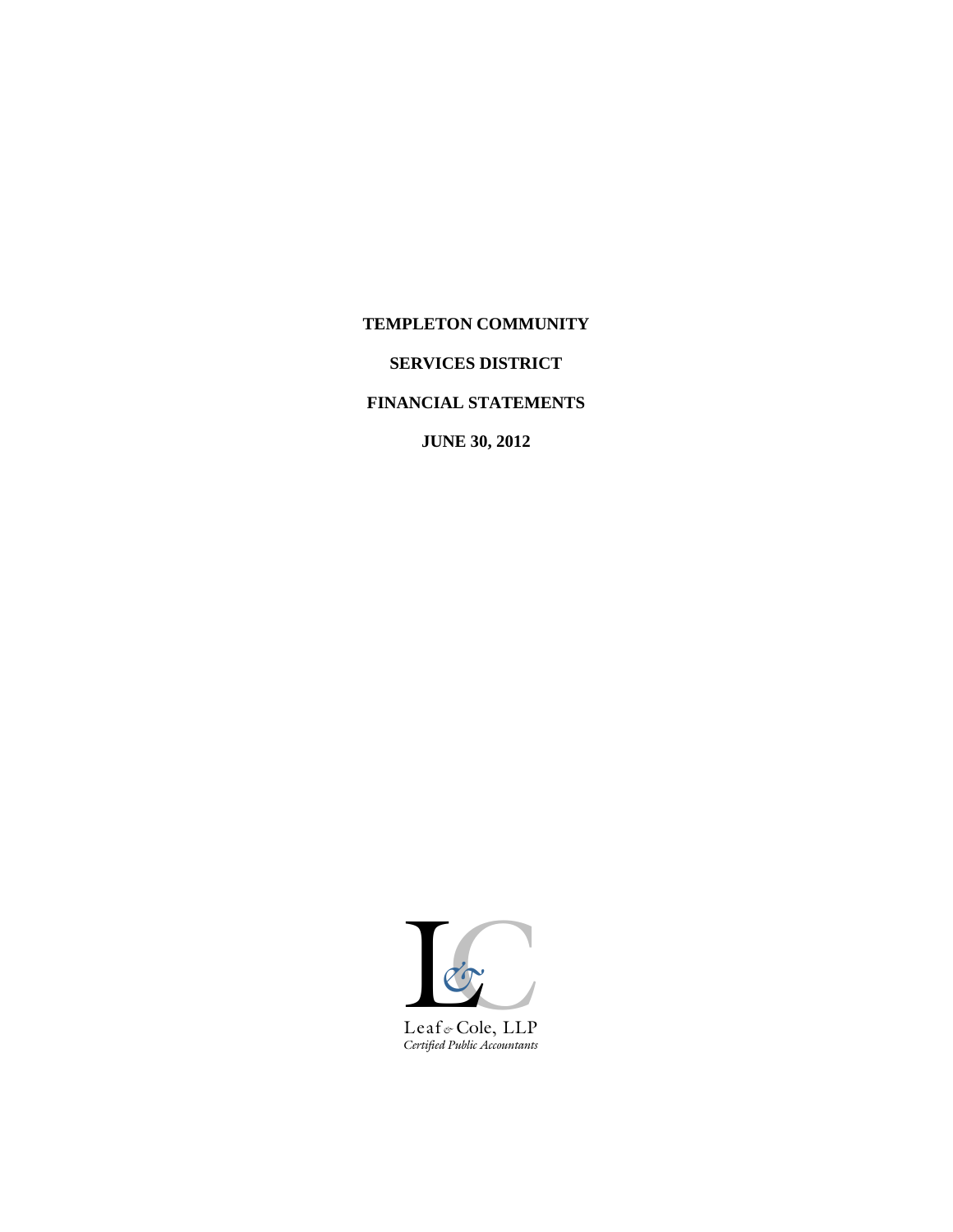## **TEMPLETON COMMUNITY**

# **SERVICES DISTRICT**

## **FINANCIAL STATEMENTS**

**JUNE 30, 2012**

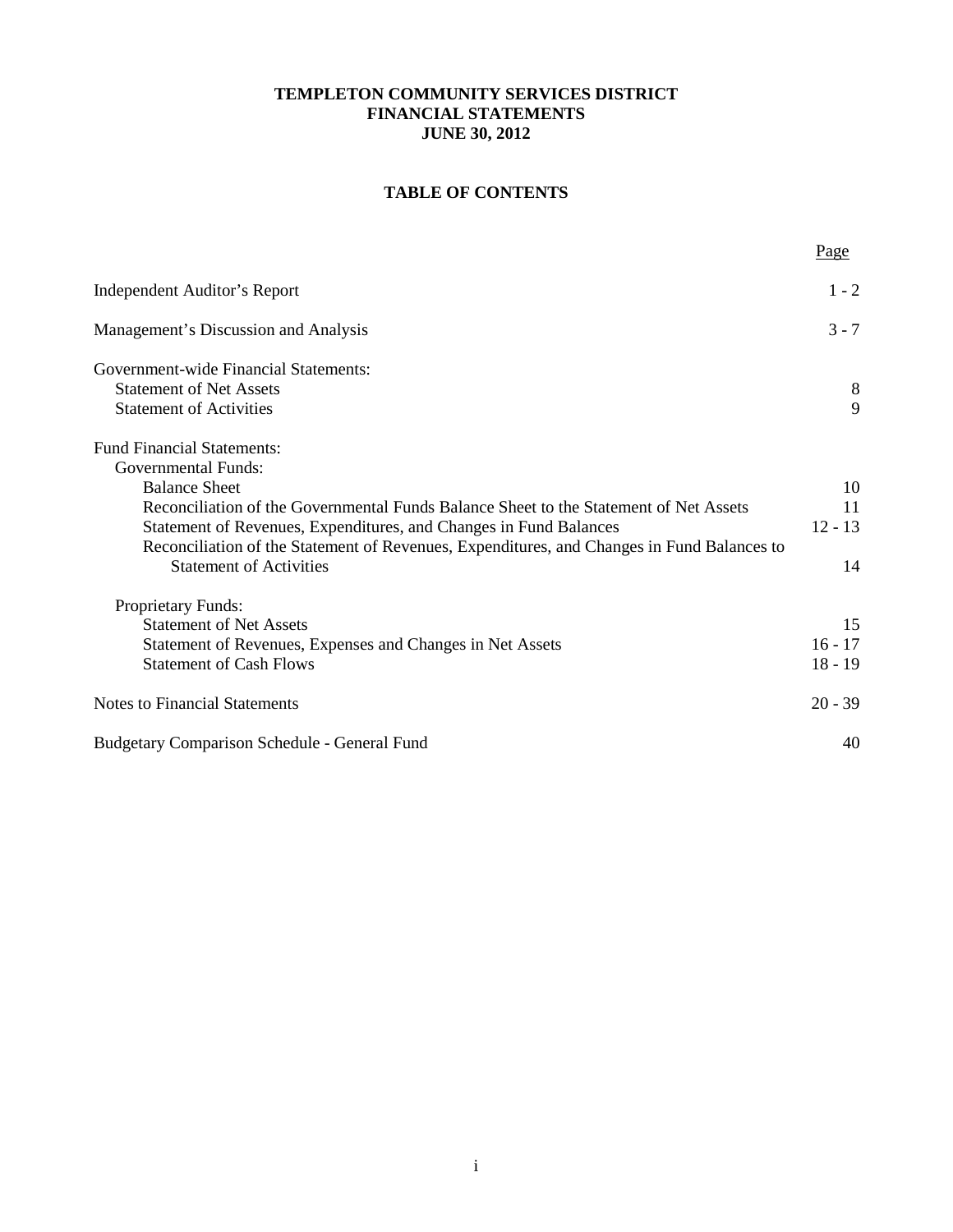# **TABLE OF CONTENTS**

|                                                                                                                                                                 | Page      |
|-----------------------------------------------------------------------------------------------------------------------------------------------------------------|-----------|
| Independent Auditor's Report                                                                                                                                    | $1 - 2$   |
| Management's Discussion and Analysis                                                                                                                            | $3 - 7$   |
| Government-wide Financial Statements:<br><b>Statement of Net Assets</b><br><b>Statement of Activities</b>                                                       | 8<br>9    |
| <b>Fund Financial Statements:</b>                                                                                                                               |           |
| <b>Governmental Funds:</b>                                                                                                                                      |           |
| <b>Balance Sheet</b>                                                                                                                                            | 10<br>11  |
| Reconciliation of the Governmental Funds Balance Sheet to the Statement of Net Assets                                                                           | $12 - 13$ |
| Statement of Revenues, Expenditures, and Changes in Fund Balances<br>Reconciliation of the Statement of Revenues, Expenditures, and Changes in Fund Balances to |           |
| <b>Statement of Activities</b>                                                                                                                                  | 14        |
| Proprietary Funds:                                                                                                                                              |           |
| <b>Statement of Net Assets</b>                                                                                                                                  | 15        |
| Statement of Revenues, Expenses and Changes in Net Assets                                                                                                       | $16 - 17$ |
| <b>Statement of Cash Flows</b>                                                                                                                                  | $18 - 19$ |
| <b>Notes to Financial Statements</b>                                                                                                                            | $20 - 39$ |
| <b>Budgetary Comparison Schedule - General Fund</b>                                                                                                             | 40        |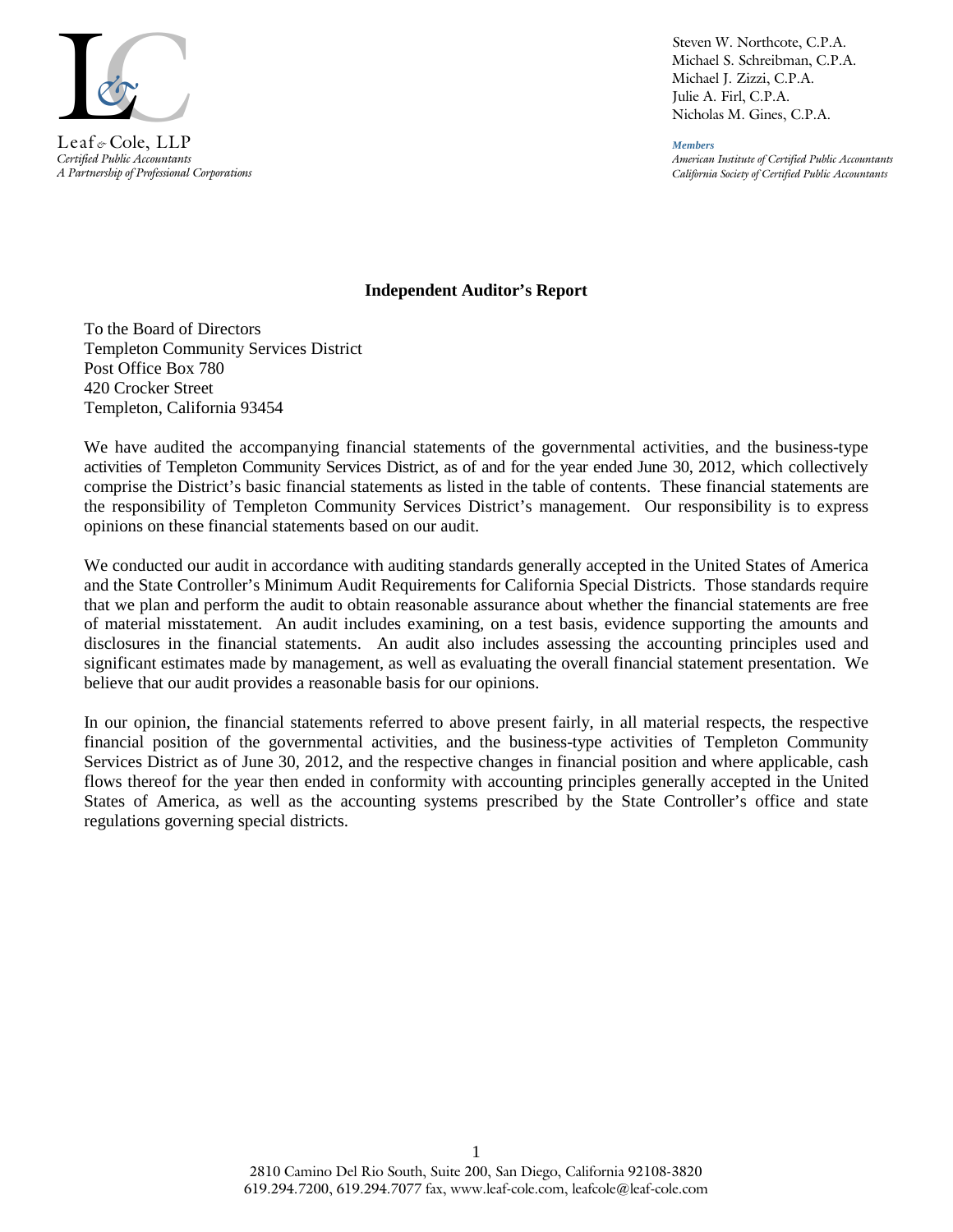

*Certified Public Accountants A Partnership of Professional Corporations*

Steven W. Northcote, C.P.A. Michael S. Schreibman, C.P.A. Michael J. Zizzi, C.P.A. Julie A. Firl, C.P.A. Nicholas M. Gines, C.P.A.

*Members American Institute of Certified Public Accountants California Society of Certified Public Accountants*

#### **Independent Auditor's Report**

To the Board of Directors Templeton Community Services District Post Office Box 780 420 Crocker Street Templeton, California 93454

We have audited the accompanying financial statements of the governmental activities, and the business-type activities of Templeton Community Services District, as of and for the year ended June 30, 2012, which collectively comprise the District's basic financial statements as listed in the table of contents. These financial statements are the responsibility of Templeton Community Services District's management. Our responsibility is to express opinions on these financial statements based on our audit.

We conducted our audit in accordance with auditing standards generally accepted in the United States of America and the State Controller's Minimum Audit Requirements for California Special Districts. Those standards require that we plan and perform the audit to obtain reasonable assurance about whether the financial statements are free of material misstatement. An audit includes examining, on a test basis, evidence supporting the amounts and disclosures in the financial statements. An audit also includes assessing the accounting principles used and significant estimates made by management, as well as evaluating the overall financial statement presentation. We believe that our audit provides a reasonable basis for our opinions.

In our opinion, the financial statements referred to above present fairly, in all material respects, the respective financial position of the governmental activities, and the business-type activities of Templeton Community Services District as of June 30, 2012, and the respective changes in financial position and where applicable, cash flows thereof for the year then ended in conformity with accounting principles generally accepted in the United States of America, as well as the accounting systems prescribed by the State Controller's office and state regulations governing special districts.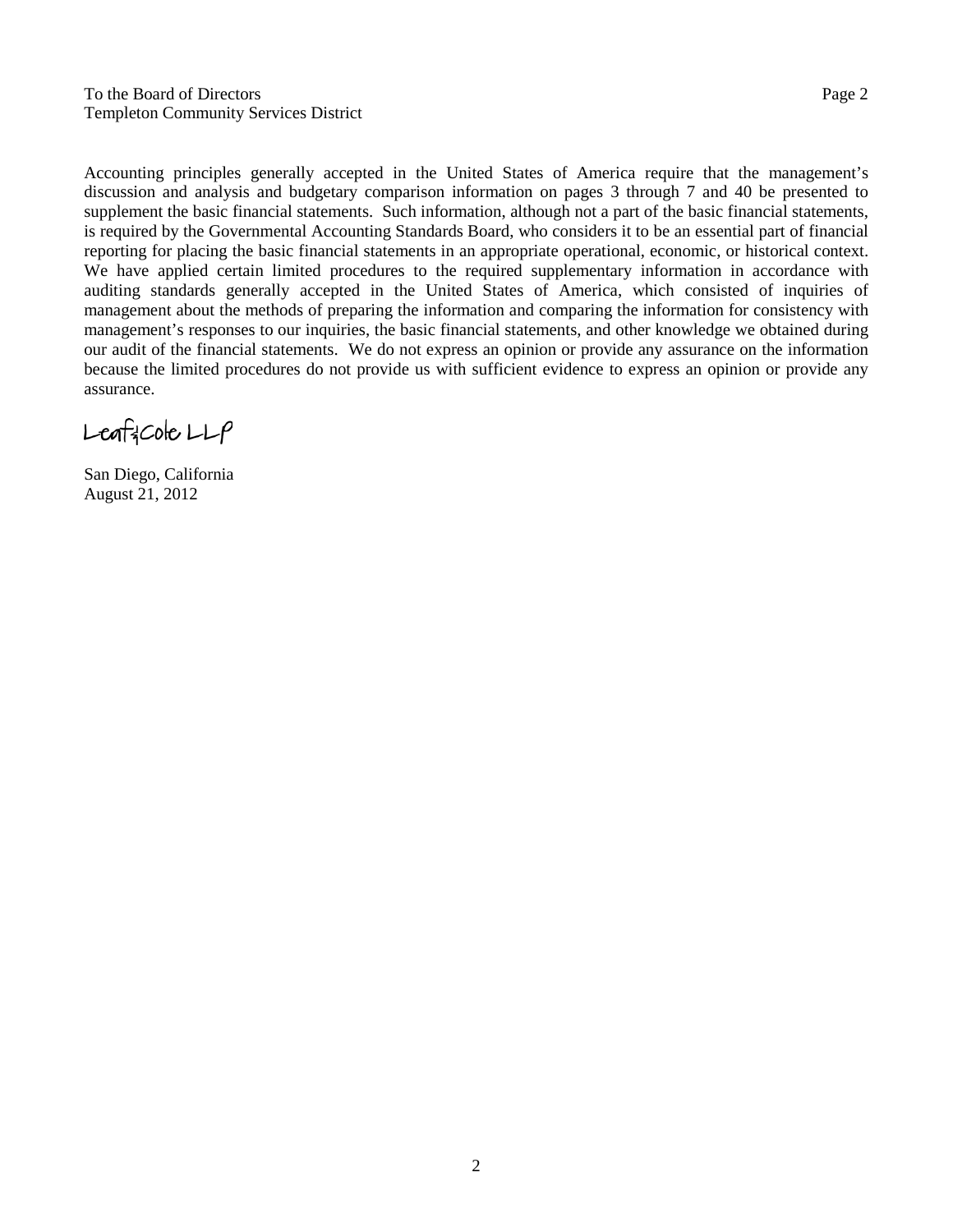To the Board of Directors Page 2 Templeton Community Services District

Accounting principles generally accepted in the United States of America require that the management's discussion and analysis and budgetary comparison information on pages 3 through 7 and 40 be presented to supplement the basic financial statements. Such information, although not a part of the basic financial statements, is required by the Governmental Accounting Standards Board, who considers it to be an essential part of financial reporting for placing the basic financial statements in an appropriate operational, economic, or historical context. We have applied certain limited procedures to the required supplementary information in accordance with auditing standards generally accepted in the United States of America, which consisted of inquiries of management about the methods of preparing the information and comparing the information for consistency with management's responses to our inquiries, the basic financial statements, and other knowledge we obtained during our audit of the financial statements. We do not express an opinion or provide any assurance on the information because the limited procedures do not provide us with sufficient evidence to express an opinion or provide any assurance.

 $L$ eaf $3$ Cole  $LLP$ 

San Diego, California August 21, 2012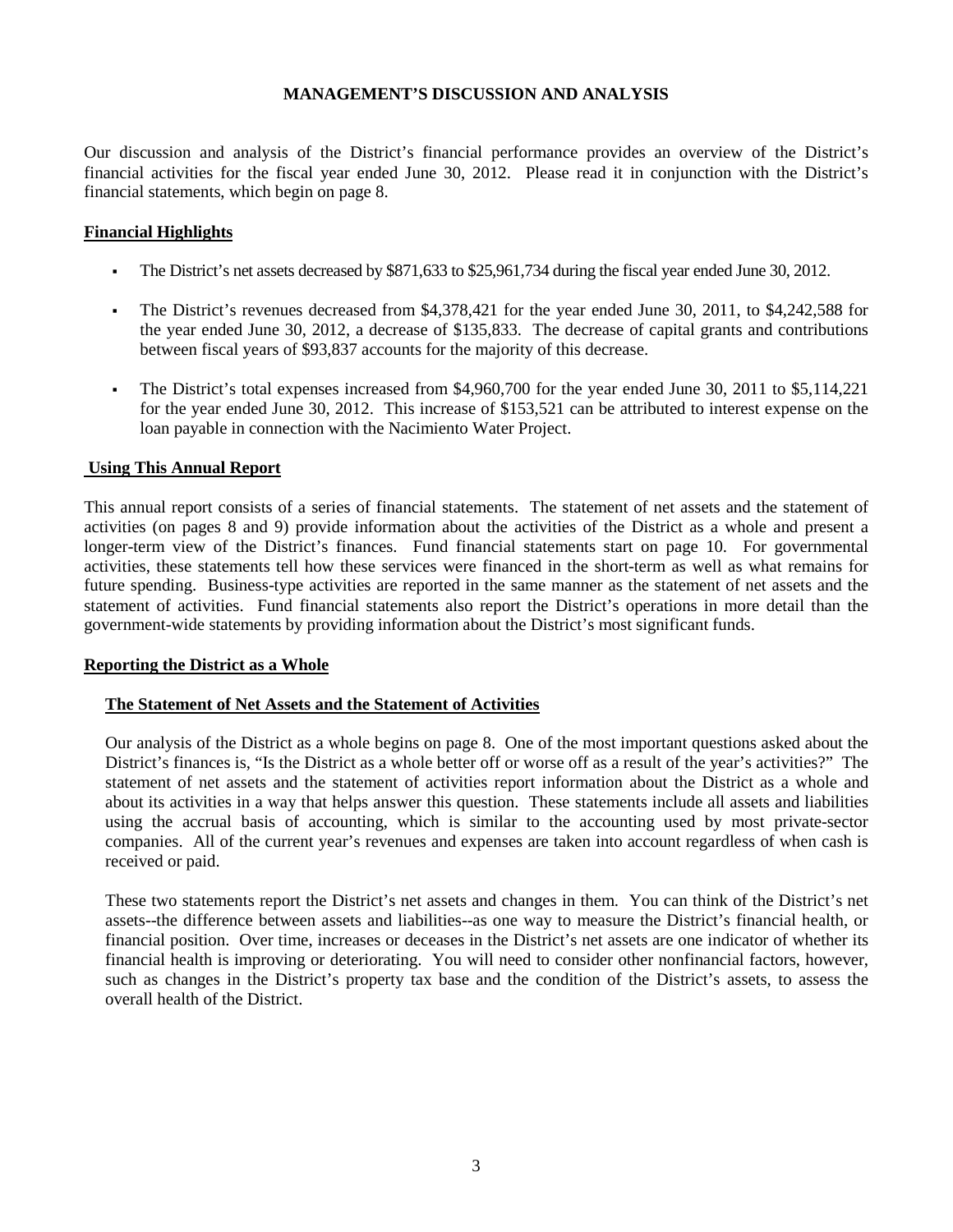Our discussion and analysis of the District's financial performance provides an overview of the District's financial activities for the fiscal year ended June 30, 2012. Please read it in conjunction with the District's financial statements, which begin on page 8.

## **Financial Highlights**

- The District's net assets decreased by \$871,633 to \$25,961,734 during the fiscal year ended June 30, 2012.
- The District's revenues decreased from \$4,378,421 for the year ended June 30, 2011, to \$4,242,588 for the year ended June 30, 2012, a decrease of \$135,833. The decrease of capital grants and contributions between fiscal years of \$93,837 accounts for the majority of this decrease.
- The District's total expenses increased from \$4,960,700 for the year ended June 30, 2011 to \$5,114,221 for the year ended June 30, 2012. This increase of \$153,521 can be attributed to interest expense on the loan payable in connection with the Nacimiento Water Project.

#### **Using This Annual Report**

This annual report consists of a series of financial statements. The statement of net assets and the statement of activities (on pages 8 and 9) provide information about the activities of the District as a whole and present a longer-term view of the District's finances. Fund financial statements start on page 10. For governmental activities, these statements tell how these services were financed in the short-term as well as what remains for future spending. Business-type activities are reported in the same manner as the statement of net assets and the statement of activities. Fund financial statements also report the District's operations in more detail than the government-wide statements by providing information about the District's most significant funds.

#### **Reporting the District as a Whole**

#### **The Statement of Net Assets and the Statement of Activities**

Our analysis of the District as a whole begins on page 8. One of the most important questions asked about the District's finances is, "Is the District as a whole better off or worse off as a result of the year's activities?" The statement of net assets and the statement of activities report information about the District as a whole and about its activities in a way that helps answer this question. These statements include all assets and liabilities using the accrual basis of accounting, which is similar to the accounting used by most private-sector companies. All of the current year's revenues and expenses are taken into account regardless of when cash is received or paid.

These two statements report the District's net assets and changes in them. You can think of the District's net assets--the difference between assets and liabilities--as one way to measure the District's financial health, or financial position. Over time, increases or deceases in the District's net assets are one indicator of whether its financial health is improving or deteriorating. You will need to consider other nonfinancial factors, however, such as changes in the District's property tax base and the condition of the District's assets, to assess the overall health of the District.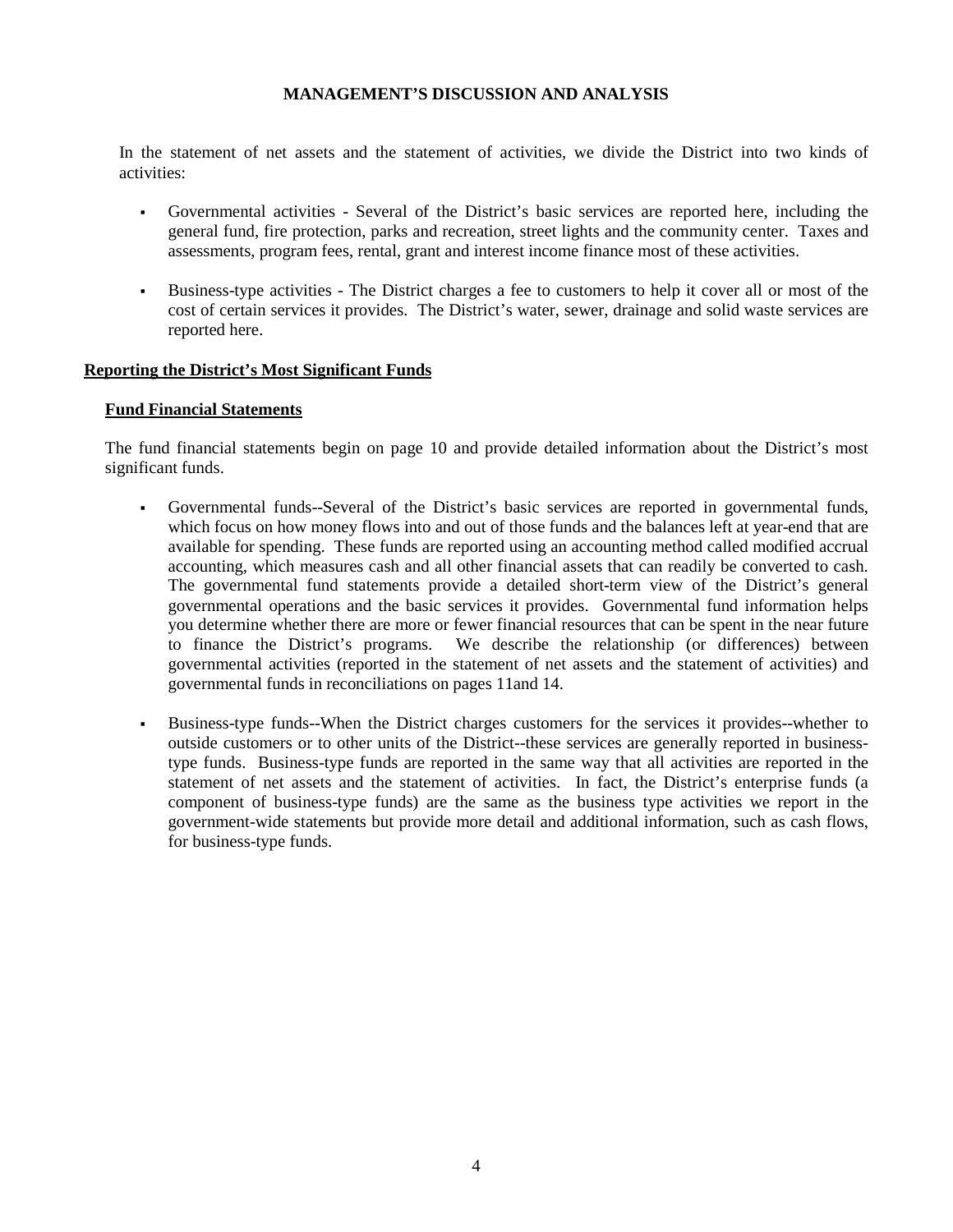In the statement of net assets and the statement of activities, we divide the District into two kinds of activities:

- Governmental activities Several of the District's basic services are reported here, including the general fund, fire protection, parks and recreation, street lights and the community center. Taxes and assessments, program fees, rental, grant and interest income finance most of these activities.
- Business-type activities The District charges a fee to customers to help it cover all or most of the cost of certain services it provides. The District's water, sewer, drainage and solid waste services are reported here.

#### **Reporting the District's Most Significant Funds**

#### **Fund Financial Statements**

The fund financial statements begin on page 10 and provide detailed information about the District's most significant funds.

- Governmental funds--Several of the District's basic services are reported in governmental funds, which focus on how money flows into and out of those funds and the balances left at year-end that are available for spending. These funds are reported using an accounting method called modified accrual accounting, which measures cash and all other financial assets that can readily be converted to cash. The governmental fund statements provide a detailed short-term view of the District's general governmental operations and the basic services it provides. Governmental fund information helps you determine whether there are more or fewer financial resources that can be spent in the near future to finance the District's programs. We describe the relationship (or differences) between governmental activities (reported in the statement of net assets and the statement of activities) and governmental funds in reconciliations on pages 11and 14.
- Business-type funds--When the District charges customers for the services it provides--whether to outside customers or to other units of the District--these services are generally reported in businesstype funds. Business-type funds are reported in the same way that all activities are reported in the statement of net assets and the statement of activities. In fact, the District's enterprise funds (a component of business-type funds) are the same as the business type activities we report in the government-wide statements but provide more detail and additional information, such as cash flows, for business-type funds.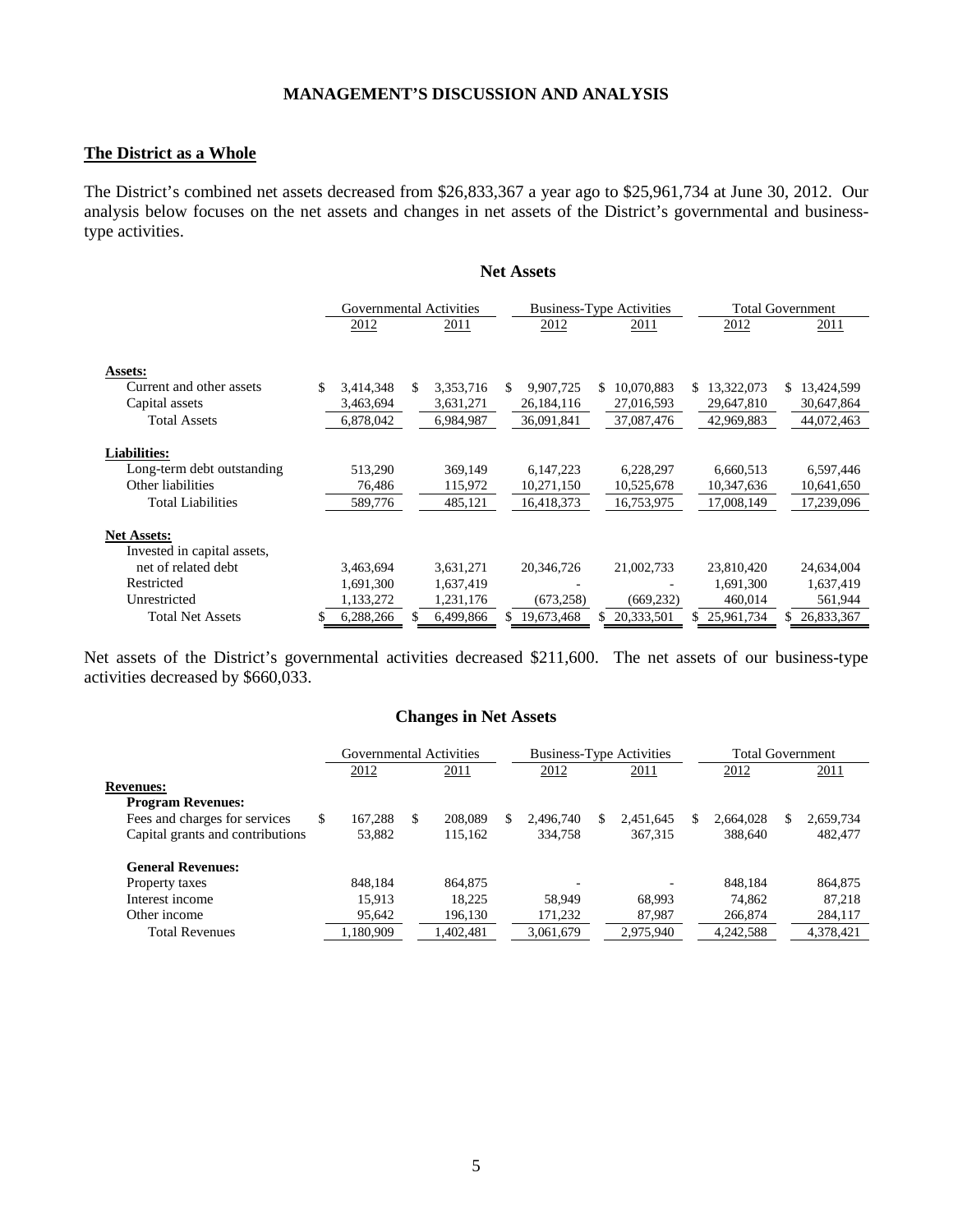#### **The District as a Whole**

The District's combined net assets decreased from \$26,833,367 a year ago to \$25,961,734 at June 30, 2012. Our analysis below focuses on the net assets and changes in net assets of the District's governmental and businesstype activities.

**Net Assets**

|                                                                                                    |    | Governmental Activities      |     |                               |    | <b>Business-Type Activities</b>       |     |                                       |     |                                       |    | <b>Total Government</b>               |
|----------------------------------------------------------------------------------------------------|----|------------------------------|-----|-------------------------------|----|---------------------------------------|-----|---------------------------------------|-----|---------------------------------------|----|---------------------------------------|
|                                                                                                    |    | 2012                         |     | 2011                          |    | 2012                                  |     | 2011                                  |     | 2012                                  |    | 2011                                  |
| Assets:                                                                                            |    |                              |     |                               |    |                                       |     |                                       |     |                                       |    |                                       |
| Current and other assets                                                                           | \$ | 3,414,348                    | \$. | 3,353,716                     | S. | 9,907,725                             | \$. | 10,070,883                            | \$. | 13,322,073                            | S. | 13,424,599                            |
| Capital assets                                                                                     |    | 3,463,694                    |     | 3,631,271                     |    | 26,184,116                            |     | 27,016,593                            |     | 29,647,810                            |    | 30,647,864                            |
| <b>Total Assets</b>                                                                                |    | 6,878,042                    |     | 6,984,987                     |    | 36,091,841                            |     | 37,087,476                            |     | 42,969,883                            |    | 44,072,463                            |
| <b>Liabilities:</b><br>Long-term debt outstanding<br>Other liabilities<br><b>Total Liabilities</b> |    | 513,290<br>76,486<br>589,776 |     | 369,149<br>115,972<br>485,121 |    | 6,147,223<br>10,271,150<br>16,418,373 |     | 6,228,297<br>10,525,678<br>16,753,975 |     | 6,660,513<br>10,347,636<br>17,008,149 |    | 6,597,446<br>10,641,650<br>17,239,096 |
| <b>Net Assets:</b><br>Invested in capital assets,<br>net of related debt                           |    | 3,463,694                    |     | 3,631,271                     |    | 20.346.726                            |     | 21,002,733                            |     | 23,810,420                            |    | 24,634,004                            |
| Restricted                                                                                         |    | 1,691,300                    |     | 1,637,419                     |    |                                       |     |                                       |     | 1,691,300                             |    | 1,637,419                             |
| Unrestricted                                                                                       |    | 1,133,272                    |     | 1,231,176                     |    | (673, 258)                            |     | (669, 232)                            |     | 460,014                               |    | 561,944                               |
| <b>Total Net Assets</b>                                                                            | S  | 6,288,266                    | S   | 6,499,866                     | S. | 19,673,468                            |     | 20,333,501                            |     | 25,961,734                            |    | 26,833,367                            |

Net assets of the District's governmental activities decreased \$211,600. The net assets of our business-type activities decreased by \$660,033.

#### **Changes in Net Assets**

|                                  |   | Governmental Activities |               |   | <b>Business-Type Activities</b> |   |           |   | <b>Total Government</b> |   |           |
|----------------------------------|---|-------------------------|---------------|---|---------------------------------|---|-----------|---|-------------------------|---|-----------|
|                                  |   | 2012                    | 2011          |   | 2012                            |   | 2011      |   | 2012                    |   | 2011      |
| <b>Revenues:</b>                 |   |                         |               |   |                                 |   |           |   |                         |   |           |
| <b>Program Revenues:</b>         |   |                         |               |   |                                 |   |           |   |                         |   |           |
| Fees and charges for services    | S | 167.288                 | \$<br>208,089 | S | 2.496.740                       | S | 2,451,645 | S | 2,664,028               | S | 2,659,734 |
| Capital grants and contributions |   | 53,882                  | 115.162       |   | 334,758                         |   | 367.315   |   | 388,640                 |   | 482,477   |
| <b>General Revenues:</b>         |   |                         |               |   |                                 |   |           |   |                         |   |           |
| Property taxes                   |   | 848.184                 | 864.875       |   | -                               |   |           |   | 848.184                 |   | 864,875   |
| Interest income                  |   | 15.913                  | 18.225        |   | 58.949                          |   | 68.993    |   | 74.862                  |   | 87.218    |
| Other income                     |   | 95,642                  | 196,130       |   | 171,232                         |   | 87,987    |   | 266,874                 |   | 284,117   |
| <b>Total Revenues</b>            |   | 1.180.909               | .402.481      |   | 3.061.679                       |   | 2,975,940 |   | 4,242,588               |   | 4,378,421 |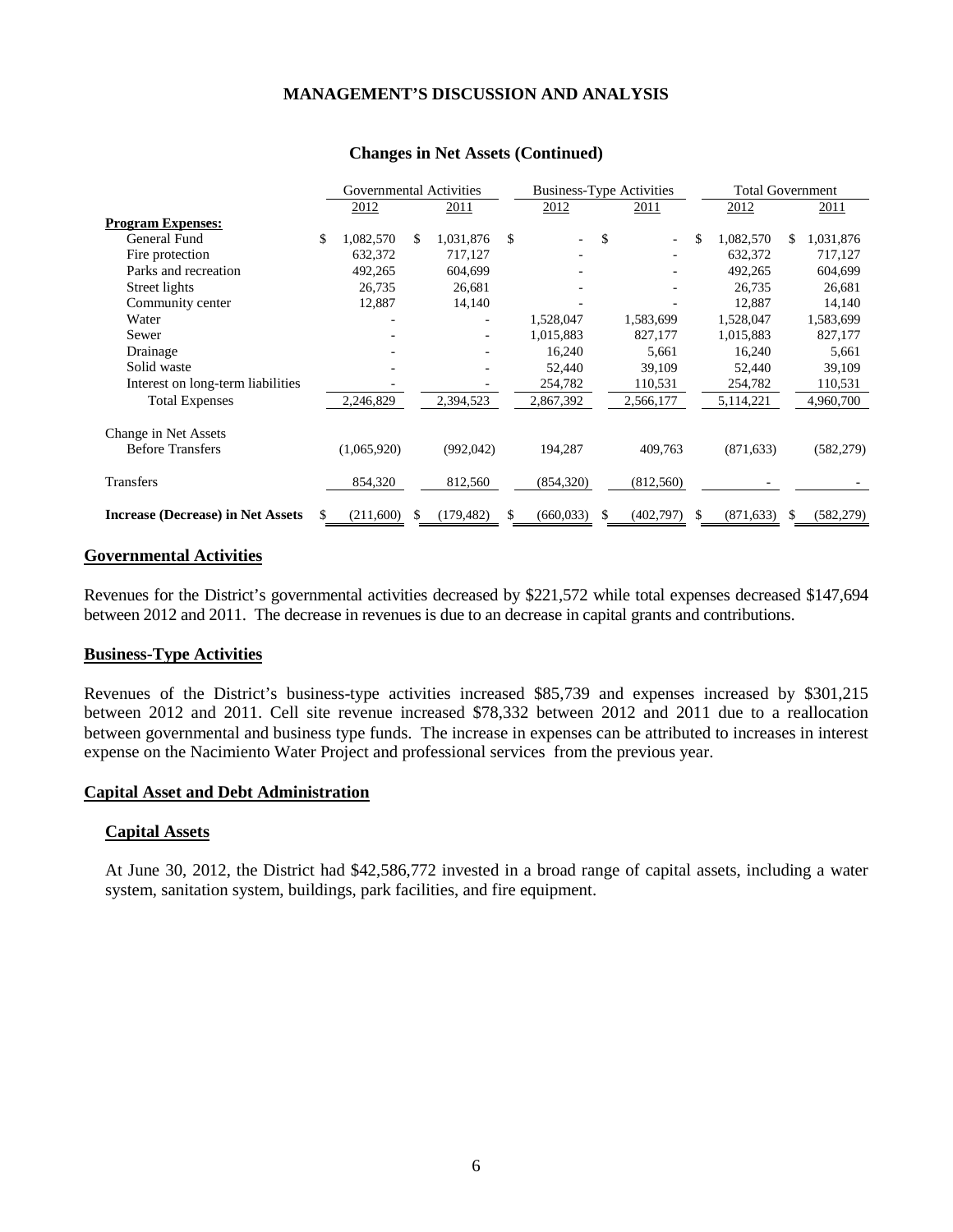|                                          | Governmental Activities |             |    |            | <b>Business-Type Activities</b> |            |     | <b>Total Government</b> |     |            |     |            |
|------------------------------------------|-------------------------|-------------|----|------------|---------------------------------|------------|-----|-------------------------|-----|------------|-----|------------|
|                                          |                         | 2012        |    | 2011       |                                 | 2012       |     | 2011                    |     | 2012       |     | 2011       |
| <b>Program Expenses:</b>                 |                         |             |    |            |                                 |            |     |                         |     |            |     |            |
| General Fund                             | \$                      | 1,082,570   | S. | 1,031,876  | \$                              |            | \$  |                         | \$  | 1,082,570  | \$. | 1,031,876  |
| Fire protection                          |                         | 632,372     |    | 717,127    |                                 |            |     |                         |     | 632,372    |     | 717,127    |
| Parks and recreation                     |                         | 492,265     |    | 604,699    |                                 |            |     |                         |     | 492,265    |     | 604,699    |
| Street lights                            |                         | 26,735      |    | 26,681     |                                 |            |     |                         |     | 26,735     |     | 26,681     |
| Community center                         |                         | 12,887      |    | 14,140     |                                 |            |     |                         |     | 12.887     |     | 14,140     |
| Water                                    |                         |             |    |            |                                 | 1,528,047  |     | 1,583,699               |     | 1,528,047  |     | 1,583,699  |
| Sewer                                    |                         |             |    |            |                                 | 1,015,883  |     | 827,177                 |     | 1,015,883  |     | 827,177    |
| Drainage                                 |                         |             |    |            |                                 | 16,240     |     | 5,661                   |     | 16,240     |     | 5,661      |
| Solid waste                              |                         |             |    |            |                                 | 52,440     |     | 39,109                  |     | 52,440     |     | 39,109     |
| Interest on long-term liabilities        |                         |             |    |            |                                 | 254,782    |     | 110,531                 |     | 254,782    |     | 110,531    |
| <b>Total Expenses</b>                    |                         | 2,246,829   |    | 2,394,523  |                                 | 2,867,392  |     | 2,566,177               |     | 5,114,221  |     | 4,960,700  |
| Change in Net Assets                     |                         |             |    |            |                                 |            |     |                         |     |            |     |            |
| <b>Before Transfers</b>                  |                         | (1,065,920) |    | (992,042)  |                                 | 194,287    |     | 409,763                 |     | (871, 633) |     | (582, 279) |
| Transfers                                |                         | 854,320     |    | 812,560    |                                 | (854,320)  |     | (812,560)               |     |            |     |            |
| <b>Increase (Decrease) in Net Assets</b> |                         | (211,600)   |    | (179, 482) | \$                              | (660, 033) | \$. | (402, 797)              | \$. | (871, 633) | \$. | (582, 279) |

#### **Changes in Net Assets (Continued)**

#### **Governmental Activities**

Revenues for the District's governmental activities decreased by \$221,572 while total expenses decreased \$147,694 between 2012 and 2011. The decrease in revenues is due to an decrease in capital grants and contributions.

#### **Business-Type Activities**

Revenues of the District's business-type activities increased \$85,739 and expenses increased by \$301,215 between 2012 and 2011. Cell site revenue increased \$78,332 between 2012 and 2011 due to a reallocation between governmental and business type funds. The increase in expenses can be attributed to increases in interest expense on the Nacimiento Water Project and professional services from the previous year.

#### **Capital Asset and Debt Administration**

#### **Capital Assets**

At June 30, 2012, the District had \$42,586,772 invested in a broad range of capital assets, including a water system, sanitation system, buildings, park facilities, and fire equipment.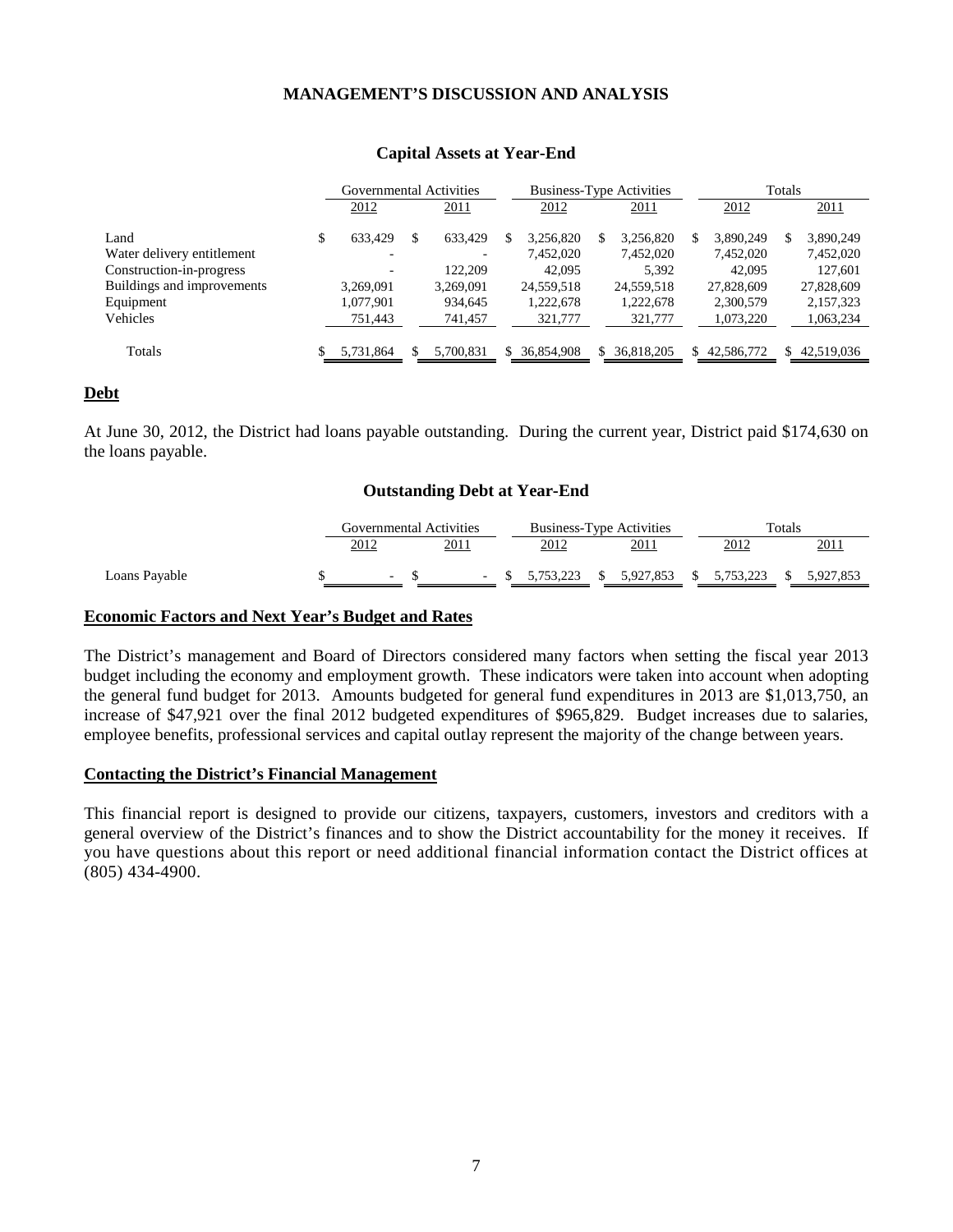|                            | Governmental Activities |   |           |            | <b>Business-Type Activities</b> |    | Totals     |  |              |
|----------------------------|-------------------------|---|-----------|------------|---------------------------------|----|------------|--|--------------|
|                            | 2012                    |   | 2011      | 2012       | 2011                            |    | 2012       |  | 2011         |
| Land                       | 633.429                 | S | 633,429   | 3.256.820  | 3.256.820                       | S  | 3.890.249  |  | 3,890,249    |
| Water delivery entitlement |                         |   |           | 7,452,020  | 7,452,020                       |    | 7,452,020  |  | 7,452,020    |
| Construction-in-progress   |                         |   | 122.209   | 42,095     | 5,392                           |    | 42,095     |  | 127,601      |
| Buildings and improvements | 3,269,091               |   | 3,269,091 | 24,559,518 | 24,559,518                      |    | 27,828,609 |  | 27,828,609   |
| Equipment                  | 1,077,901               |   | 934,645   | 1,222,678  | 1,222,678                       |    | 2,300,579  |  | 2,157,323    |
| Vehicles                   | 751,443                 |   | 741,457   | 321,777    | 321,777                         |    | 1,073,220  |  | 1,063,234    |
| Totals                     | 5,731,864               |   | 5.700.831 | 36.854.908 | 36.818.205                      | S. | 42.586.772 |  | \$42,519,036 |

#### **Capital Assets at Year-End**

#### **Debt**

At June 30, 2012, the District had loans payable outstanding. During the current year, District paid \$174,630 on the loans payable.

#### **Outstanding Debt at Year-End**

|               | Governmental Activities |      | <b>Business-Type Activities</b> |              |           | Totals      |  |           |  |
|---------------|-------------------------|------|---------------------------------|--------------|-----------|-------------|--|-----------|--|
|               | 2012                    | 2011 | 2012                            |              | 2011      | 2012        |  | 2011      |  |
| Loans Payable |                         | ٠    | 5.753.223                       | <sup>T</sup> | 5.927.853 | \$5,753,223 |  | 5.927.853 |  |

#### **Economic Factors and Next Year's Budget and Rates**

The District's management and Board of Directors considered many factors when setting the fiscal year 2013 budget including the economy and employment growth. These indicators were taken into account when adopting the general fund budget for 2013. Amounts budgeted for general fund expenditures in 2013 are \$1,013,750, an increase of \$47,921 over the final 2012 budgeted expenditures of \$965,829. Budget increases due to salaries, employee benefits, professional services and capital outlay represent the majority of the change between years.

#### **Contacting the District's Financial Management**

This financial report is designed to provide our citizens, taxpayers, customers, investors and creditors with a general overview of the District's finances and to show the District accountability for the money it receives. If you have questions about this report or need additional financial information contact the District offices at (805) 434-4900.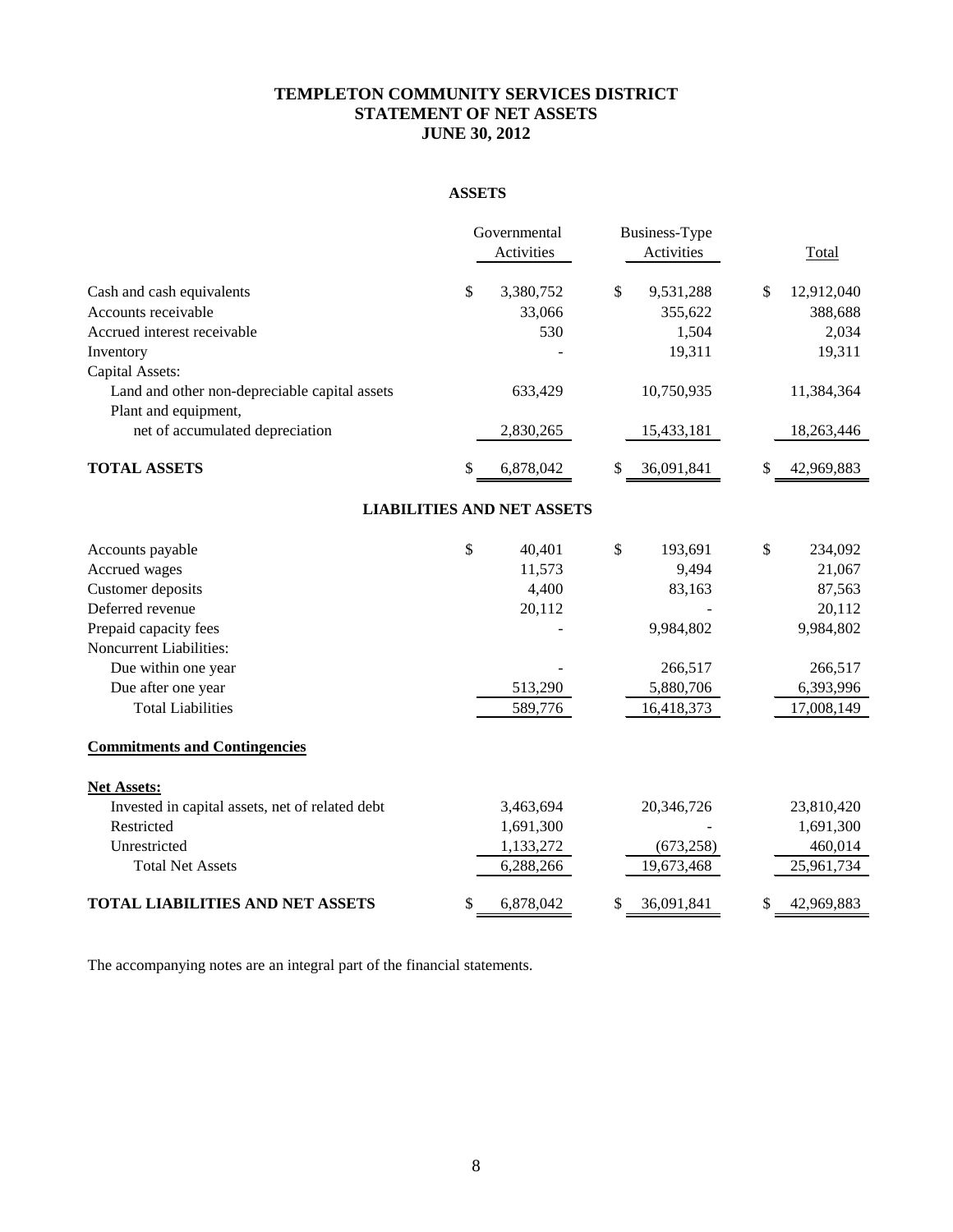## **TEMPLETON COMMUNITY SERVICES DISTRICT STATEMENT OF NET ASSETS JUNE 30, 2012**

## **ASSETS**

|                                                 | Governmental                      | Business-Type    |                  |
|-------------------------------------------------|-----------------------------------|------------------|------------------|
|                                                 | Activities                        | Activities       | Total            |
| Cash and cash equivalents                       | \$<br>3,380,752                   | \$<br>9,531,288  | \$<br>12,912,040 |
| Accounts receivable                             | 33,066                            | 355,622          | 388,688          |
| Accrued interest receivable                     | 530                               | 1,504            | 2,034            |
| Inventory                                       |                                   | 19,311           | 19,311           |
| Capital Assets:                                 |                                   |                  |                  |
| Land and other non-depreciable capital assets   | 633,429                           | 10,750,935       | 11,384,364       |
| Plant and equipment,                            |                                   |                  |                  |
| net of accumulated depreciation                 | 2,830,265                         | 15,433,181       | 18,263,446       |
| <b>TOTAL ASSETS</b>                             | \$<br>6,878,042                   | \$<br>36,091,841 | 42,969,883       |
|                                                 | <b>LIABILITIES AND NET ASSETS</b> |                  |                  |
| Accounts payable                                | \$<br>40,401                      | \$<br>193,691    | \$<br>234,092    |
| Accrued wages                                   | 11,573                            | 9,494            | 21,067           |
| Customer deposits                               | 4,400                             | 83,163           | 87,563           |
| Deferred revenue                                | 20,112                            |                  | 20,112           |
| Prepaid capacity fees                           |                                   | 9,984,802        | 9,984,802        |
| Noncurrent Liabilities:                         |                                   |                  |                  |
| Due within one year                             |                                   | 266,517          | 266,517          |
| Due after one year                              | 513,290                           | 5,880,706        | 6,393,996        |
| <b>Total Liabilities</b>                        | 589,776                           | 16,418,373       | 17,008,149       |
| <b>Commitments and Contingencies</b>            |                                   |                  |                  |
| <b>Net Assets:</b>                              |                                   |                  |                  |
| Invested in capital assets, net of related debt | 3,463,694                         | 20,346,726       | 23,810,420       |
| Restricted                                      | 1,691,300                         |                  | 1,691,300        |
| Unrestricted                                    | 1,133,272                         | (673, 258)       | 460,014          |
| <b>Total Net Assets</b>                         | 6,288,266                         | 19,673,468       | 25,961,734       |
| <b>TOTAL LIABILITIES AND NET ASSETS</b>         | \$<br>6,878,042                   | 36,091,841       | 42,969,883       |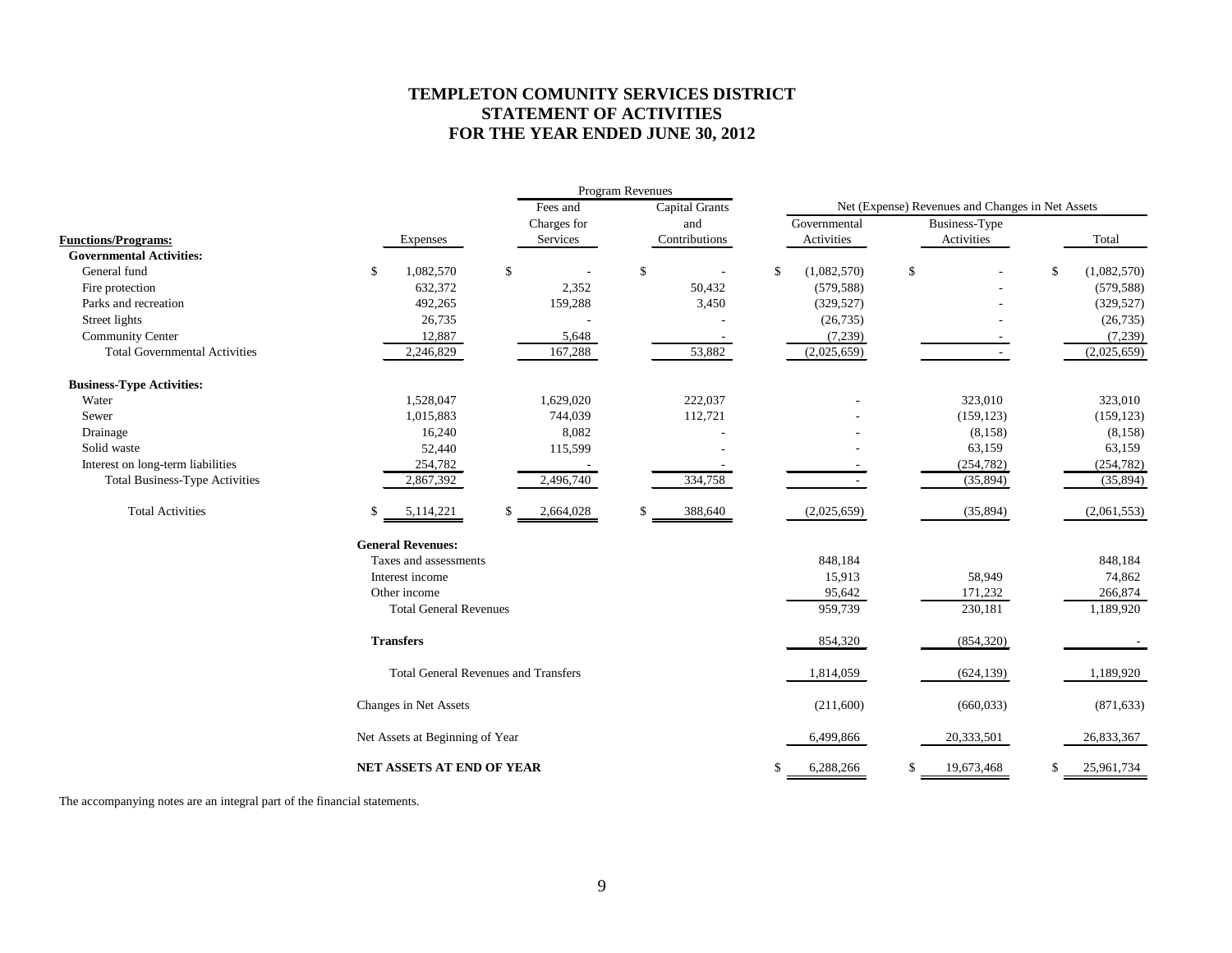## **TEMPLETON COMUNITY SERVICES DISTRICT STATEMENT OF ACTIVITIES FOR THE YEAR ENDED JUNE 30, 2012**

|                                       |                                             |                 | Program Revenues |                       |               |              |                                                                                                  |            |                   |
|---------------------------------------|---------------------------------------------|-----------------|------------------|-----------------------|---------------|--------------|--------------------------------------------------------------------------------------------------|------------|-------------------|
|                                       |                                             | Fees and        |                  | <b>Capital Grants</b> |               |              | Net (Expense) Revenues and Changes in Net Assets<br>Business-Type<br>Activities<br>\$<br>323,010 |            |                   |
|                                       |                                             | Charges for     |                  | and                   |               | Governmental |                                                                                                  |            |                   |
| <b>Functions/Programs:</b>            | Expenses                                    | Services        |                  | Contributions         |               | Activities   |                                                                                                  |            | Total             |
| <b>Governmental Activities:</b>       |                                             |                 |                  |                       |               |              |                                                                                                  |            |                   |
| General fund                          | \$<br>1,082,570                             | \$              | \$               |                       | <sup>\$</sup> | (1,082,570)  |                                                                                                  |            | \$<br>(1,082,570) |
| Fire protection                       | 632,372                                     | 2,352           |                  | 50,432                |               | (579, 588)   |                                                                                                  |            | (579, 588)        |
| Parks and recreation                  | 492,265                                     | 159,288         |                  | 3,450                 |               | (329, 527)   |                                                                                                  |            | (329, 527)        |
| Street lights                         | 26,735                                      |                 |                  |                       |               | (26, 735)    |                                                                                                  |            | (26, 735)         |
| Community Center                      | 12,887                                      | 5,648           |                  |                       |               | (7,239)      |                                                                                                  |            | (7,239)           |
| <b>Total Governmental Activities</b>  | 2,246,829                                   | 167,288         |                  | 53,882                |               | (2,025,659)  |                                                                                                  |            | (2,025,659)       |
| <b>Business-Type Activities:</b>      |                                             |                 |                  |                       |               |              |                                                                                                  |            |                   |
| Water                                 | 1,528,047                                   | 1,629,020       |                  | 222,037               |               |              |                                                                                                  |            | 323,010           |
| Sewer                                 | 1,015,883                                   | 744,039         |                  | 112,721               |               |              |                                                                                                  | (159, 123) | (159, 123)        |
| Drainage                              | 16,240                                      | 8,082           |                  |                       |               |              |                                                                                                  | (8, 158)   | (8, 158)          |
| Solid waste                           | 52,440                                      | 115,599         |                  |                       |               |              |                                                                                                  | 63,159     | 63,159            |
| Interest on long-term liabilities     | 254,782                                     |                 |                  |                       |               |              |                                                                                                  | (254, 782) | (254, 782)        |
| <b>Total Business-Type Activities</b> | 2,867,392                                   | 2,496,740       |                  | 334,758               |               |              |                                                                                                  | (35, 894)  | (35, 894)         |
| <b>Total Activities</b>               | 5,114,221                                   | \$<br>2,664,028 | \$               | 388,640               |               | (2,025,659)  |                                                                                                  | (35,894)   | (2,061,553)       |
|                                       | <b>General Revenues:</b>                    |                 |                  |                       |               |              |                                                                                                  |            |                   |
|                                       | Taxes and assessments                       |                 |                  |                       |               | 848,184      |                                                                                                  |            | 848,184           |
|                                       | Interest income                             |                 |                  |                       |               | 15,913       |                                                                                                  | 58,949     | 74,862            |
|                                       | Other income                                |                 |                  |                       |               | 95,642       |                                                                                                  | 171,232    | 266,874           |
|                                       | <b>Total General Revenues</b>               |                 |                  |                       |               | 959,739      |                                                                                                  | 230,181    | 1,189,920         |
|                                       | <b>Transfers</b>                            |                 |                  |                       |               | 854,320      |                                                                                                  | (854, 320) |                   |
|                                       | <b>Total General Revenues and Transfers</b> |                 |                  |                       |               | 1,814,059    |                                                                                                  | (624, 139) | 1,189,920         |
|                                       | Changes in Net Assets                       |                 |                  |                       |               | (211,600)    |                                                                                                  | (660, 033) | (871, 633)        |
|                                       | Net Assets at Beginning of Year             |                 |                  |                       |               | 6,499,866    |                                                                                                  | 20,333,501 | 26,833,367        |
|                                       | NET ASSETS AT END OF YEAR                   |                 |                  |                       | -S            | 6,288,266    | \$                                                                                               | 19,673,468 | \$<br>25,961,734  |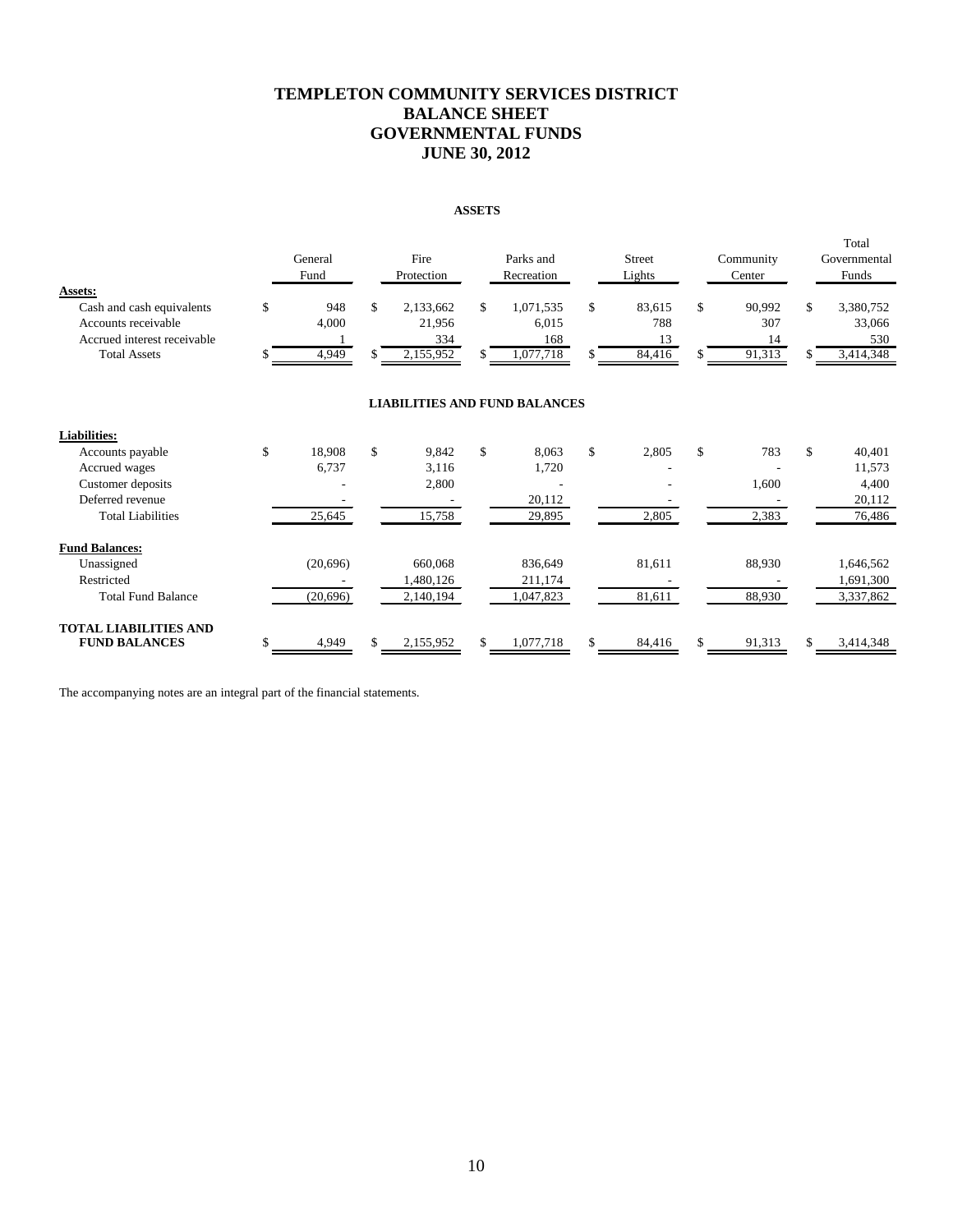## **TEMPLETON COMMUNITY SERVICES DISTRICT BALANCE SHEET GOVERNMENTAL FUNDS JUNE 30, 2012**

#### **ASSETS**

|                                                                                                                   |         | General<br>Fund       |          | Fire<br>Protection                      |          | Parks and<br>Recreation                |          | <b>Street</b><br>Lights       | Community<br>Center                 | Total<br>Governmental<br>Funds                |
|-------------------------------------------------------------------------------------------------------------------|---------|-----------------------|----------|-----------------------------------------|----------|----------------------------------------|----------|-------------------------------|-------------------------------------|-----------------------------------------------|
| Assets:<br>Cash and cash equivalents<br>Accounts receivable<br>Accrued interest receivable<br><b>Total Assets</b> | \$<br>S | 948<br>4,000<br>4,949 | \$<br>\$ | 2,133,662<br>21,956<br>334<br>2,155,952 | \$<br>\$ | 1,071,535<br>6,015<br>168<br>1,077,718 | \$<br>\$ | 83,615<br>788<br>13<br>84,416 | \$<br>90.992<br>307<br>14<br>91,313 | \$<br>3,380,752<br>33,066<br>530<br>3,414,348 |
|                                                                                                                   |         |                       |          | <b>LIABILITIES AND FUND BALANCES</b>    |          |                                        |          |                               |                                     |                                               |
| <b>Liabilities:</b>                                                                                               |         |                       |          |                                         |          |                                        |          |                               |                                     |                                               |
| Accounts payable                                                                                                  | \$      | 18,908                | \$       | 9,842                                   | \$       | 8.063                                  | \$       | 2,805                         | \$<br>783                           | \$<br>40,401                                  |
| Accrued wages                                                                                                     |         | 6,737                 |          | 3,116                                   |          | 1,720                                  |          |                               |                                     | 11,573                                        |
| Customer deposits                                                                                                 |         |                       |          | 2,800                                   |          |                                        |          |                               | 1,600                               | 4,400                                         |
| Deferred revenue                                                                                                  |         |                       |          |                                         |          | 20,112                                 |          |                               |                                     | 20,112                                        |
| <b>Total Liabilities</b>                                                                                          |         | 25,645                |          | 15,758                                  |          | 29,895                                 |          | 2,805                         | 2,383                               | 76,486                                        |
| <b>Fund Balances:</b>                                                                                             |         |                       |          |                                         |          |                                        |          |                               |                                     |                                               |
| Unassigned                                                                                                        |         | (20,696)              |          | 660,068                                 |          | 836,649                                |          | 81,611                        | 88,930                              | 1,646,562                                     |
| Restricted                                                                                                        |         |                       |          | 1,480,126                               |          | 211,174                                |          |                               |                                     | 1,691,300                                     |
| <b>Total Fund Balance</b>                                                                                         |         | (20,696)              |          | 2,140,194                               |          | 1,047,823                              |          | 81,611                        | 88,930                              | 3,337,862                                     |
| <b>TOTAL LIABILITIES AND</b><br><b>FUND BALANCES</b>                                                              | \$      | 4,949                 | \$       | 2,155,952                               | \$       | 1,077,718                              | \$       | 84,416                        | \$<br>91,313                        | \$<br>3,414,348                               |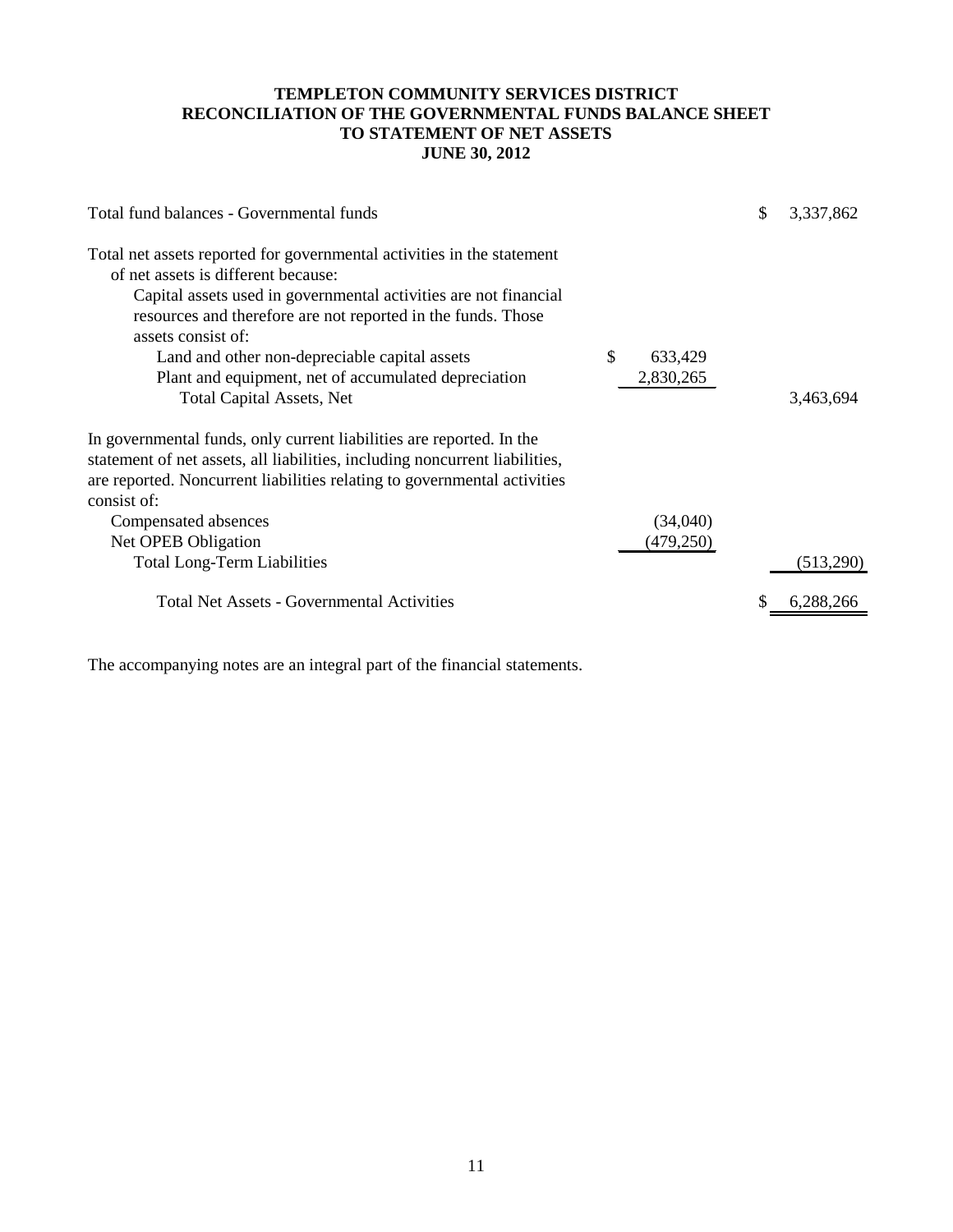## **TEMPLETON COMMUNITY SERVICES DISTRICT RECONCILIATION OF THE GOVERNMENTAL FUNDS BALANCE SHEET TO STATEMENT OF NET ASSETS JUNE 30, 2012**

| Total fund balances - Governmental funds                                                                                                                                                                                                                                                                                                                                                                             |   |                       | \$<br>3,337,862 |
|----------------------------------------------------------------------------------------------------------------------------------------------------------------------------------------------------------------------------------------------------------------------------------------------------------------------------------------------------------------------------------------------------------------------|---|-----------------------|-----------------|
| Total net assets reported for governmental activities in the statement<br>of net assets is different because:<br>Capital assets used in governmental activities are not financial<br>resources and therefore are not reported in the funds. Those<br>assets consist of:<br>Land and other non-depreciable capital assets<br>Plant and equipment, net of accumulated depreciation<br><b>Total Capital Assets, Net</b> | S | 633,429<br>2,830,265  | 3,463,694       |
| In governmental funds, only current liabilities are reported. In the<br>statement of net assets, all liabilities, including noncurrent liabilities,<br>are reported. Noncurrent liabilities relating to governmental activities<br>consist of:<br>Compensated absences<br>Net OPEB Obligation<br><b>Total Long-Term Liabilities</b>                                                                                  |   | (34,040)<br>(479,250) | (513,290)       |
| <b>Total Net Assets - Governmental Activities</b>                                                                                                                                                                                                                                                                                                                                                                    |   |                       | 6,288,266       |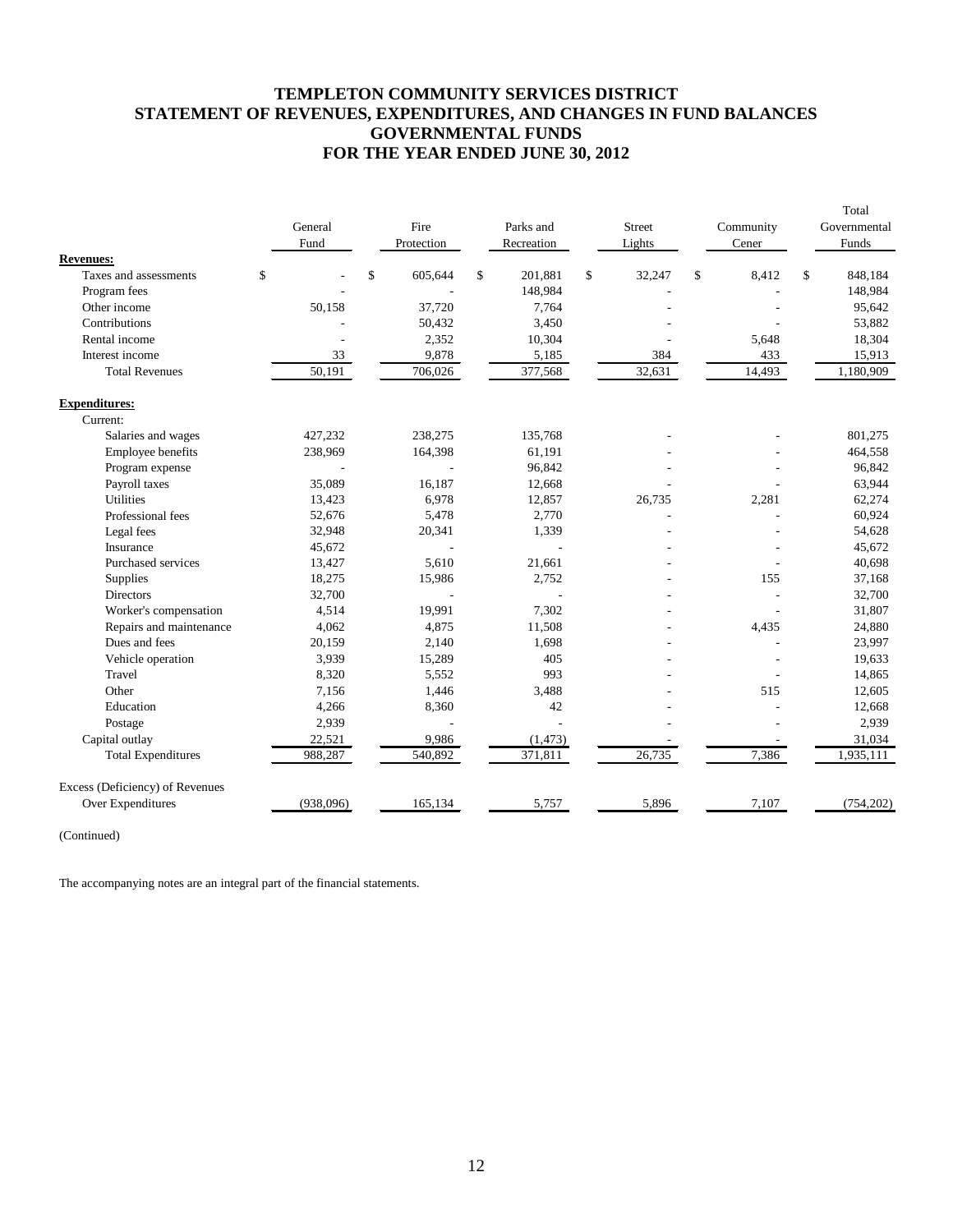## **TEMPLETON COMMUNITY SERVICES DISTRICT STATEMENT OF REVENUES, EXPENDITURES, AND CHANGES IN FUND BALANCES GOVERNMENTAL FUNDS FOR THE YEAR ENDED JUNE 30, 2012**

|                                           | General<br>Fund | Fire<br>Protection       | Parks and<br>Recreation | <b>Street</b><br>Lights | Community<br>Cener | Total<br>Governmental<br>Funds |
|-------------------------------------------|-----------------|--------------------------|-------------------------|-------------------------|--------------------|--------------------------------|
| <b>Revenues:</b><br>Taxes and assessments | \$              | \$<br>605,644            | \$<br>201,881           | \$<br>32,247            | \$<br>8,412        | \$<br>848,184                  |
| Program fees                              |                 |                          | 148,984                 |                         |                    | 148,984                        |
| Other income                              | 50,158          | 37,720                   | 7,764                   |                         |                    | 95,642                         |
| Contributions                             |                 | 50,432                   | 3,450                   |                         |                    | 53,882                         |
| Rental income                             |                 | 2,352                    | 10,304                  |                         | 5,648              | 18,304                         |
| Interest income                           | 33              | 9,878                    | 5,185                   | 384                     | 433                | 15,913                         |
| <b>Total Revenues</b>                     | 50,191          | 706,026                  | 377,568                 | 32,631                  | 14,493             | 1,180,909                      |
| <b>Expenditures:</b>                      |                 |                          |                         |                         |                    |                                |
| Current:                                  |                 |                          |                         |                         |                    |                                |
| Salaries and wages                        | 427,232         | 238,275                  | 135,768                 |                         |                    | 801,275                        |
| Employee benefits                         | 238,969         | 164,398                  | 61,191                  |                         |                    | 464,558                        |
| Program expense                           |                 |                          | 96,842                  |                         |                    | 96,842                         |
| Payroll taxes                             | 35,089          | 16,187                   | 12,668                  |                         |                    | 63,944                         |
| Utilities                                 | 13,423          | 6,978                    | 12,857                  | 26,735                  | 2,281              | 62,274                         |
| Professional fees                         | 52,676          | 5,478                    | 2,770                   |                         |                    | 60,924                         |
| Legal fees                                | 32,948          | 20,341                   | 1,339                   |                         |                    | 54,628                         |
| Insurance                                 | 45,672          | $\overline{a}$           |                         |                         |                    | 45,672                         |
| Purchased services                        | 13,427          | 5,610                    | 21,661                  |                         |                    | 40,698                         |
| Supplies                                  | 18,275          | 15,986                   | 2,752                   |                         | 155                | 37,168                         |
| Directors                                 | 32,700          | $\overline{\phantom{a}}$ |                         |                         |                    | 32,700                         |
| Worker's compensation                     | 4,514           | 19,991                   | 7,302                   |                         |                    | 31,807                         |
| Repairs and maintenance                   | 4.062           | 4.875                    | 11,508                  |                         | 4,435              | 24,880                         |
| Dues and fees                             | 20,159          | 2,140                    | 1,698                   |                         |                    | 23,997                         |
| Vehicle operation                         | 3,939           | 15,289                   | 405                     |                         |                    | 19,633                         |
| Travel                                    | 8,320           | 5,552                    | 993                     |                         |                    | 14,865                         |
| Other                                     | 7,156           | 1,446                    | 3.488                   |                         | 515                | 12,605                         |
| Education                                 | 4,266           | 8,360                    | 42                      |                         |                    | 12,668                         |
| Postage                                   | 2,939           |                          |                         |                         |                    | 2,939                          |
| Capital outlay                            | 22,521          | 9,986                    | (1, 473)                |                         |                    | 31,034                         |
| <b>Total Expenditures</b>                 | 988,287         | 540,892                  | 371,811                 | 26,735                  | 7,386              | 1,935,111                      |
| Excess (Deficiency) of Revenues           |                 |                          |                         |                         |                    |                                |
| Over Expenditures                         | (938,096)       | 165,134                  | 5,757                   | 5,896                   | 7,107              | (754, 202)                     |

(Continued)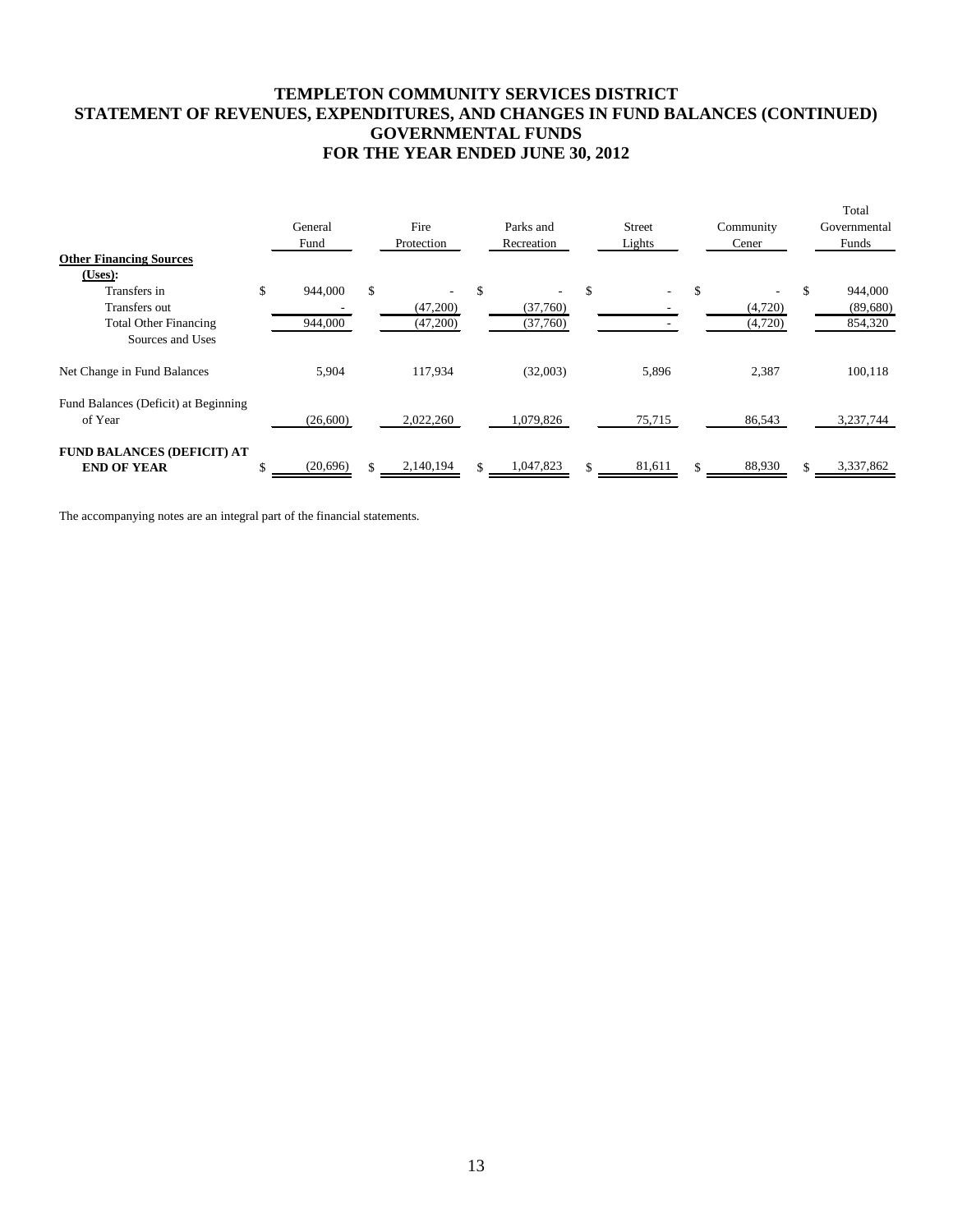## **TEMPLETON COMMUNITY SERVICES DISTRICT STATEMENT OF REVENUES, EXPENDITURES, AND CHANGES IN FUND BALANCES (CONTINUED) GOVERNMENTAL FUNDS FOR THE YEAR ENDED JUNE 30, 2012**

|                                      | General       |     | Fire       |     | Parks and  | <b>Street</b>                  | Community | Total<br>Governmental |
|--------------------------------------|---------------|-----|------------|-----|------------|--------------------------------|-----------|-----------------------|
|                                      | Fund          |     | Protection |     | Recreation | Lights                         | Cener     | Funds                 |
| <b>Other Financing Sources</b>       |               |     |            |     |            |                                |           |                       |
| (Users):                             |               |     |            |     |            |                                |           |                       |
| Transfers in                         | \$<br>944,000 | \$  |            | \$  |            | \$<br>$\overline{\phantom{0}}$ | \$        | 944,000               |
| Transfers out                        |               |     | (47,200)   |     | (37,760)   |                                | (4,720)   | (89,680)              |
| <b>Total Other Financing</b>         | 944,000       |     | (47,200)   |     | (37,760)   |                                | (4,720)   | 854,320               |
| Sources and Uses                     |               |     |            |     |            |                                |           |                       |
| Net Change in Fund Balances          | 5,904         |     | 117,934    |     | (32,003)   | 5,896                          | 2,387     | 100,118               |
| Fund Balances (Deficit) at Beginning |               |     |            |     |            |                                |           |                       |
| of Year                              | (26,600)      |     | 2,022,260  |     | 1,079,826  | 75,715                         | 86,543    | 3,237,744             |
| <b>FUND BALANCES (DEFICIT) AT</b>    |               |     |            |     |            |                                |           |                       |
| <b>END OF YEAR</b>                   | (20, 696)     | \$. | 2,140,194  | \$. | 1,047,823  | 81,611                         | 88,930    | 3,337,862             |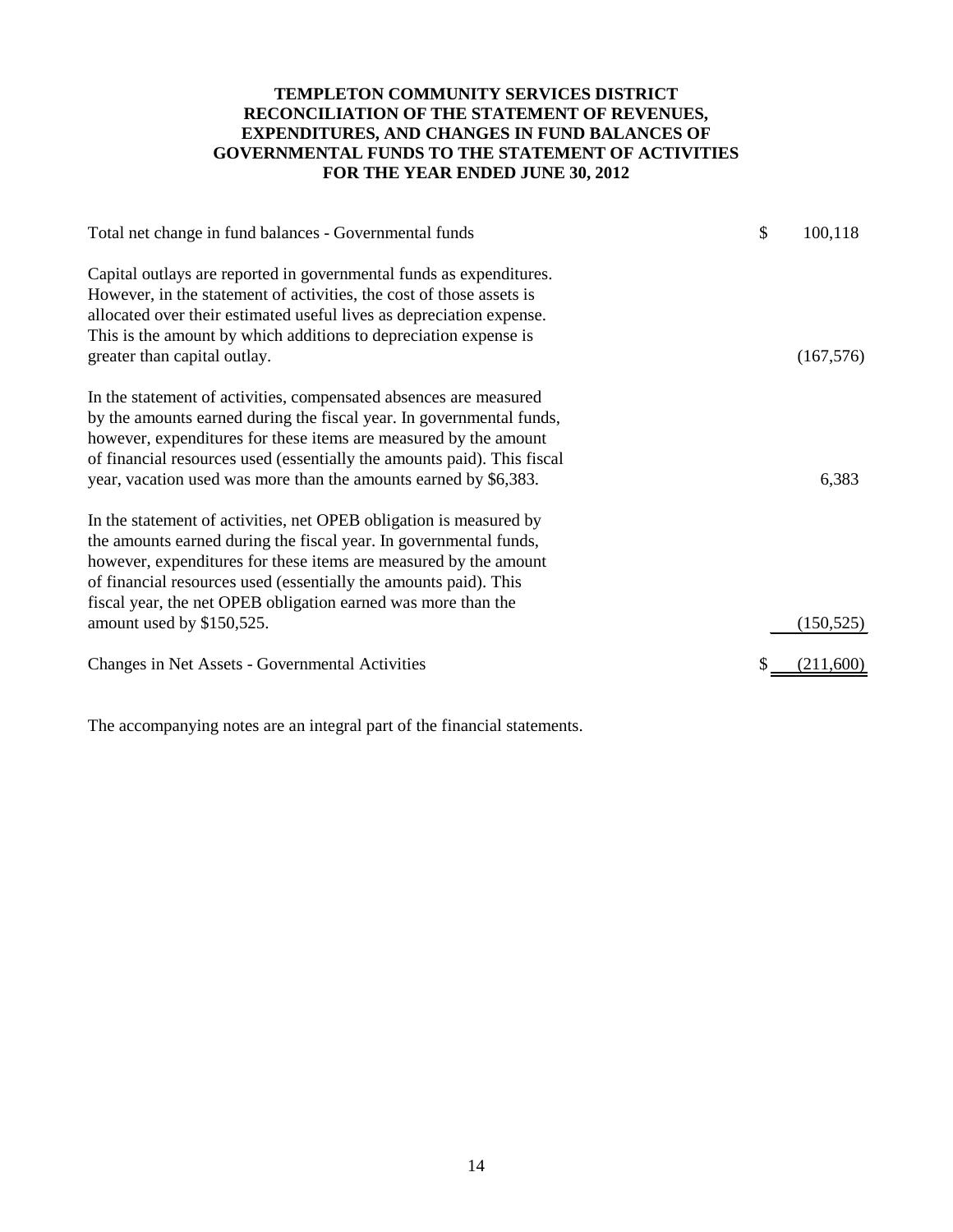## **TEMPLETON COMMUNITY SERVICES DISTRICT RECONCILIATION OF THE STATEMENT OF REVENUES, EXPENDITURES, AND CHANGES IN FUND BALANCES OF GOVERNMENTAL FUNDS TO THE STATEMENT OF ACTIVITIES FOR THE YEAR ENDED JUNE 30, 2012**

| Total net change in fund balances - Governmental funds                                                                                                                                                                                                                                                                                                                        | \$<br>100,118     |
|-------------------------------------------------------------------------------------------------------------------------------------------------------------------------------------------------------------------------------------------------------------------------------------------------------------------------------------------------------------------------------|-------------------|
| Capital outlays are reported in governmental funds as expenditures.<br>However, in the statement of activities, the cost of those assets is<br>allocated over their estimated useful lives as depreciation expense.<br>This is the amount by which additions to depreciation expense is<br>greater than capital outlay.                                                       | (167, 576)        |
| In the statement of activities, compensated absences are measured<br>by the amounts earned during the fiscal year. In governmental funds,<br>however, expenditures for these items are measured by the amount<br>of financial resources used (essentially the amounts paid). This fiscal<br>year, vacation used was more than the amounts earned by \$6,383.                  | 6,383             |
| In the statement of activities, net OPEB obligation is measured by<br>the amounts earned during the fiscal year. In governmental funds,<br>however, expenditures for these items are measured by the amount<br>of financial resources used (essentially the amounts paid). This<br>fiscal year, the net OPEB obligation earned was more than the<br>amount used by \$150,525. | (150, 525)        |
| Changes in Net Assets - Governmental Activities                                                                                                                                                                                                                                                                                                                               | (21 <u>1,600)</u> |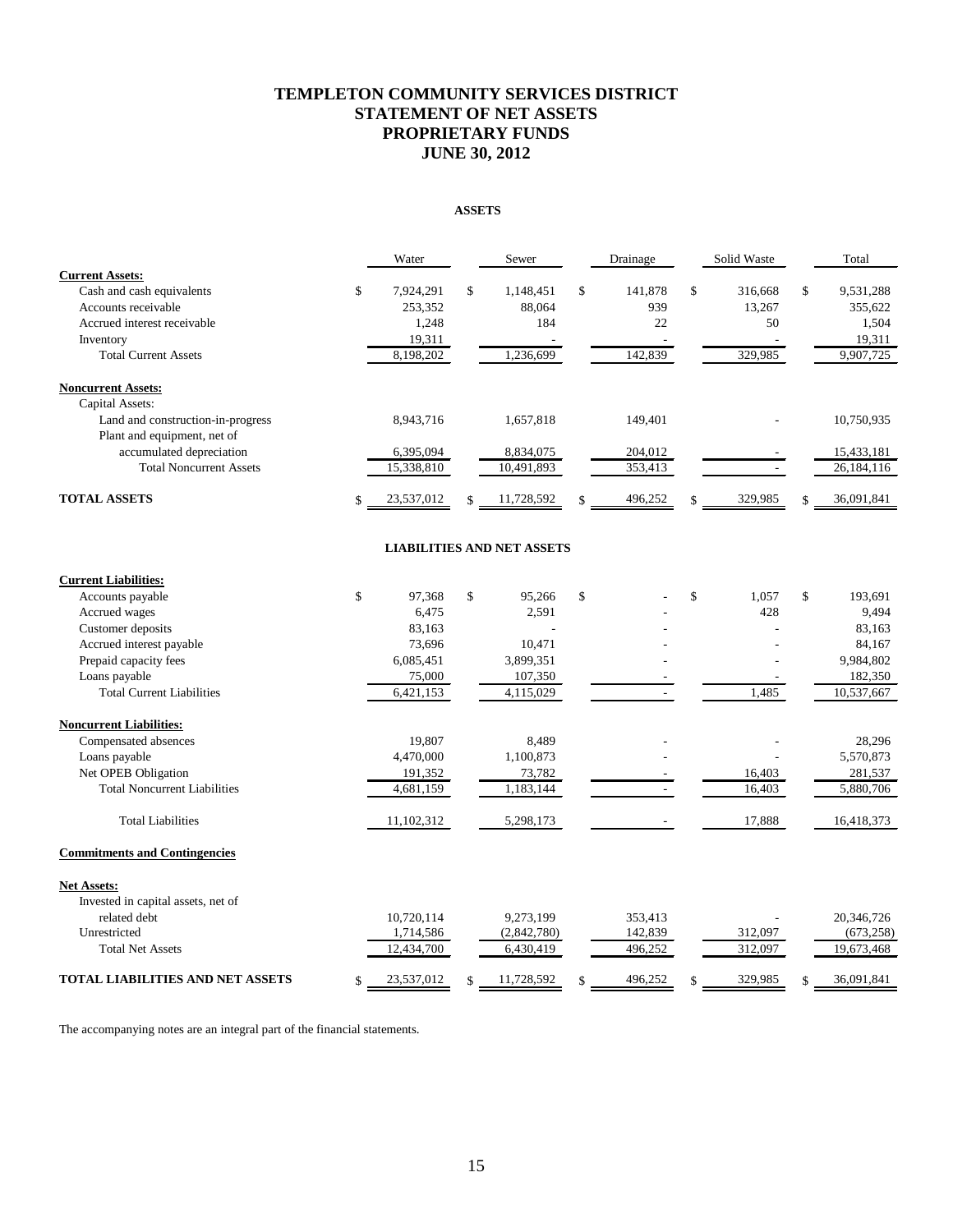## **TEMPLETON COMMUNITY SERVICES DISTRICT STATEMENT OF NET ASSETS PROPRIETARY FUNDS JUNE 30, 2012**

#### **ASSETS**

|                                      |                    | Water      |                    | Sewer                             | Drainage      |                    | Solid Waste | Total            |
|--------------------------------------|--------------------|------------|--------------------|-----------------------------------|---------------|--------------------|-------------|------------------|
| <b>Current Assets:</b>               |                    |            |                    |                                   |               |                    |             |                  |
| Cash and cash equivalents            | \$                 | 7,924,291  | \$                 | 1,148,451                         | \$<br>141,878 | \$                 | 316,668     | \$<br>9,531,288  |
| Accounts receivable                  |                    | 253,352    |                    | 88,064                            | 939           |                    | 13,267      | 355,622          |
| Accrued interest receivable          |                    | 1,248      |                    | 184                               | 22            |                    | 50          | 1,504            |
| Inventory                            |                    | 19,311     |                    |                                   |               |                    |             | 19,311           |
| <b>Total Current Assets</b>          |                    | 8,198,202  |                    | 1,236,699                         | 142,839       |                    | 329,985     | 9,907,725        |
| <b>Noncurrent Assets:</b>            |                    |            |                    |                                   |               |                    |             |                  |
| Capital Assets:                      |                    |            |                    |                                   |               |                    |             |                  |
| Land and construction-in-progress    |                    | 8,943,716  |                    | 1,657,818                         | 149,401       |                    |             | 10,750,935       |
| Plant and equipment, net of          |                    |            |                    |                                   |               |                    |             |                  |
| accumulated depreciation             |                    | 6,395,094  |                    | 8,834,075                         | 204,012       |                    |             | 15,433,181       |
| <b>Total Noncurrent Assets</b>       |                    | 15,338,810 |                    | 10,491,893                        | 353,413       |                    |             | 26,184,116       |
| <b>TOTAL ASSETS</b>                  | \$                 | 23,537,012 | $\mathbf{\hat{S}}$ | 11,728,592                        | \$<br>496,252 | $\mathbf{\hat{S}}$ | 329,985     | \$<br>36,091,841 |
|                                      |                    |            |                    | <b>LIABILITIES AND NET ASSETS</b> |               |                    |             |                  |
| <b>Current Liabilities:</b>          |                    |            |                    |                                   |               |                    |             |                  |
| Accounts payable                     | $\mathbf{\hat{S}}$ | 97,368     | \$                 | 95,266                            | \$            | \$                 | 1,057       | \$<br>193,691    |
| Accrued wages                        |                    | 6,475      |                    | 2,591                             |               |                    | 428         | 9,494            |
| Customer deposits                    |                    | 83,163     |                    | ÷                                 |               |                    |             | 83,163           |
| Accrued interest payable             |                    | 73,696     |                    | 10,471                            |               |                    |             | 84,167           |
| Prepaid capacity fees                |                    | 6,085,451  |                    | 3,899,351                         |               |                    |             | 9,984,802        |
| Loans payable                        |                    | 75,000     |                    | 107,350                           |               |                    |             | 182,350          |
| <b>Total Current Liabilities</b>     |                    | 6,421,153  |                    | 4,115,029                         |               |                    | 1,485       | 10,537,667       |
| <b>Noncurrent Liabilities:</b>       |                    |            |                    |                                   |               |                    |             |                  |
| Compensated absences                 |                    | 19,807     |                    | 8,489                             |               |                    |             | 28,296           |
| Loans payable                        |                    | 4,470,000  |                    | 1,100,873                         |               |                    |             | 5,570,873        |
| Net OPEB Obligation                  |                    | 191,352    |                    | 73,782                            |               |                    | 16,403      | 281,537          |
| <b>Total Noncurrent Liabilities</b>  |                    | 4,681,159  |                    | 1,183,144                         |               |                    | 16,403      | 5,880,706        |
| <b>Total Liabilities</b>             |                    | 11,102,312 |                    | 5,298,173                         |               |                    | 17,888      | 16,418,373       |
| <b>Commitments and Contingencies</b> |                    |            |                    |                                   |               |                    |             |                  |
| <b>Net Assets:</b>                   |                    |            |                    |                                   |               |                    |             |                  |
| Invested in capital assets, net of   |                    |            |                    |                                   |               |                    |             |                  |
| related debt                         |                    | 10,720,114 |                    | 9,273,199                         | 353,413       |                    |             | 20,346,726       |
| Unrestricted                         |                    | 1,714,586  |                    | (2,842,780)                       | 142,839       |                    | 312,097     | (673, 258)       |
| <b>Total Net Assets</b>              |                    | 12,434,700 |                    | 6,430,419                         | 496,252       |                    | 312,097     | 19,673,468       |
| TOTAL LIABILITIES AND NET ASSETS     | \$                 | 23,537,012 | \$                 | 11,728,592                        | 496,252       | \$                 | 329,985     | \$<br>36,091,841 |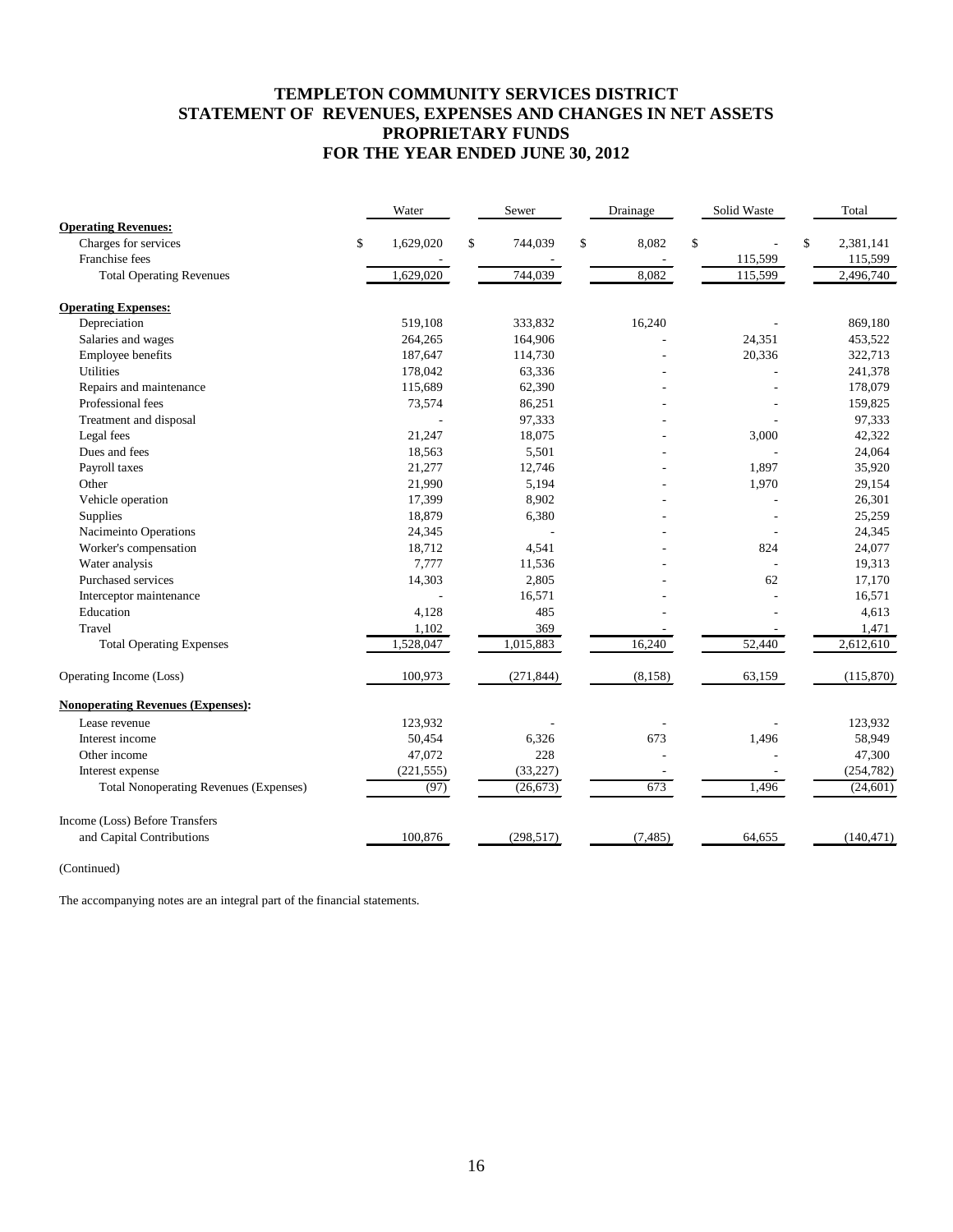## **TEMPLETON COMMUNITY SERVICES DISTRICT STATEMENT OF REVENUES, EXPENSES AND CHANGES IN NET ASSETS PROPRIETARY FUNDS FOR THE YEAR ENDED JUNE 30, 2012**

|                                               | Water           | Sewer         | Drainage    | Solid Waste | Total           |
|-----------------------------------------------|-----------------|---------------|-------------|-------------|-----------------|
| <b>Operating Revenues:</b>                    |                 |               |             |             |                 |
| Charges for services                          | \$<br>1,629,020 | \$<br>744,039 | \$<br>8,082 | \$          | \$<br>2,381,141 |
| Franchise fees                                |                 |               |             | 115,599     | 115,599         |
| <b>Total Operating Revenues</b>               | 1,629,020       | 744,039       | 8,082       | 115,599     | 2,496,740       |
| <b>Operating Expenses:</b>                    |                 |               |             |             |                 |
| Depreciation                                  | 519,108         | 333,832       | 16,240      |             | 869,180         |
| Salaries and wages                            | 264,265         | 164,906       |             | 24,351      | 453,522         |
| Employee benefits                             | 187,647         | 114,730       |             | 20,336      | 322,713         |
| <b>Utilities</b>                              | 178,042         | 63,336        |             |             | 241,378         |
| Repairs and maintenance                       | 115,689         | 62,390        |             |             | 178,079         |
| Professional fees                             | 73,574          | 86,251        |             |             | 159,825         |
| Treatment and disposal                        |                 | 97,333        |             |             | 97,333          |
| Legal fees                                    | 21,247          | 18,075        |             | 3,000       | 42,322          |
| Dues and fees                                 | 18,563          | 5,501         |             |             | 24,064          |
| Payroll taxes                                 | 21,277          | 12,746        |             | 1,897       | 35,920          |
| Other                                         | 21,990          | 5,194         |             | 1,970       | 29,154          |
| Vehicle operation                             | 17,399          | 8,902         |             |             | 26,301          |
| Supplies                                      | 18,879          | 6,380         |             |             | 25,259          |
| Nacimeinto Operations                         | 24,345          |               |             |             | 24,345          |
| Worker's compensation                         | 18,712          | 4,541         |             | 824         | 24,077          |
| Water analysis                                | 7,777           | 11,536        |             |             | 19,313          |
| Purchased services                            | 14,303          | 2,805         |             | 62          | 17,170          |
| Interceptor maintenance                       |                 | 16,571        |             |             | 16,571          |
| Education                                     | 4,128           | 485           |             |             | 4,613           |
| Travel                                        | 1,102           | 369           |             |             | 1,471           |
| <b>Total Operating Expenses</b>               | 1,528,047       | 1,015,883     | 16,240      | 52,440      | 2,612,610       |
| Operating Income (Loss)                       | 100,973         | (271, 844)    | (8, 158)    | 63,159      | (115, 870)      |
| <b>Nonoperating Revenues (Expenses):</b>      |                 |               |             |             |                 |
| Lease revenue                                 | 123,932         |               |             |             | 123,932         |
| Interest income                               | 50,454          | 6,326         | 673         | 1,496       | 58,949          |
| Other income                                  | 47,072          | 228           |             |             | 47,300          |
| Interest expense                              | (221, 555)      | (33, 227)     |             |             | (254, 782)      |
| <b>Total Nonoperating Revenues (Expenses)</b> | (97)            | (26, 673)     | 673         | 1,496       | (24,601)        |
| Income (Loss) Before Transfers                |                 |               |             |             |                 |
| and Capital Contributions                     | 100,876         | (298, 517)    | (7, 485)    | 64,655      | (140, 471)      |

(Continued)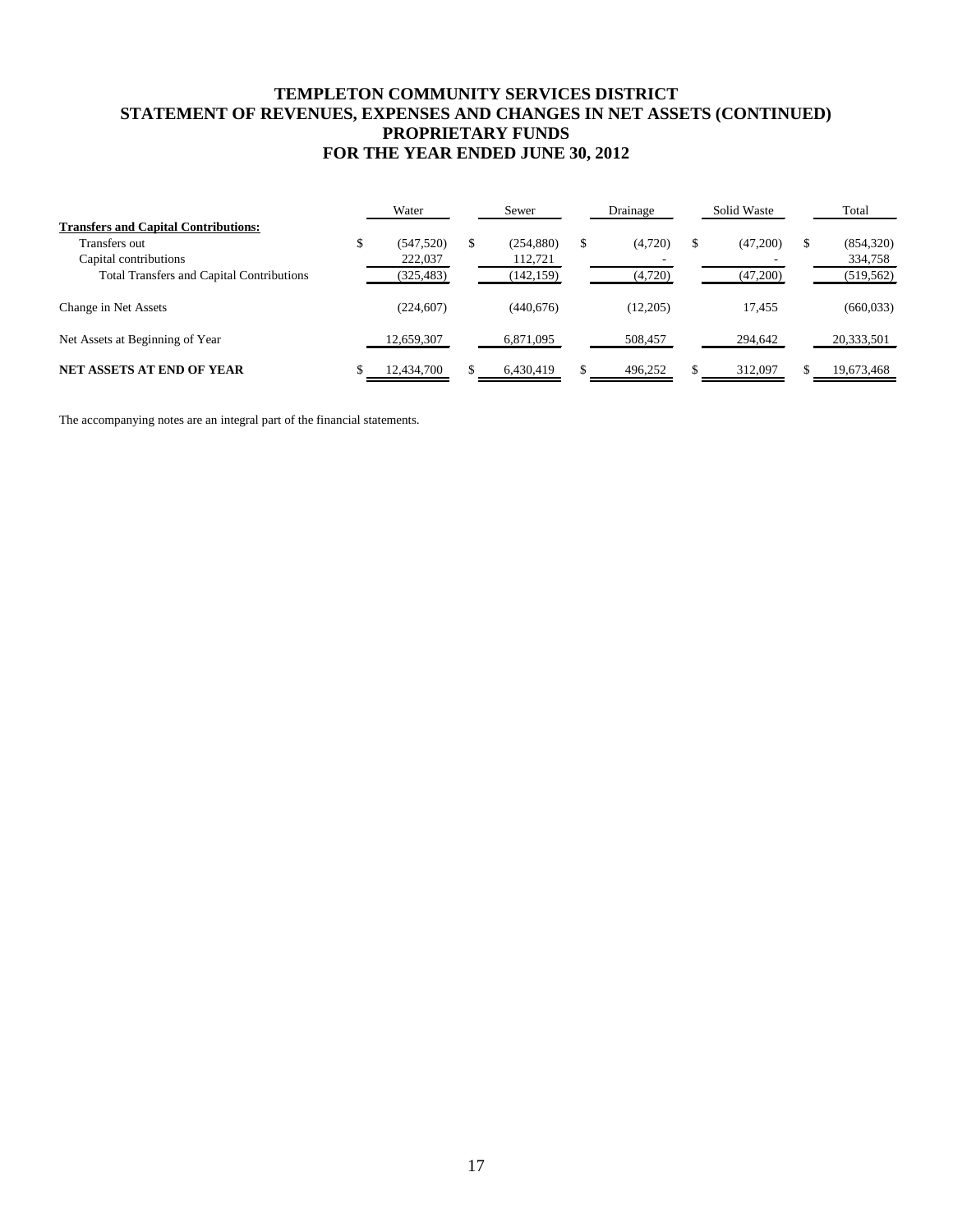## **TEMPLETON COMMUNITY SERVICES DISTRICT STATEMENT OF REVENUES, EXPENSES AND CHANGES IN NET ASSETS (CONTINUED) PROPRIETARY FUNDS FOR THE YEAR ENDED JUNE 30, 2012**

|                                                  | Water      | Sewer      | Drainage      |    | Solid Waste |   | Total      |
|--------------------------------------------------|------------|------------|---------------|----|-------------|---|------------|
| <b>Transfers and Capital Contributions:</b>      |            |            |               |    |             |   |            |
| Transfers out                                    | (547, 520) | (254, 880) | \$<br>(4,720) | ٠D | (47,200)    | S | (854, 320) |
| Capital contributions                            | 222,037    | 112,721    |               |    |             |   | 334,758    |
| <b>Total Transfers and Capital Contributions</b> | (325, 483) | (142, 159) | (4,720)       |    | (47,200)    |   | (519, 562) |
| Change in Net Assets                             | (224, 607) | (440,676)  | (12,205)      |    | 17.455      |   | (660, 033) |
| Net Assets at Beginning of Year                  | 12,659,307 | 6,871,095  | 508,457       |    | 294,642     |   | 20,333,501 |
| <b>NET ASSETS AT END OF YEAR</b>                 | 12,434,700 | 6.430.419  | 496,252       |    | 312,097     |   | 19,673,468 |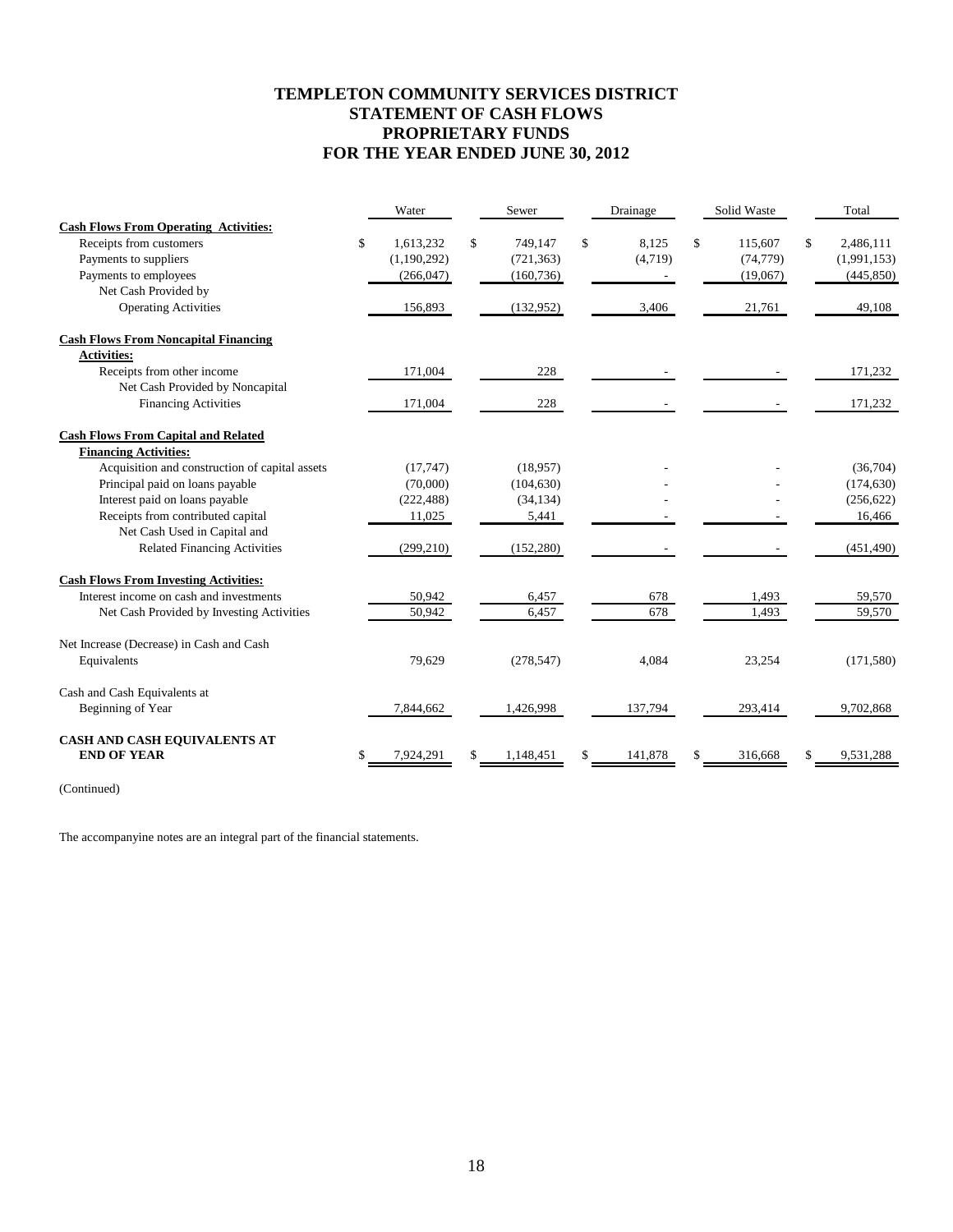## **TEMPLETON COMMUNITY SERVICES DISTRICT STATEMENT OF CASH FLOWS PROPRIETARY FUNDS FOR THE YEAR ENDED JUNE 30, 2012**

|                                                | Water           | Sewer         | Drainage    | Solid Waste   | Total           |
|------------------------------------------------|-----------------|---------------|-------------|---------------|-----------------|
| <b>Cash Flows From Operating Activities:</b>   |                 |               |             |               |                 |
| Receipts from customers                        | \$<br>1,613,232 | \$<br>749,147 | \$<br>8,125 | \$<br>115,607 | \$<br>2,486,111 |
| Payments to suppliers                          | (1,190,292)     | (721, 363)    | (4,719)     | (74, 779)     | (1,991,153)     |
| Payments to employees                          | (266, 047)      | (160, 736)    |             | (19,067)      | (445, 850)      |
| Net Cash Provided by                           |                 |               |             |               |                 |
| <b>Operating Activities</b>                    | 156,893         | (132,952)     | 3,406       | 21,761        | 49,108          |
| <b>Cash Flows From Noncapital Financing</b>    |                 |               |             |               |                 |
| <b>Activities:</b>                             |                 |               |             |               |                 |
| Receipts from other income                     | 171,004         | 228           |             |               | 171,232         |
| Net Cash Provided by Noncapital                |                 |               |             |               |                 |
| <b>Financing Activities</b>                    | 171,004         | 228           |             |               | 171,232         |
| <b>Cash Flows From Capital and Related</b>     |                 |               |             |               |                 |
| <b>Financing Activities:</b>                   |                 |               |             |               |                 |
| Acquisition and construction of capital assets | (17,747)        | (18,957)      |             |               | (36,704)        |
| Principal paid on loans payable                | (70,000)        | (104, 630)    |             |               | (174, 630)      |
| Interest paid on loans payable                 | (222, 488)      | (34, 134)     |             |               | (256, 622)      |
| Receipts from contributed capital              | 11,025          | 5,441         |             |               | 16,466          |
| Net Cash Used in Capital and                   |                 |               |             |               |                 |
| <b>Related Financing Activities</b>            | (299, 210)      | (152, 280)    |             |               | (451, 490)      |
| <b>Cash Flows From Investing Activities:</b>   |                 |               |             |               |                 |
| Interest income on cash and investments        | 50,942          | 6,457         | 678         | 1,493         | 59,570          |
| Net Cash Provided by Investing Activities      | 50,942          | 6,457         | 678         | 1,493         | 59,570          |
| Net Increase (Decrease) in Cash and Cash       |                 |               |             |               |                 |
| Equivalents                                    | 79,629          | (278, 547)    | 4.084       | 23,254        | (171, 580)      |
| Cash and Cash Equivalents at                   |                 |               |             |               |                 |
| Beginning of Year                              | 7,844,662       | 1,426,998     | 137,794     | 293,414       | 9,702,868       |
| <b>CASH AND CASH EQUIVALENTS AT</b>            |                 |               |             |               |                 |
| <b>END OF YEAR</b>                             | \$<br>7,924,291 | 1,148,451     | 141,878     | 316,668       | 9,531,288       |

(Continued)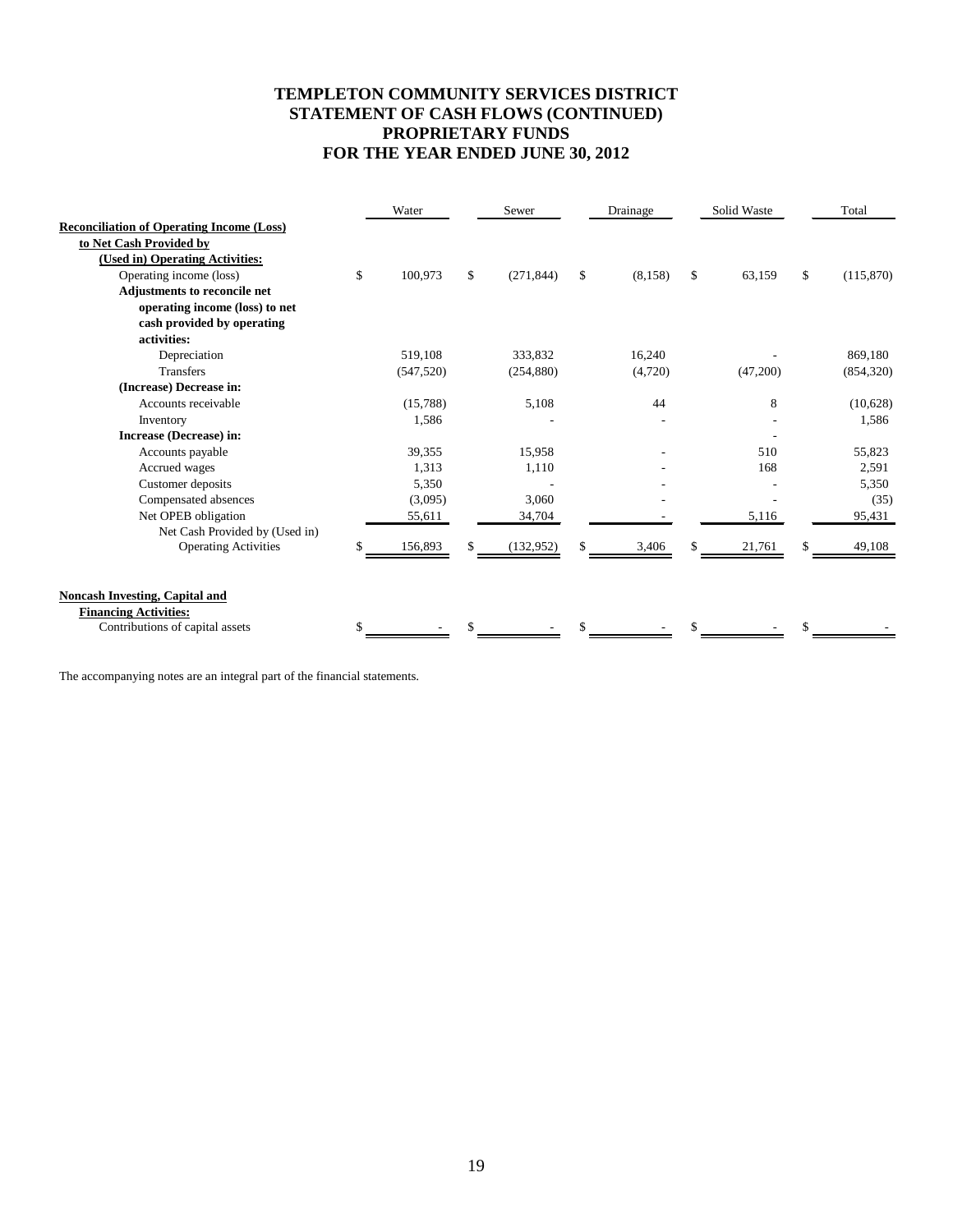## **TEMPLETON COMMUNITY SERVICES DISTRICT STATEMENT OF CASH FLOWS (CONTINUED) PROPRIETARY FUNDS FOR THE YEAR ENDED JUNE 30, 2012**

|                                                  |    | Water      | Sewer            |     | Drainage | Solid Waste  | Total           |
|--------------------------------------------------|----|------------|------------------|-----|----------|--------------|-----------------|
| <b>Reconciliation of Operating Income (Loss)</b> |    |            |                  |     |          |              |                 |
| to Net Cash Provided by                          |    |            |                  |     |          |              |                 |
| (Used in) Operating Activities:                  |    |            |                  |     |          |              |                 |
| Operating income (loss)                          | \$ | 100,973    | \$<br>(271, 844) | \$. | (8, 158) | \$<br>63,159 | \$<br>(115,870) |
| Adjustments to reconcile net                     |    |            |                  |     |          |              |                 |
| operating income (loss) to net                   |    |            |                  |     |          |              |                 |
| cash provided by operating                       |    |            |                  |     |          |              |                 |
| activities:                                      |    |            |                  |     |          |              |                 |
| Depreciation                                     |    | 519.108    | 333,832          |     | 16,240   |              | 869,180         |
| <b>Transfers</b>                                 |    | (547, 520) | (254, 880)       |     | (4,720)  | (47,200)     | (854, 320)      |
| (Increase) Decrease in:                          |    |            |                  |     |          |              |                 |
| Accounts receivable                              |    | (15,788)   | 5,108            |     | 44       | 8            | (10,628)        |
| Inventory                                        |    | 1,586      |                  |     |          |              | 1,586           |
| Increase (Decrease) in:                          |    |            |                  |     |          |              |                 |
| Accounts payable                                 |    | 39,355     | 15,958           |     |          | 510          | 55,823          |
| Accrued wages                                    |    | 1,313      | 1,110            |     |          | 168          | 2,591           |
| Customer deposits                                |    | 5,350      |                  |     |          |              | 5,350           |
| Compensated absences                             |    | (3,095)    | 3,060            |     |          |              | (35)            |
| Net OPEB obligation                              |    | 55,611     | 34,704           |     |          | 5,116        | 95,431          |
| Net Cash Provided by (Used in)                   |    |            |                  |     |          |              |                 |
| <b>Operating Activities</b>                      | ፍ  | 156,893    | (132, 952)       |     | 3,406    | 21,761       | 49,108          |
|                                                  |    |            |                  |     |          |              |                 |
| <b>Noncash Investing, Capital and</b>            |    |            |                  |     |          |              |                 |
| <b>Financing Activities:</b>                     |    |            |                  |     |          |              |                 |
| Contributions of capital assets                  | \$ |            |                  |     |          |              |                 |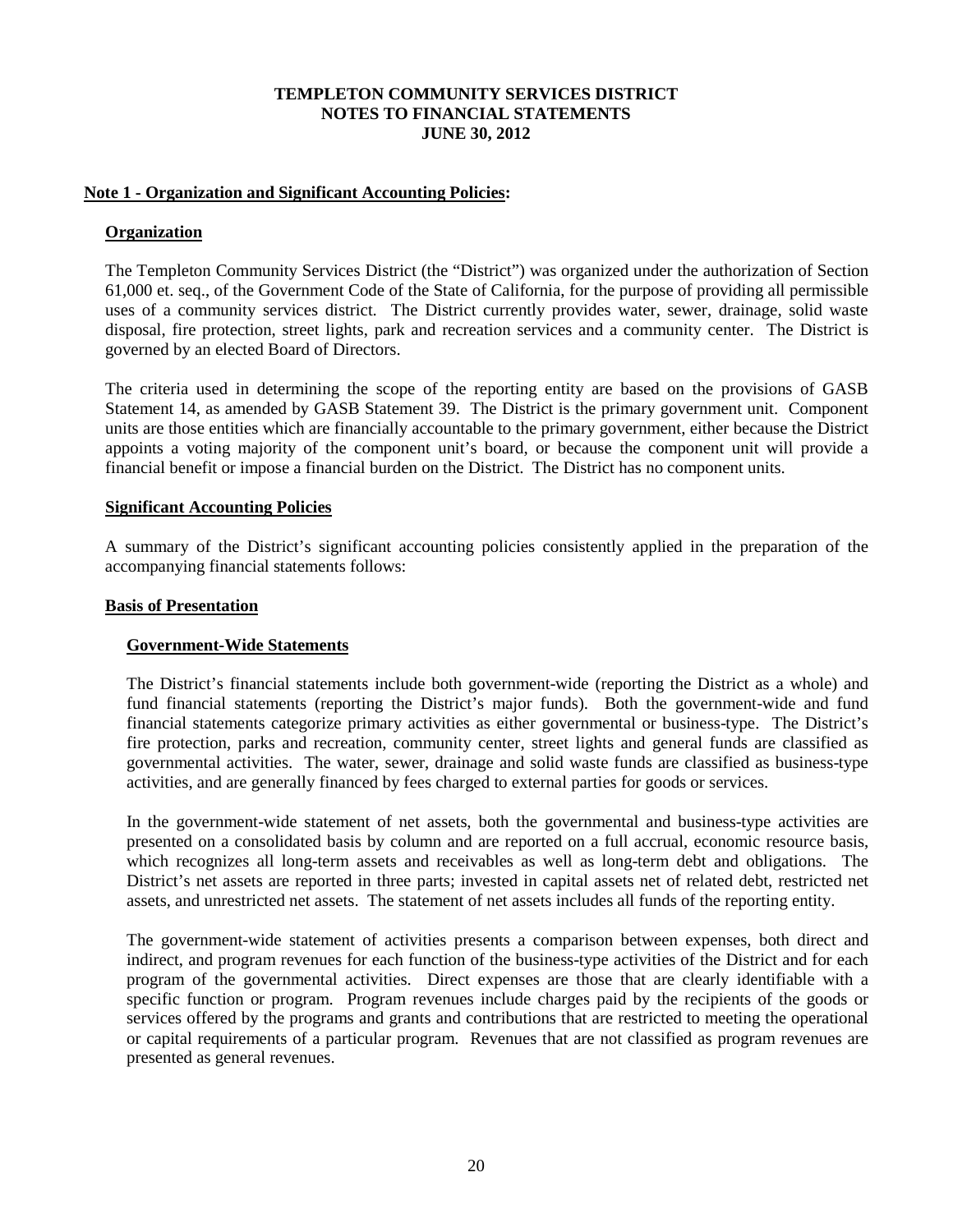## **Note 1 - Organization and Significant Accounting Policies:**

## **Organization**

The Templeton Community Services District (the "District") was organized under the authorization of Section 61,000 et. seq., of the Government Code of the State of California, for the purpose of providing all permissible uses of a community services district. The District currently provides water, sewer, drainage, solid waste disposal, fire protection, street lights, park and recreation services and a community center. The District is governed by an elected Board of Directors.

The criteria used in determining the scope of the reporting entity are based on the provisions of GASB Statement 14, as amended by GASB Statement 39. The District is the primary government unit. Component units are those entities which are financially accountable to the primary government, either because the District appoints a voting majority of the component unit's board, or because the component unit will provide a financial benefit or impose a financial burden on the District. The District has no component units.

## **Significant Accounting Policies**

A summary of the District's significant accounting policies consistently applied in the preparation of the accompanying financial statements follows:

## **Basis of Presentation**

## **Government-Wide Statements**

The District's financial statements include both government-wide (reporting the District as a whole) and fund financial statements (reporting the District's major funds). Both the government-wide and fund financial statements categorize primary activities as either governmental or business-type. The District's fire protection, parks and recreation, community center, street lights and general funds are classified as governmental activities. The water, sewer, drainage and solid waste funds are classified as business-type activities, and are generally financed by fees charged to external parties for goods or services.

In the government-wide statement of net assets, both the governmental and business-type activities are presented on a consolidated basis by column and are reported on a full accrual, economic resource basis, which recognizes all long-term assets and receivables as well as long-term debt and obligations. The District's net assets are reported in three parts; invested in capital assets net of related debt, restricted net assets, and unrestricted net assets. The statement of net assets includes all funds of the reporting entity.

The government-wide statement of activities presents a comparison between expenses, both direct and indirect, and program revenues for each function of the business-type activities of the District and for each program of the governmental activities. Direct expenses are those that are clearly identifiable with a specific function or program. Program revenues include charges paid by the recipients of the goods or services offered by the programs and grants and contributions that are restricted to meeting the operational or capital requirements of a particular program. Revenues that are not classified as program revenues are presented as general revenues.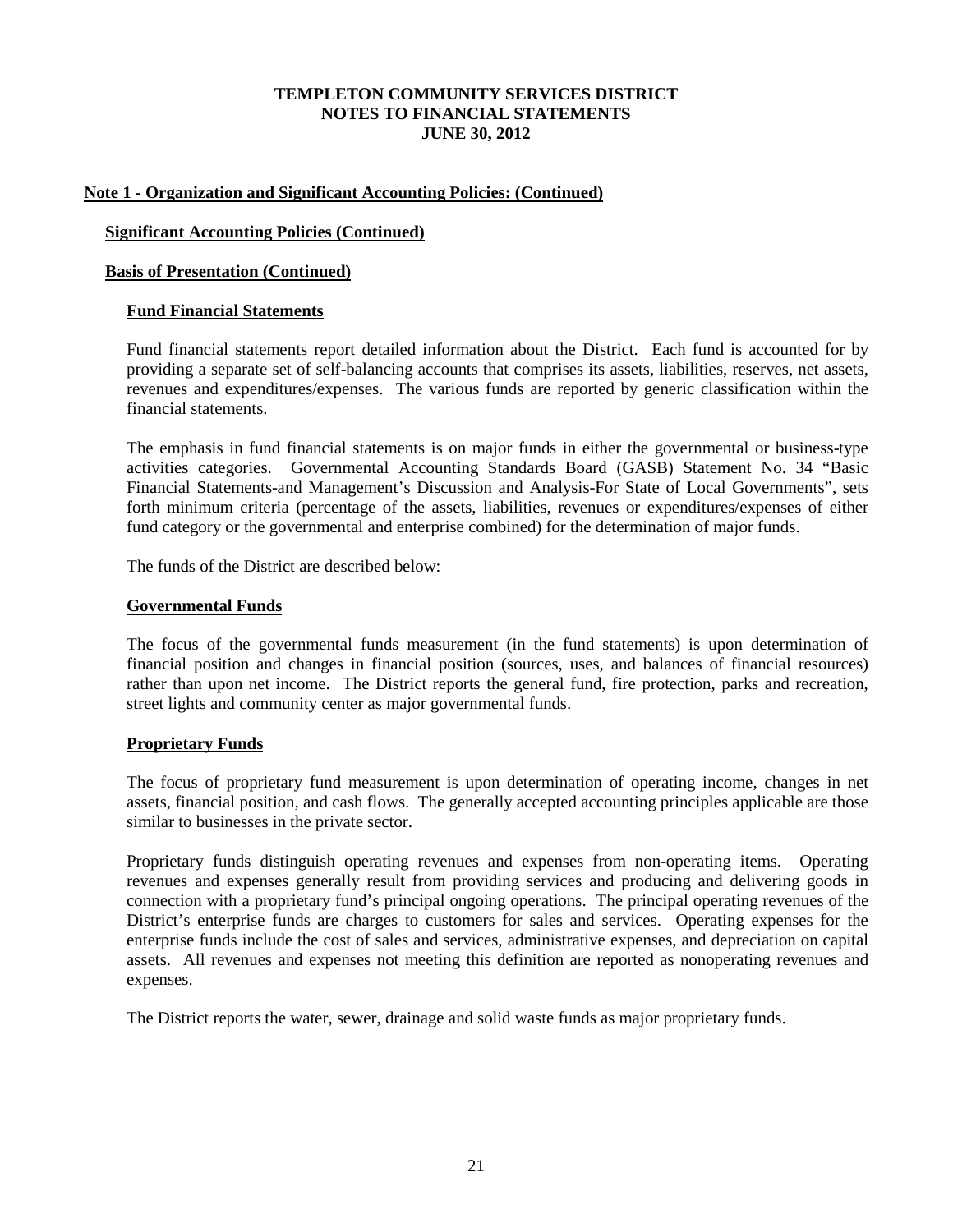## **Note 1 - Organization and Significant Accounting Policies: (Continued)**

## **Significant Accounting Policies (Continued)**

#### **Basis of Presentation (Continued)**

#### **Fund Financial Statements**

Fund financial statements report detailed information about the District. Each fund is accounted for by providing a separate set of self-balancing accounts that comprises its assets, liabilities, reserves, net assets, revenues and expenditures/expenses. The various funds are reported by generic classification within the financial statements.

The emphasis in fund financial statements is on major funds in either the governmental or business-type activities categories. Governmental Accounting Standards Board (GASB) Statement No. 34 "Basic Financial Statements-and Management's Discussion and Analysis-For State of Local Governments", sets forth minimum criteria (percentage of the assets, liabilities, revenues or expenditures/expenses of either fund category or the governmental and enterprise combined) for the determination of major funds.

The funds of the District are described below:

#### **Governmental Funds**

The focus of the governmental funds measurement (in the fund statements) is upon determination of financial position and changes in financial position (sources, uses, and balances of financial resources) rather than upon net income. The District reports the general fund, fire protection, parks and recreation, street lights and community center as major governmental funds.

## **Proprietary Funds**

The focus of proprietary fund measurement is upon determination of operating income, changes in net assets, financial position, and cash flows. The generally accepted accounting principles applicable are those similar to businesses in the private sector.

Proprietary funds distinguish operating revenues and expenses from non-operating items. Operating revenues and expenses generally result from providing services and producing and delivering goods in connection with a proprietary fund's principal ongoing operations. The principal operating revenues of the District's enterprise funds are charges to customers for sales and services. Operating expenses for the enterprise funds include the cost of sales and services, administrative expenses, and depreciation on capital assets. All revenues and expenses not meeting this definition are reported as nonoperating revenues and expenses.

The District reports the water, sewer, drainage and solid waste funds as major proprietary funds.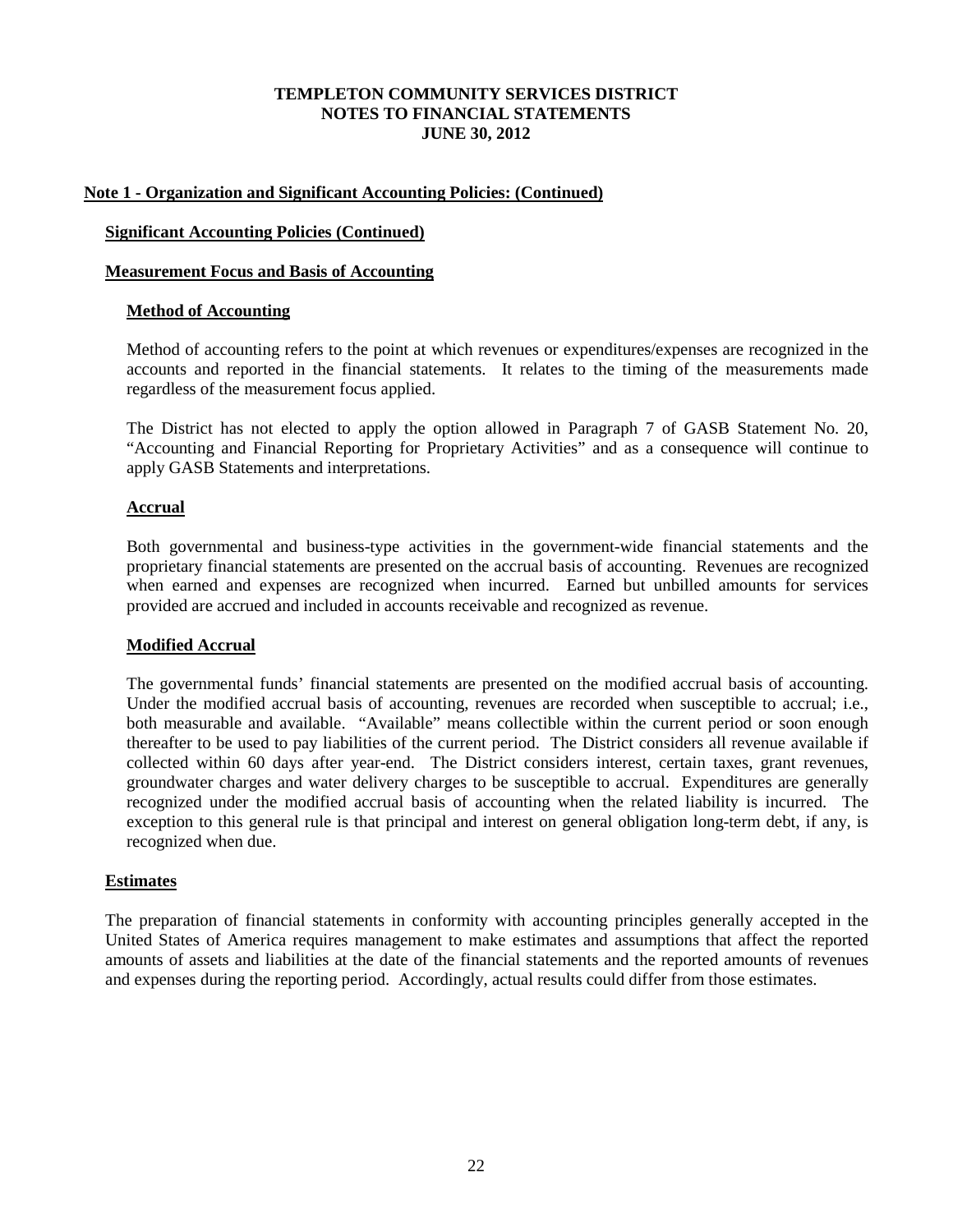## **Note 1 - Organization and Significant Accounting Policies: (Continued)**

## **Significant Accounting Policies (Continued)**

## **Measurement Focus and Basis of Accounting**

### **Method of Accounting**

Method of accounting refers to the point at which revenues or expenditures/expenses are recognized in the accounts and reported in the financial statements. It relates to the timing of the measurements made regardless of the measurement focus applied.

The District has not elected to apply the option allowed in Paragraph 7 of GASB Statement No. 20, "Accounting and Financial Reporting for Proprietary Activities" and as a consequence will continue to apply GASB Statements and interpretations.

## **Accrual**

Both governmental and business-type activities in the government-wide financial statements and the proprietary financial statements are presented on the accrual basis of accounting. Revenues are recognized when earned and expenses are recognized when incurred. Earned but unbilled amounts for services provided are accrued and included in accounts receivable and recognized as revenue.

## **Modified Accrual**

The governmental funds' financial statements are presented on the modified accrual basis of accounting. Under the modified accrual basis of accounting, revenues are recorded when susceptible to accrual; i.e., both measurable and available. "Available" means collectible within the current period or soon enough thereafter to be used to pay liabilities of the current period. The District considers all revenue available if collected within 60 days after year-end. The District considers interest, certain taxes, grant revenues, groundwater charges and water delivery charges to be susceptible to accrual. Expenditures are generally recognized under the modified accrual basis of accounting when the related liability is incurred. The exception to this general rule is that principal and interest on general obligation long-term debt, if any, is recognized when due.

## **Estimates**

The preparation of financial statements in conformity with accounting principles generally accepted in the United States of America requires management to make estimates and assumptions that affect the reported amounts of assets and liabilities at the date of the financial statements and the reported amounts of revenues and expenses during the reporting period. Accordingly, actual results could differ from those estimates.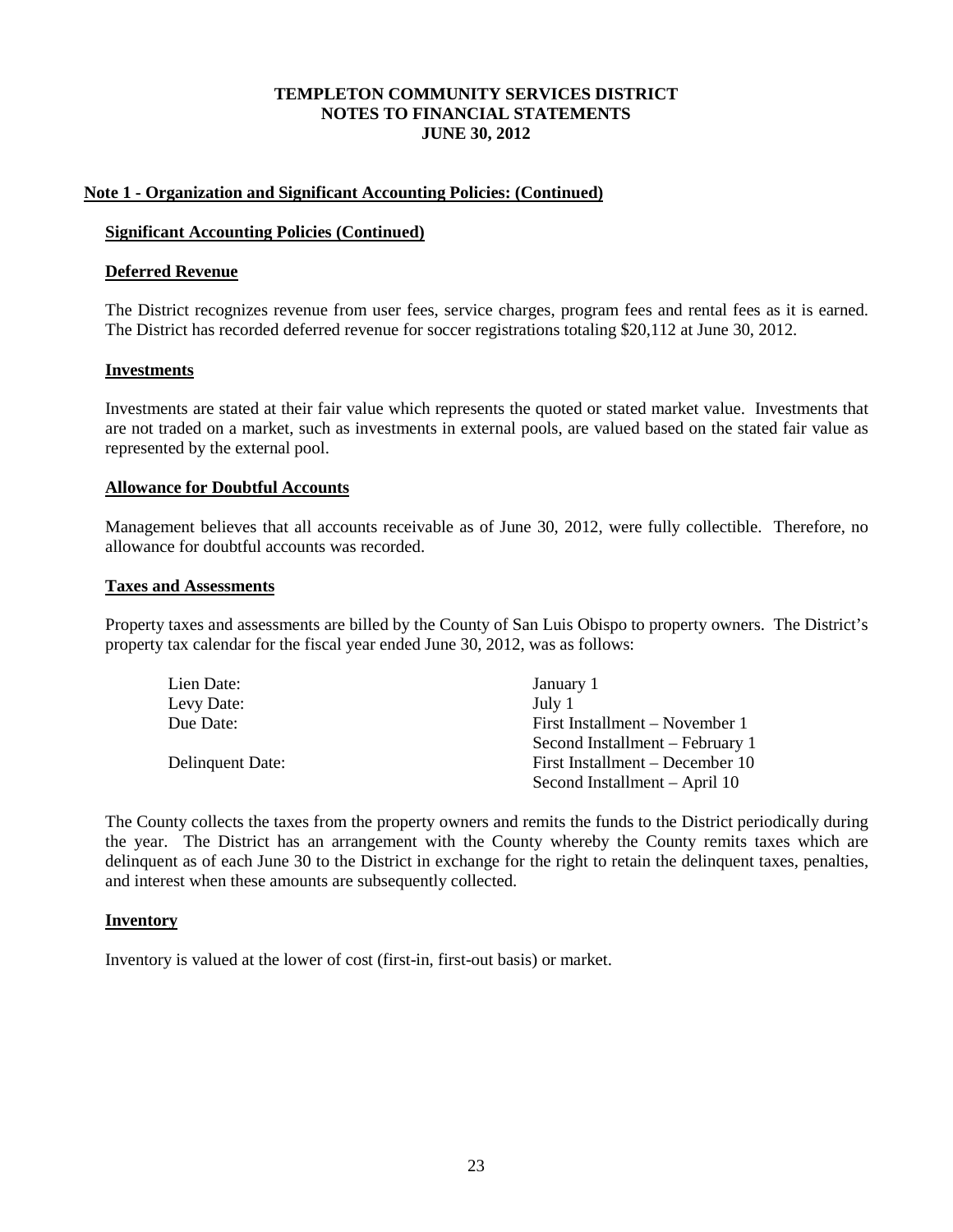## **Note 1 - Organization and Significant Accounting Policies: (Continued)**

#### **Significant Accounting Policies (Continued)**

#### **Deferred Revenue**

The District recognizes revenue from user fees, service charges, program fees and rental fees as it is earned. The District has recorded deferred revenue for soccer registrations totaling \$20,112 at June 30, 2012.

#### **Investments**

Investments are stated at their fair value which represents the quoted or stated market value. Investments that are not traded on a market, such as investments in external pools, are valued based on the stated fair value as represented by the external pool.

#### **Allowance for Doubtful Accounts**

Management believes that all accounts receivable as of June 30, 2012, were fully collectible. Therefore, no allowance for doubtful accounts was recorded.

#### **Taxes and Assessments**

Property taxes and assessments are billed by the County of San Luis Obispo to property owners. The District's property tax calendar for the fiscal year ended June 30, 2012, was as follows:

| Lien Date:       | January 1                       |
|------------------|---------------------------------|
| Levy Date:       | July 1                          |
| Due Date:        | First Installment – November 1  |
|                  | Second Installment – February 1 |
| Delinquent Date: | First Installment – December 10 |
|                  | Second Installment – April 10   |

The County collects the taxes from the property owners and remits the funds to the District periodically during the year. The District has an arrangement with the County whereby the County remits taxes which are delinquent as of each June 30 to the District in exchange for the right to retain the delinquent taxes, penalties, and interest when these amounts are subsequently collected.

#### **Inventory**

Inventory is valued at the lower of cost (first-in, first-out basis) or market.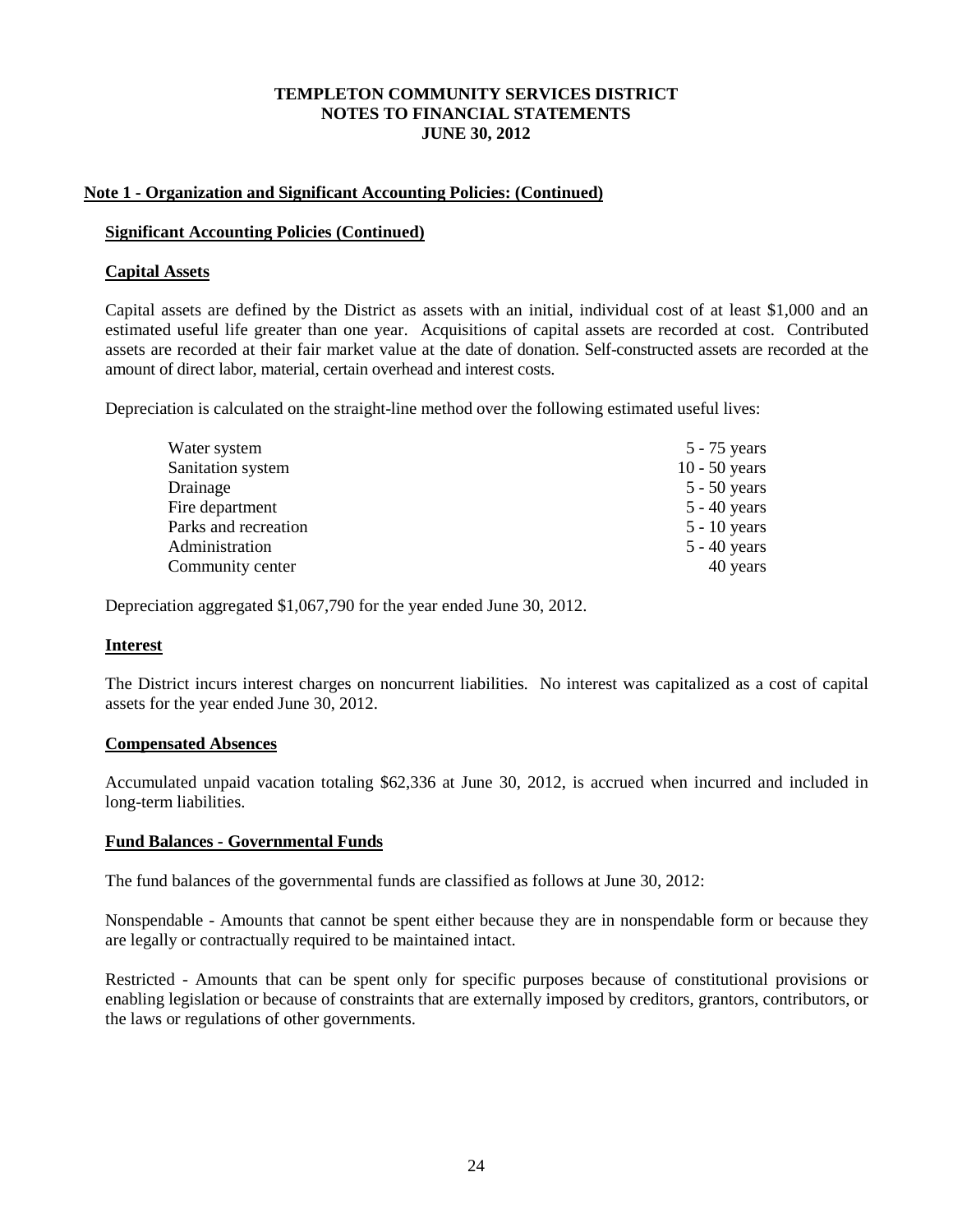## **Note 1 - Organization and Significant Accounting Policies: (Continued)**

## **Significant Accounting Policies (Continued)**

## **Capital Assets**

Capital assets are defined by the District as assets with an initial, individual cost of at least \$1,000 and an estimated useful life greater than one year. Acquisitions of capital assets are recorded at cost. Contributed assets are recorded at their fair market value at the date of donation. Self-constructed assets are recorded at the amount of direct labor, material, certain overhead and interest costs.

Depreciation is calculated on the straight-line method over the following estimated useful lives:

| Water system         | $5 - 75$ years  |
|----------------------|-----------------|
| Sanitation system    | $10 - 50$ years |
| Drainage             | $5 - 50$ years  |
| Fire department      | $5 - 40$ years  |
| Parks and recreation | $5 - 10$ years  |
| Administration       | $5 - 40$ years  |
| Community center     | 40 years        |

Depreciation aggregated \$1,067,790 for the year ended June 30, 2012.

## **Interest**

The District incurs interest charges on noncurrent liabilities. No interest was capitalized as a cost of capital assets for the year ended June 30, 2012.

## **Compensated Absences**

Accumulated unpaid vacation totaling \$62,336 at June 30, 2012, is accrued when incurred and included in long-term liabilities.

## **Fund Balances - Governmental Funds**

The fund balances of the governmental funds are classified as follows at June 30, 2012:

Nonspendable - Amounts that cannot be spent either because they are in nonspendable form or because they are legally or contractually required to be maintained intact.

Restricted - Amounts that can be spent only for specific purposes because of constitutional provisions or enabling legislation or because of constraints that are externally imposed by creditors, grantors, contributors, or the laws or regulations of other governments.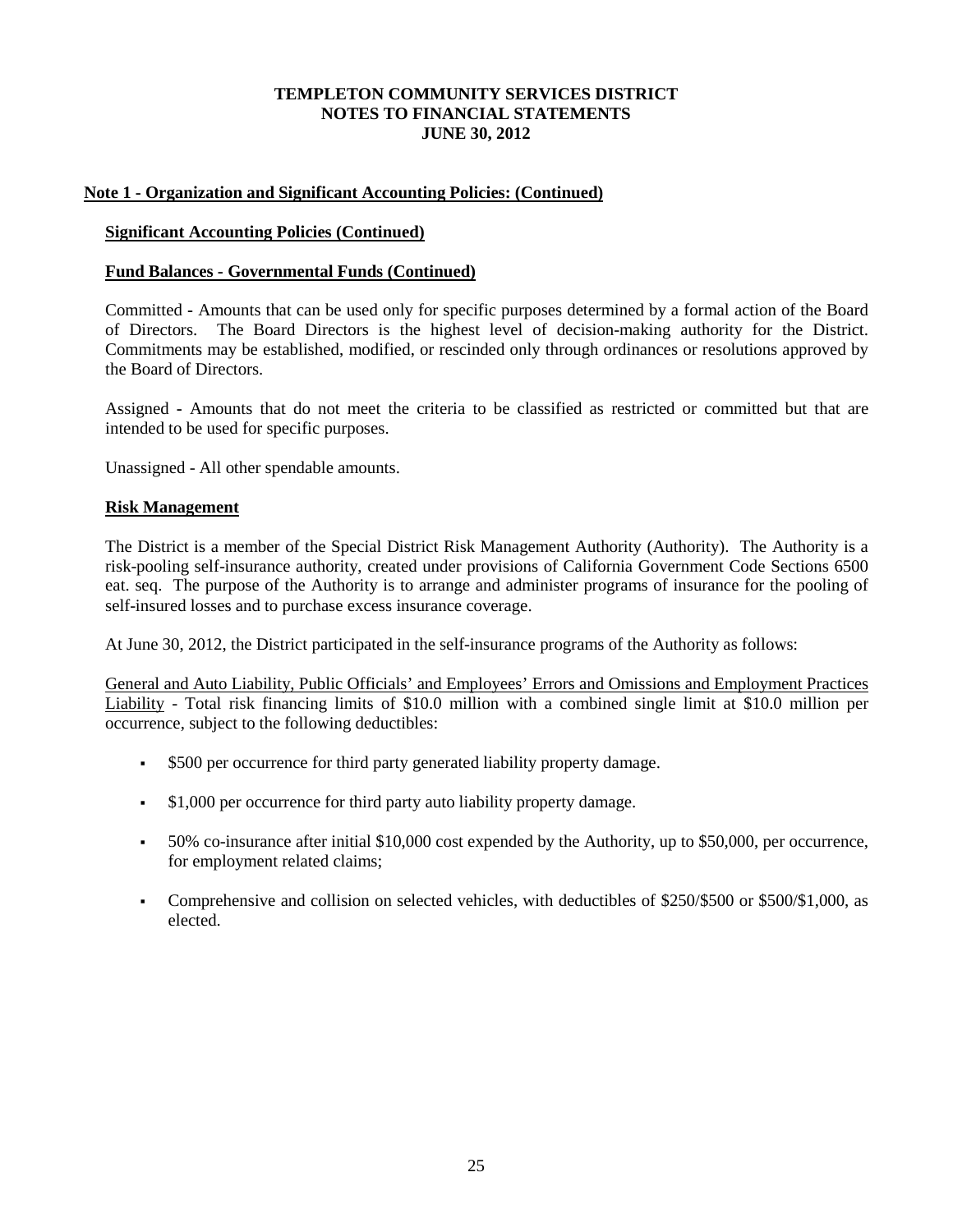## **Note 1 - Organization and Significant Accounting Policies: (Continued)**

## **Significant Accounting Policies (Continued)**

## **Fund Balances - Governmental Funds (Continued)**

Committed **-** Amounts that can be used only for specific purposes determined by a formal action of the Board of Directors. The Board Directors is the highest level of decision-making authority for the District. Commitments may be established, modified, or rescinded only through ordinances or resolutions approved by the Board of Directors.

Assigned **-** Amounts that do not meet the criteria to be classified as restricted or committed but that are intended to be used for specific purposes.

Unassigned - All other spendable amounts.

## **Risk Management**

The District is a member of the Special District Risk Management Authority (Authority). The Authority is a risk-pooling self-insurance authority, created under provisions of California Government Code Sections 6500 eat. seq. The purpose of the Authority is to arrange and administer programs of insurance for the pooling of self-insured losses and to purchase excess insurance coverage.

At June 30, 2012, the District participated in the self-insurance programs of the Authority as follows:

General and Auto Liability, Public Officials' and Employees' Errors and Omissions and Employment Practices Liability - Total risk financing limits of \$10.0 million with a combined single limit at \$10.0 million per occurrence, subject to the following deductibles:

- \$500 per occurrence for third party generated liability property damage.
- $\bullet$  \$1,000 per occurrence for third party auto liability property damage.
- 50% co-insurance after initial \$10,000 cost expended by the Authority, up to \$50,000, per occurrence, for employment related claims;
- Comprehensive and collision on selected vehicles, with deductibles of \$250/\$500 or \$500/\$1,000, as elected.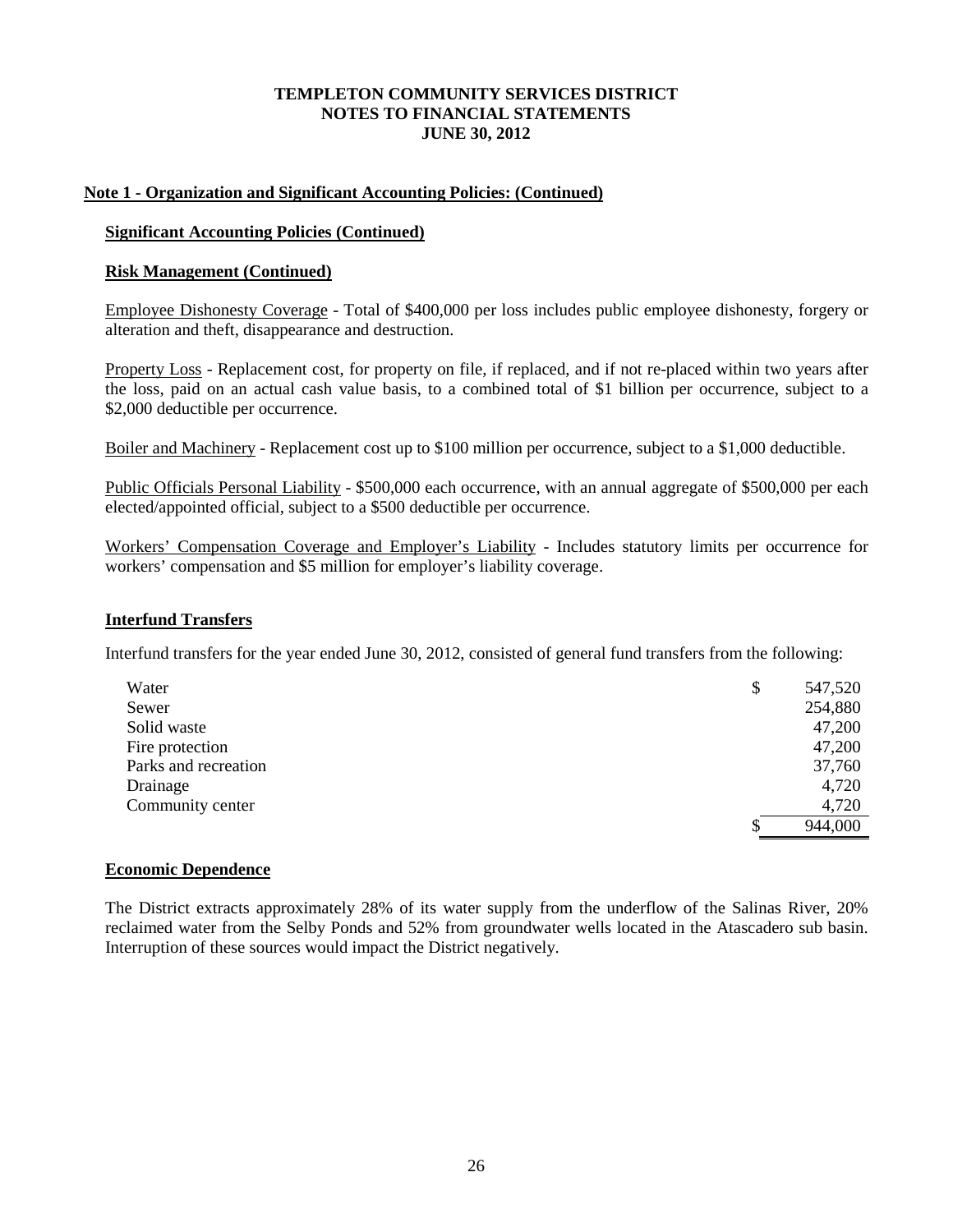## **Note 1 - Organization and Significant Accounting Policies: (Continued)**

#### **Significant Accounting Policies (Continued)**

#### **Risk Management (Continued)**

Employee Dishonesty Coverage - Total of \$400,000 per loss includes public employee dishonesty, forgery or alteration and theft, disappearance and destruction.

Property Loss - Replacement cost, for property on file, if replaced, and if not re-placed within two years after the loss, paid on an actual cash value basis, to a combined total of \$1 billion per occurrence, subject to a \$2,000 deductible per occurrence.

Boiler and Machinery - Replacement cost up to \$100 million per occurrence, subject to a \$1,000 deductible.

Public Officials Personal Liability - \$500,000 each occurrence, with an annual aggregate of \$500,000 per each elected/appointed official, subject to a \$500 deductible per occurrence.

Workers' Compensation Coverage and Employer's Liability - Includes statutory limits per occurrence for workers' compensation and \$5 million for employer's liability coverage.

## **Interfund Transfers**

Interfund transfers for the year ended June 30, 2012, consisted of general fund transfers from the following:

| Water                | \$ | 547,520 |
|----------------------|----|---------|
| Sewer                |    | 254,880 |
| Solid waste          |    | 47,200  |
| Fire protection      |    | 47,200  |
| Parks and recreation |    | 37,760  |
| Drainage             |    | 4,720   |
| Community center     |    | 4,720   |
|                      | S  | 944,000 |

## **Economic Dependence**

The District extracts approximately 28% of its water supply from the underflow of the Salinas River, 20% reclaimed water from the Selby Ponds and 52% from groundwater wells located in the Atascadero sub basin. Interruption of these sources would impact the District negatively.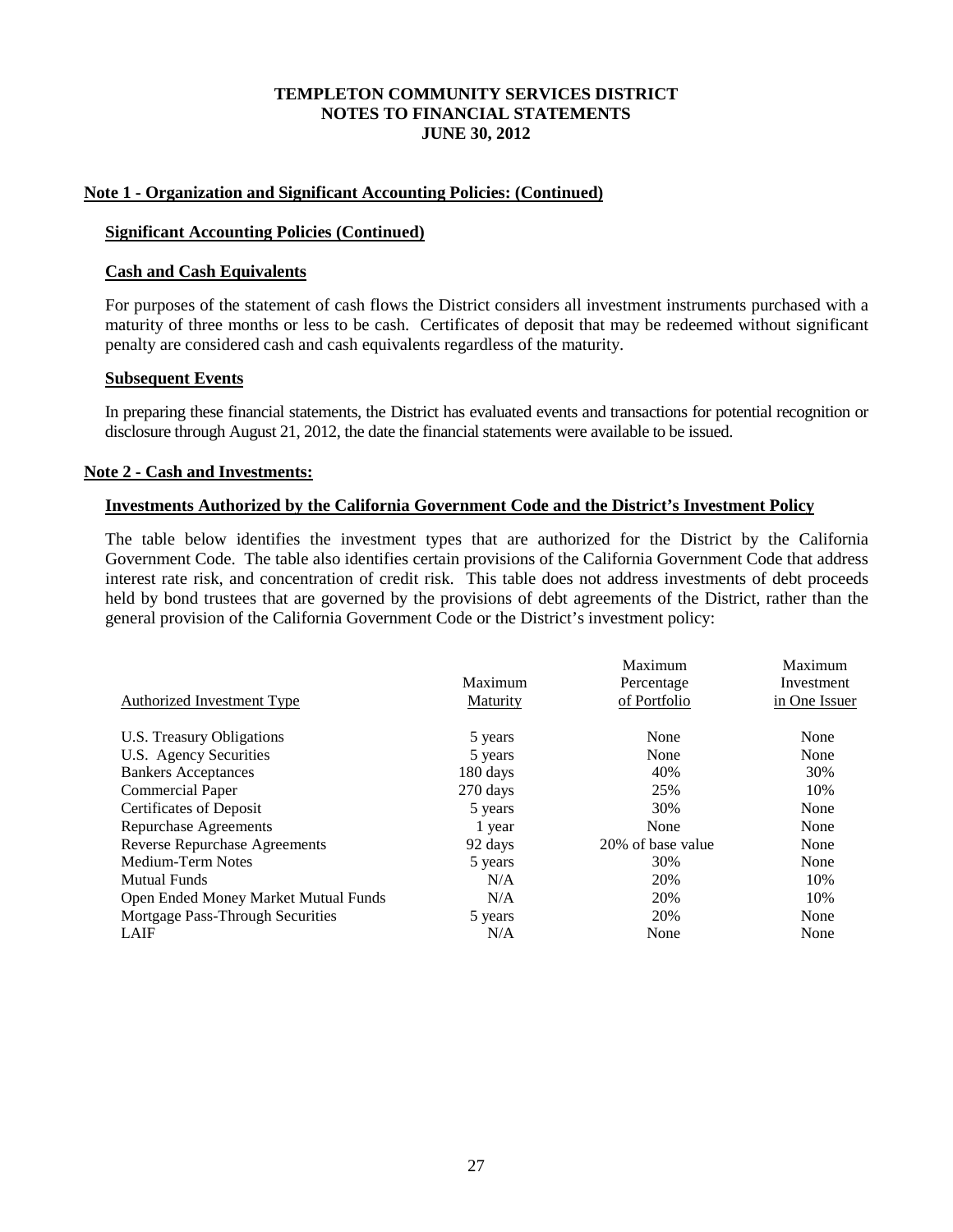#### **Note 1 - Organization and Significant Accounting Policies: (Continued)**

#### **Significant Accounting Policies (Continued)**

#### **Cash and Cash Equivalents**

For purposes of the statement of cash flows the District considers all investment instruments purchased with a maturity of three months or less to be cash. Certificates of deposit that may be redeemed without significant penalty are considered cash and cash equivalents regardless of the maturity.

#### **Subsequent Events**

In preparing these financial statements, the District has evaluated events and transactions for potential recognition or disclosure through August 21, 2012, the date the financial statements were available to be issued.

#### **Note 2 - Cash and Investments:**

#### **Investments Authorized by the California Government Code and the District's Investment Policy**

The table below identifies the investment types that are authorized for the District by the California Government Code. The table also identifies certain provisions of the California Government Code that address interest rate risk, and concentration of credit risk. This table does not address investments of debt proceeds held by bond trustees that are governed by the provisions of debt agreements of the District, rather than the general provision of the California Government Code or the District's investment policy:

|                                      |                 | Maximum           | Maximum       |
|--------------------------------------|-----------------|-------------------|---------------|
|                                      | Maximum         | Percentage        | Investment    |
| <b>Authorized Investment Type</b>    | <b>Maturity</b> | of Portfolio      | in One Issuer |
| U.S. Treasury Obligations            | 5 years         | None              | None          |
| U.S. Agency Securities               | 5 years         | None              | None          |
| <b>Bankers Acceptances</b>           | 180 days        | 40%               | 30%           |
| Commercial Paper                     | 270 days        | 25%               | 10%           |
| Certificates of Deposit              | 5 years         | 30%               | None          |
| Repurchase Agreements                | 1 year          | None              | None          |
| <b>Reverse Repurchase Agreements</b> | 92 days         | 20% of base value | None          |
| Medium-Term Notes                    | 5 years         | 30%               | None          |
| <b>Mutual Funds</b>                  | N/A             | 20%               | 10%           |
| Open Ended Money Market Mutual Funds | N/A             | 20%               | 10%           |
| Mortgage Pass-Through Securities     | 5 years         | 20%               | None          |
| <b>LAIF</b>                          | N/A             | None              | None          |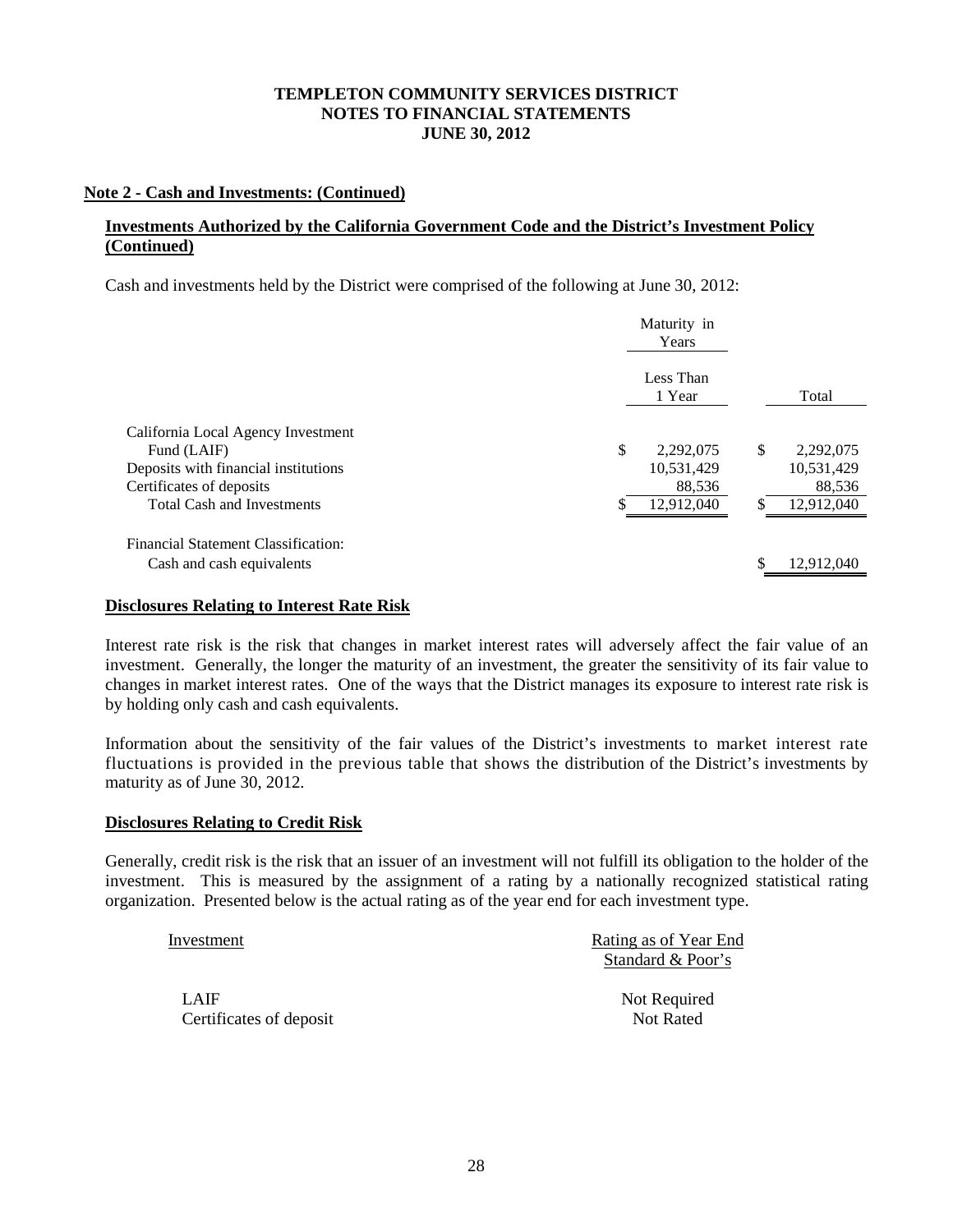## **Note 2 - Cash and Investments: (Continued)**

## **Investments Authorized by the California Government Code and the District's Investment Policy (Continued)**

Cash and investments held by the District were comprised of the following at June 30, 2012:

| Maturity in<br>Years |                     |                         |                         |
|----------------------|---------------------|-------------------------|-------------------------|
|                      | Less Than<br>1 Year |                         | Total                   |
|                      |                     |                         |                         |
|                      |                     |                         | 2,292,075<br>10,531,429 |
|                      | 88,536              |                         | 88,536                  |
|                      | 12,912,040          |                         | 12,912,040              |
|                      |                     |                         |                         |
|                      |                     | \$                      | 12,912,040              |
|                      | \$                  | 2,292,075<br>10,531,429 | \$                      |

#### **Disclosures Relating to Interest Rate Risk**

Interest rate risk is the risk that changes in market interest rates will adversely affect the fair value of an investment. Generally, the longer the maturity of an investment, the greater the sensitivity of its fair value to changes in market interest rates. One of the ways that the District manages its exposure to interest rate risk is by holding only cash and cash equivalents.

Information about the sensitivity of the fair values of the District's investments to market interest rate fluctuations is provided in the previous table that shows the distribution of the District's investments by maturity as of June 30, 2012.

#### **Disclosures Relating to Credit Risk**

Generally, credit risk is the risk that an issuer of an investment will not fulfill its obligation to the holder of the investment. This is measured by the assignment of a rating by a nationally recognized statistical rating organization. Presented below is the actual rating as of the year end for each investment type.

| Investment              | Rating as of Year End |
|-------------------------|-----------------------|
|                         | Standard & Poor's     |
| LAIF                    | Not Required          |
| Certificates of deposit | <b>Not Rated</b>      |
|                         |                       |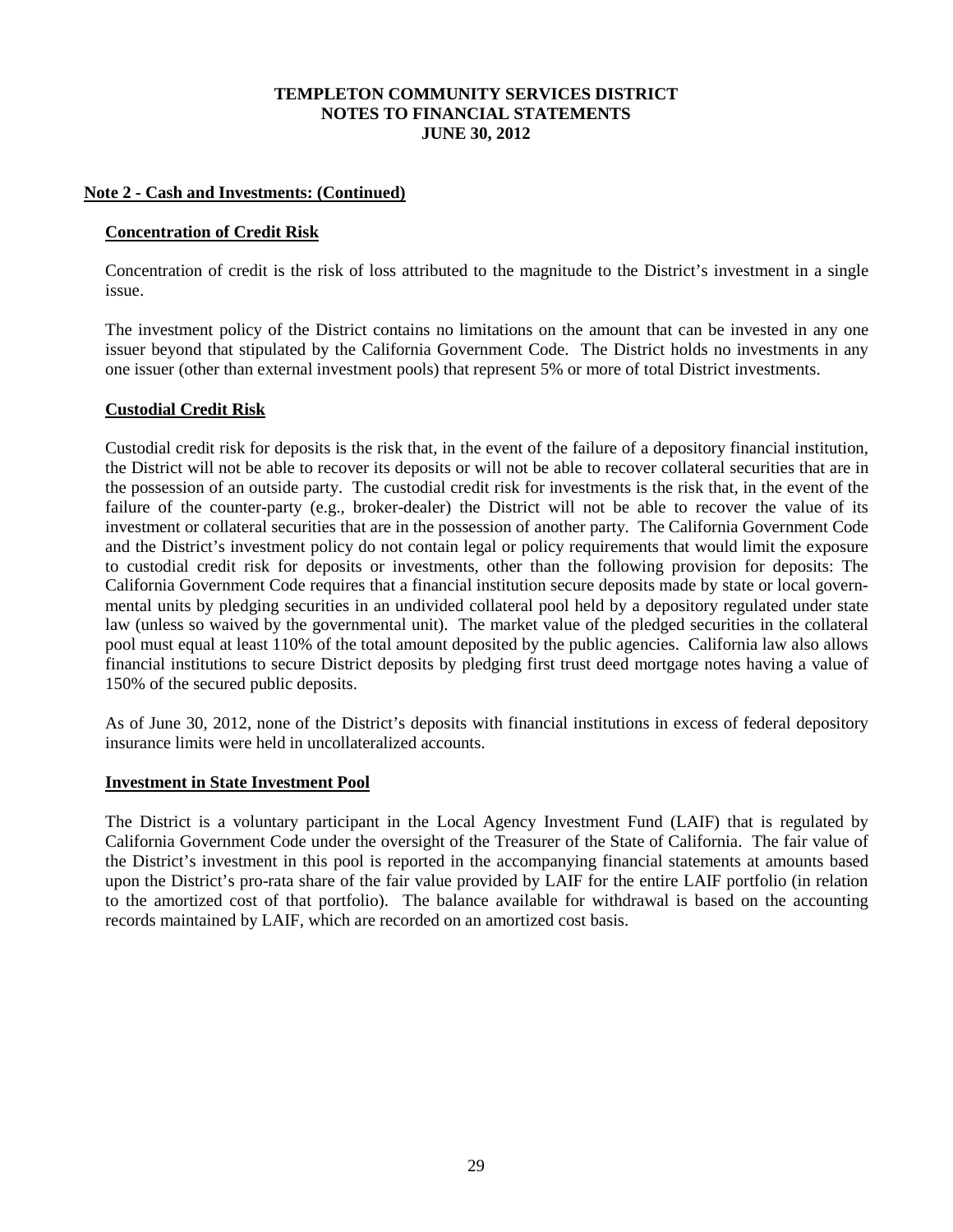## **Note 2 - Cash and Investments: (Continued)**

#### **Concentration of Credit Risk**

Concentration of credit is the risk of loss attributed to the magnitude to the District's investment in a single issue.

The investment policy of the District contains no limitations on the amount that can be invested in any one issuer beyond that stipulated by the California Government Code. The District holds no investments in any one issuer (other than external investment pools) that represent 5% or more of total District investments.

## **Custodial Credit Risk**

Custodial credit risk for deposits is the risk that, in the event of the failure of a depository financial institution, the District will not be able to recover its deposits or will not be able to recover collateral securities that are in the possession of an outside party. The custodial credit risk for investments is the risk that, in the event of the failure of the counter-party (e.g., broker-dealer) the District will not be able to recover the value of its investment or collateral securities that are in the possession of another party. The California Government Code and the District's investment policy do not contain legal or policy requirements that would limit the exposure to custodial credit risk for deposits or investments, other than the following provision for deposits: The California Government Code requires that a financial institution secure deposits made by state or local governmental units by pledging securities in an undivided collateral pool held by a depository regulated under state law (unless so waived by the governmental unit). The market value of the pledged securities in the collateral pool must equal at least 110% of the total amount deposited by the public agencies. California law also allows financial institutions to secure District deposits by pledging first trust deed mortgage notes having a value of 150% of the secured public deposits.

As of June 30, 2012, none of the District's deposits with financial institutions in excess of federal depository insurance limits were held in uncollateralized accounts.

#### **Investment in State Investment Pool**

The District is a voluntary participant in the Local Agency Investment Fund (LAIF) that is regulated by California Government Code under the oversight of the Treasurer of the State of California. The fair value of the District's investment in this pool is reported in the accompanying financial statements at amounts based upon the District's pro-rata share of the fair value provided by LAIF for the entire LAIF portfolio (in relation to the amortized cost of that portfolio). The balance available for withdrawal is based on the accounting records maintained by LAIF, which are recorded on an amortized cost basis.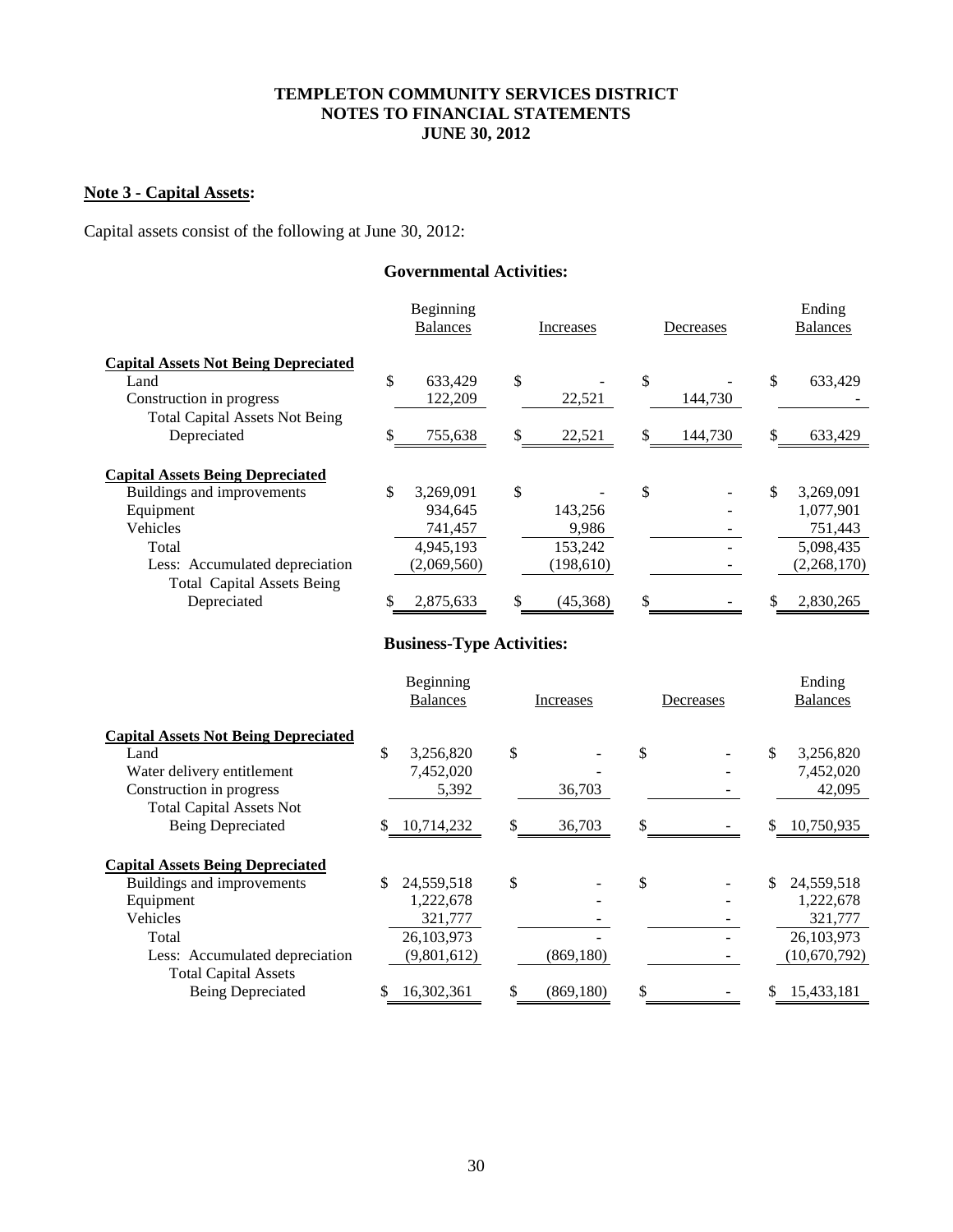# **Note 3 - Capital Assets:**

Capital assets consist of the following at June 30, 2012:

## **Governmental Activities:**

|                                                                       | Beginning<br><b>Balances</b> |    | Increases |    | Decreases | Ending<br><b>Balances</b> |  |
|-----------------------------------------------------------------------|------------------------------|----|-----------|----|-----------|---------------------------|--|
| <b>Capital Assets Not Being Depreciated</b>                           |                              |    |           |    |           |                           |  |
| Land                                                                  | \$<br>633,429                | \$ |           | \$ |           | \$<br>633,429             |  |
| Construction in progress                                              | 122,209                      |    | 22,521    |    | 144,730   |                           |  |
| <b>Total Capital Assets Not Being</b>                                 |                              |    |           |    |           |                           |  |
| Depreciated                                                           | \$<br>755,638                | \$ | 22,521    | S  | 144,730   | \$<br>633,429             |  |
| <b>Capital Assets Being Depreciated</b><br>Buildings and improvements | \$<br>3,269,091              | \$ |           | \$ |           | \$<br>3,269,091           |  |
| Equipment                                                             | 934,645                      |    | 143,256   |    |           | 1,077,901                 |  |
| Vehicles                                                              | 741,457                      |    | 9,986     |    |           | 751,443                   |  |
| Total                                                                 | 4,945,193                    |    | 153,242   |    |           | 5,098,435                 |  |
| Less: Accumulated depreciation                                        | (2,069,560)                  |    | (198,610) |    |           | (2,268,170)               |  |
| <b>Total Capital Assets Being</b>                                     |                              |    |           |    |           |                           |  |
| Depreciated                                                           | 2,875,633                    | \$ | (45,368)  | S  |           | 2,830,265                 |  |

# **Business-Type Activities:**

|                                             | Beginning<br><b>Balances</b> |             | Increases        |    | Decreases |    | Ending<br><b>Balances</b> |  |
|---------------------------------------------|------------------------------|-------------|------------------|----|-----------|----|---------------------------|--|
| <b>Capital Assets Not Being Depreciated</b> |                              |             |                  |    |           |    |                           |  |
| Land                                        | \$                           | 3,256,820   | \$               | \$ |           | \$ | 3,256,820                 |  |
| Water delivery entitlement                  |                              | 7,452,020   |                  |    |           |    | 7,452,020                 |  |
| Construction in progress                    |                              | 5,392       | 36,703           |    |           |    | 42,095                    |  |
| <b>Total Capital Assets Not</b>             |                              |             |                  |    |           |    |                           |  |
| <b>Being Depreciated</b>                    | S.                           | 10,714,232  | \$<br>36,703     | \$ |           | \$ | 10,750,935                |  |
| <b>Capital Assets Being Depreciated</b>     |                              |             |                  |    |           |    |                           |  |
| Buildings and improvements                  | \$                           | 24,559,518  | \$               | \$ |           | \$ | 24,559,518                |  |
| Equipment                                   |                              | 1,222,678   |                  |    |           |    | 1,222,678                 |  |
| Vehicles                                    |                              | 321,777     |                  |    |           |    | 321,777                   |  |
| Total                                       |                              | 26,103,973  |                  |    |           |    | 26, 103, 973              |  |
| Less: Accumulated depreciation              |                              | (9,801,612) | (869, 180)       |    |           |    | (10,670,792)              |  |
| <b>Total Capital Assets</b>                 |                              |             |                  |    |           |    |                           |  |
| <b>Being Depreciated</b>                    |                              | 16,302,361  | \$<br>(869, 180) | \$ |           | S  | 15,433,181                |  |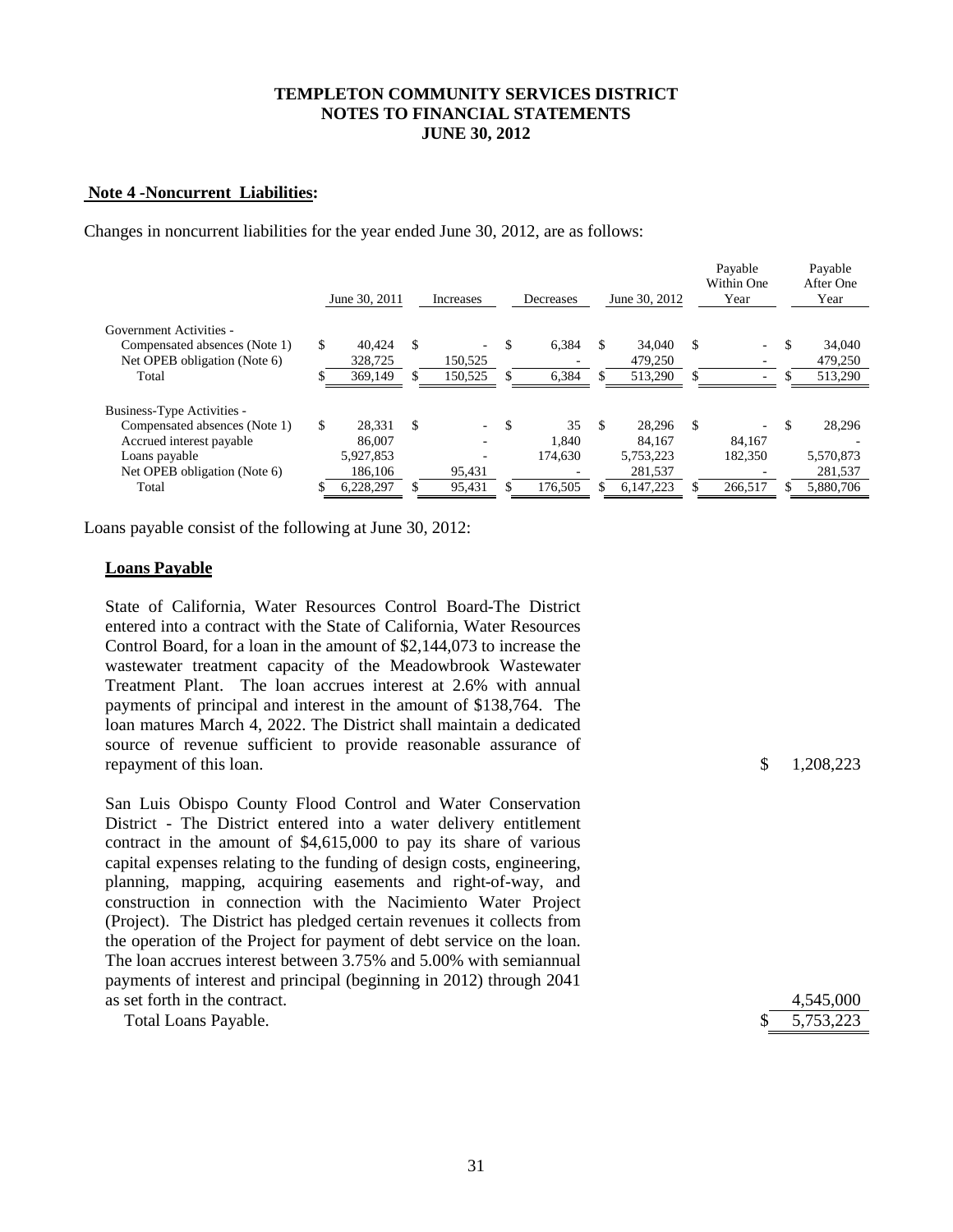#### **Note 4 -Noncurrent Liabilities:**

Changes in noncurrent liabilities for the year ended June 30, 2012, are as follows:

|                               |     | June 30, 2011 |               | Increases | Decreases |     | June 30, 2012 |     | Payable<br>Within One<br>Year |     | Payable<br>After One<br>Year |
|-------------------------------|-----|---------------|---------------|-----------|-----------|-----|---------------|-----|-------------------------------|-----|------------------------------|
| Government Activities -       |     |               |               |           |           |     |               |     |                               |     |                              |
| Compensated absences (Note 1) | \$. | 40.424        | <sup>\$</sup> | ٠         | 6.384     | \$. | 34,040        | \$. | $\sim$                        | \$. | 34,040                       |
| Net OPEB obligation (Note 6)  |     | 328,725       |               | 150,525   |           |     | 479,250       |     |                               |     | 479,250                      |
| Total                         |     | 369,149       |               | 150,525   | 6,384     |     | 513,290       |     |                               |     | 513,290                      |
|                               |     |               |               |           |           |     |               |     |                               |     |                              |
| Business-Type Activities -    |     |               |               |           |           |     |               |     |                               |     |                              |
| Compensated absences (Note 1) | \$. | 28.331        | <sup>\$</sup> | $\sim$    | 35        | \$. | 28.296        | \$. | $\sim$                        | \$. | 28,296                       |
| Accrued interest payable      |     | 86,007        |               | ٠         | 1.840     |     | 84.167        |     | 84.167                        |     |                              |
| Loans payable                 |     | 5,927,853     |               |           | 174.630   |     | 5,753,223     |     | 182,350                       |     | 5,570,873                    |
| Net OPEB obligation (Note 6)  |     | 186,106       |               | 95,431    |           |     | 281,537       |     |                               |     | 281,537                      |
| Total                         |     | 6,228,297     |               | 95,431    | 176,505   |     | 6,147,223     |     | 266,517                       |     | 5,880,706                    |

Loans payable consist of the following at June 30, 2012:

#### **Loans Payable**

State of California, Water Resources Control Board-The District entered into a contract with the State of California, Water Resources Control Board, for a loan in the amount of \$2,144,073 to increase the wastewater treatment capacity of the Meadowbrook Wastewater Treatment Plant. The loan accrues interest at 2.6% with annual payments of principal and interest in the amount of \$138,764. The loan matures March 4, 2022. The District shall maintain a dedicated source of revenue sufficient to provide reasonable assurance of repayment of this loan.  $\qquad \qquad$  1,208,223

San Luis Obispo County Flood Control and Water Conservation District - The District entered into a water delivery entitlement contract in the amount of \$4,615,000 to pay its share of various capital expenses relating to the funding of design costs, engineering, planning, mapping, acquiring easements and right-of-way, and construction in connection with the Nacimiento Water Project (Project). The District has pledged certain revenues it collects from the operation of the Project for payment of debt service on the loan. The loan accrues interest between 3.75% and 5.00% with semiannual payments of interest and principal (beginning in 2012) through 2041 as set forth in the contract.

| Total Loans Payable. |  | \$5,753,223 |
|----------------------|--|-------------|
|----------------------|--|-------------|

|   | 4,545,000 |
|---|-----------|
| Ж | 5,753,223 |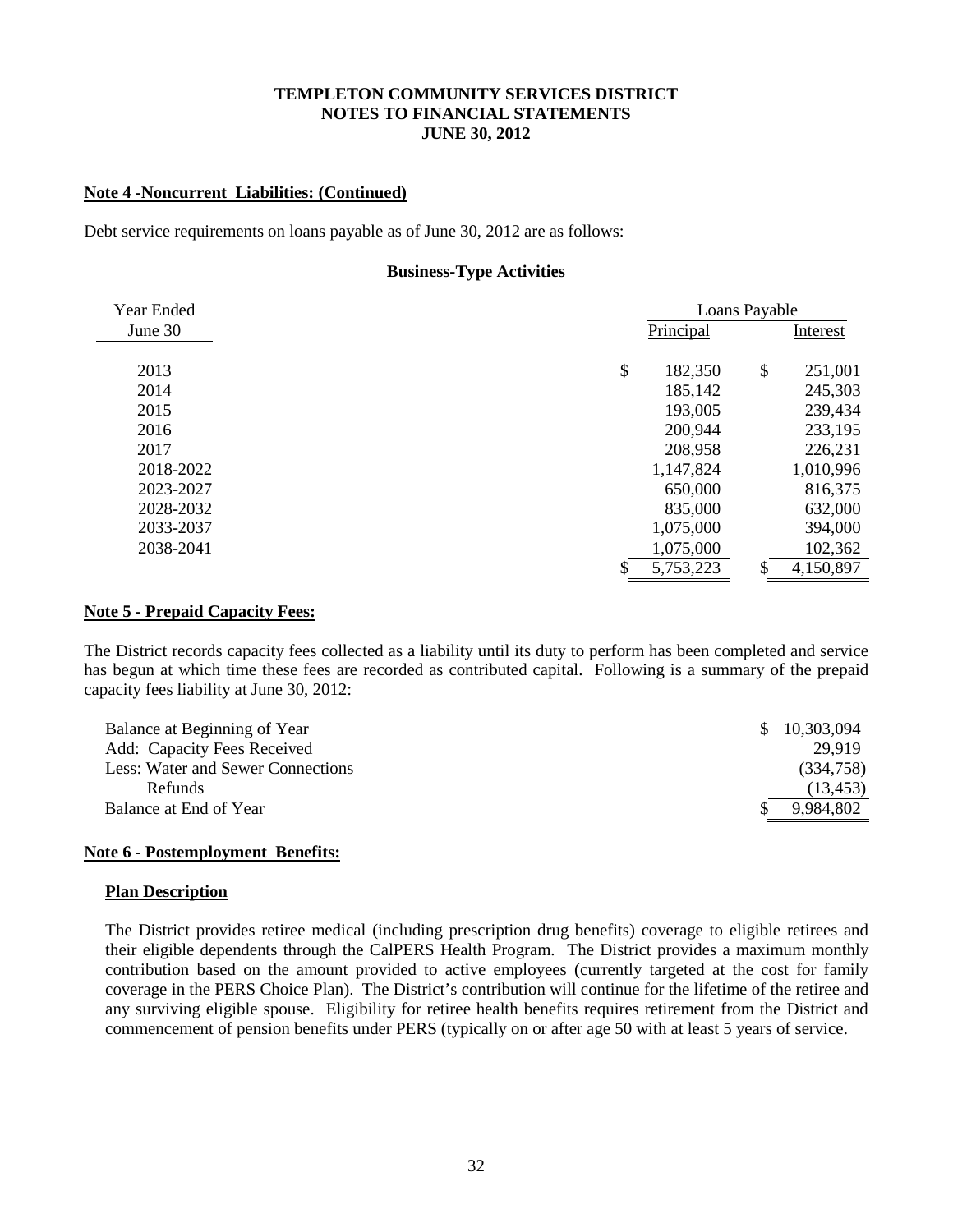#### **Note 4 -Noncurrent Liabilities: (Continued)**

Debt service requirements on loans payable as of June 30, 2012 are as follows:

#### **Business-Type Activities**

| Year Ended |                 | Loans Payable |           |  |
|------------|-----------------|---------------|-----------|--|
| June 30    | Principal       |               | Interest  |  |
|            |                 |               |           |  |
| 2013       | \$<br>182,350   | \$            | 251,001   |  |
| 2014       | 185,142         |               | 245,303   |  |
| 2015       | 193,005         |               | 239,434   |  |
| 2016       | 200,944         |               | 233,195   |  |
| 2017       | 208,958         |               | 226,231   |  |
| 2018-2022  | 1,147,824       |               | 1,010,996 |  |
| 2023-2027  | 650,000         |               | 816,375   |  |
| 2028-2032  | 835,000         |               | 632,000   |  |
| 2033-2037  | 1,075,000       |               | 394,000   |  |
| 2038-2041  | 1,075,000       |               | 102,362   |  |
|            | \$<br>5,753,223 | \$            | 4,150,897 |  |

#### **Note 5 - Prepaid Capacity Fees:**

The District records capacity fees collected as a liability until its duty to perform has been completed and service has begun at which time these fees are recorded as contributed capital. Following is a summary of the prepaid capacity fees liability at June 30, 2012:

| <sup>\$</sup> | 10,303,094 |
|---------------|------------|
|               | 29.919     |
|               | (334,758)  |
|               | (13, 453)  |
|               | 9,984,802  |
|               |            |

#### **Note 6 - Postemployment Benefits:**

#### **Plan Description**

The District provides retiree medical (including prescription drug benefits) coverage to eligible retirees and their eligible dependents through the CalPERS Health Program. The District provides a maximum monthly contribution based on the amount provided to active employees (currently targeted at the cost for family coverage in the PERS Choice Plan). The District's contribution will continue for the lifetime of the retiree and any surviving eligible spouse. Eligibility for retiree health benefits requires retirement from the District and commencement of pension benefits under PERS (typically on or after age 50 with at least 5 years of service.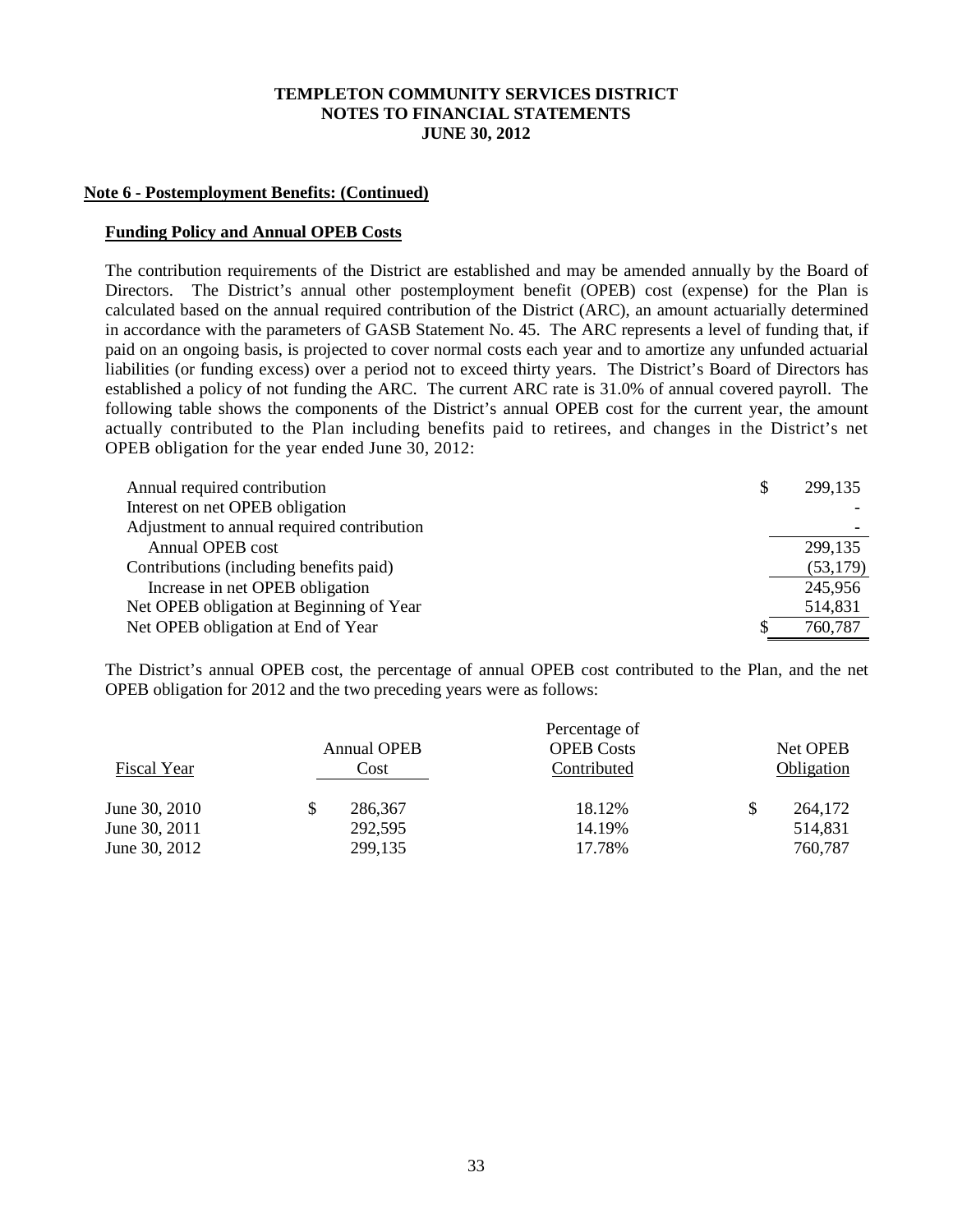#### **Note 6 - Postemployment Benefits: (Continued)**

#### **Funding Policy and Annual OPEB Costs**

The contribution requirements of the District are established and may be amended annually by the Board of Directors. The District's annual other postemployment benefit (OPEB) cost (expense) for the Plan is calculated based on the annual required contribution of the District (ARC), an amount actuarially determined in accordance with the parameters of GASB Statement No. 45. The ARC represents a level of funding that, if paid on an ongoing basis, is projected to cover normal costs each year and to amortize any unfunded actuarial liabilities (or funding excess) over a period not to exceed thirty years. The District's Board of Directors has established a policy of not funding the ARC. The current ARC rate is 31.0% of annual covered payroll. The following table shows the components of the District's annual OPEB cost for the current year, the amount actually contributed to the Plan including benefits paid to retirees, and changes in the District's net OPEB obligation for the year ended June 30, 2012:

| Annual required contribution               | S | 299,135   |
|--------------------------------------------|---|-----------|
| Interest on net OPEB obligation            |   |           |
| Adjustment to annual required contribution |   |           |
| Annual OPEB cost                           |   | 299,135   |
| Contributions (including benefits paid)    |   | (53, 179) |
| Increase in net OPEB obligation            |   | 245,956   |
| Net OPEB obligation at Beginning of Year   |   | 514,831   |
| Net OPEB obligation at End of Year         | S | 760,787   |

The District's annual OPEB cost, the percentage of annual OPEB cost contributed to the Plan, and the net OPEB obligation for 2012 and the two preceding years were as follows:

|               |                    | Percentage of     |            |
|---------------|--------------------|-------------------|------------|
|               | <b>Annual OPEB</b> | <b>OPEB</b> Costs | Net OPEB   |
| Fiscal Year   | Cost               | Contributed       | Obligation |
| June 30, 2010 | 286,367            | 18.12%            | 264,172    |
| June 30, 2011 | 292,595            | 14.19%            | 514,831    |
| June 30, 2012 | 299,135            | 17.78%            | 760,787    |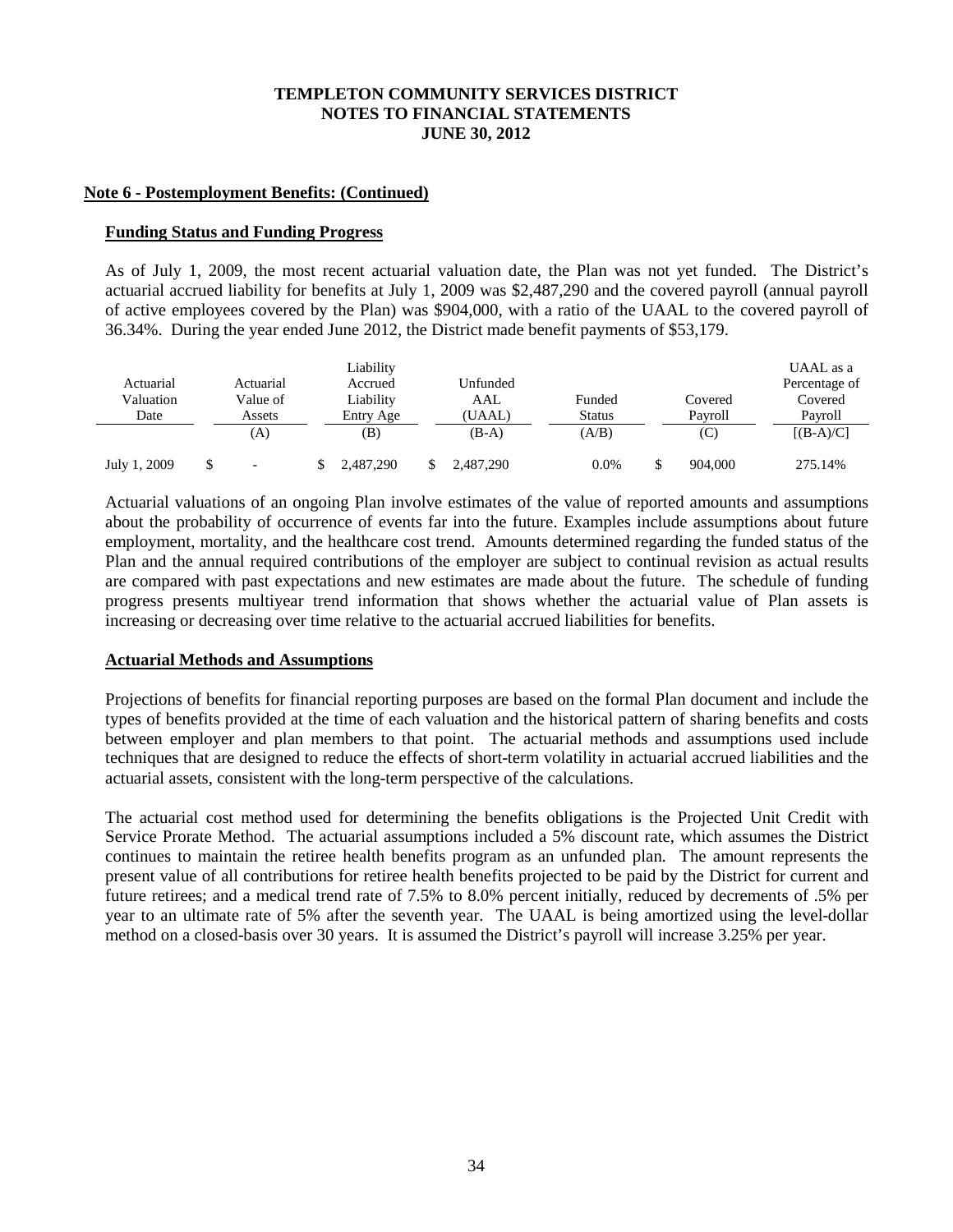#### **Note 6 - Postemployment Benefits: (Continued)**

#### **Funding Status and Funding Progress**

As of July 1, 2009, the most recent actuarial valuation date, the Plan was not yet funded. The District's actuarial accrued liability for benefits at July 1, 2009 was \$2,487,290 and the covered payroll (annual payroll of active employees covered by the Plan) was \$904,000, with a ratio of the UAAL to the covered payroll of 36.34%. During the year ended June 2012, the District made benefit payments of \$53,179.

| Actuarial<br>Valuation<br>Date | Actuarial<br>Value of<br>Assets | Liability<br>Accrued<br>Liability<br>Entry Age | Unfunded<br>AAL<br>(UAAL) | Funded<br>Status |    | Covered<br>Pavroll | UAAL as a<br>Percentage of<br>Covered<br>Payroll |
|--------------------------------|---------------------------------|------------------------------------------------|---------------------------|------------------|----|--------------------|--------------------------------------------------|
|                                | (A)                             | (B)                                            | $(B-A)$                   | (A/B)            |    | (C)                | $[(B-A)/C]$                                      |
| July 1, 2009                   | $\overline{\phantom{0}}$        | 2,487,290                                      | \$<br>2,487,290           | $0.0\%$          | \$ | 904,000            | 275.14%                                          |

Actuarial valuations of an ongoing Plan involve estimates of the value of reported amounts and assumptions about the probability of occurrence of events far into the future. Examples include assumptions about future employment, mortality, and the healthcare cost trend. Amounts determined regarding the funded status of the Plan and the annual required contributions of the employer are subject to continual revision as actual results are compared with past expectations and new estimates are made about the future. The schedule of funding progress presents multiyear trend information that shows whether the actuarial value of Plan assets is increasing or decreasing over time relative to the actuarial accrued liabilities for benefits.

## **Actuarial Methods and Assumptions**

Projections of benefits for financial reporting purposes are based on the formal Plan document and include the types of benefits provided at the time of each valuation and the historical pattern of sharing benefits and costs between employer and plan members to that point. The actuarial methods and assumptions used include techniques that are designed to reduce the effects of short-term volatility in actuarial accrued liabilities and the actuarial assets, consistent with the long-term perspective of the calculations.

The actuarial cost method used for determining the benefits obligations is the Projected Unit Credit with Service Prorate Method. The actuarial assumptions included a 5% discount rate, which assumes the District continues to maintain the retiree health benefits program as an unfunded plan. The amount represents the present value of all contributions for retiree health benefits projected to be paid by the District for current and future retirees; and a medical trend rate of 7.5% to 8.0% percent initially, reduced by decrements of .5% per year to an ultimate rate of 5% after the seventh year. The UAAL is being amortized using the level-dollar method on a closed-basis over 30 years. It is assumed the District's payroll will increase 3.25% per year.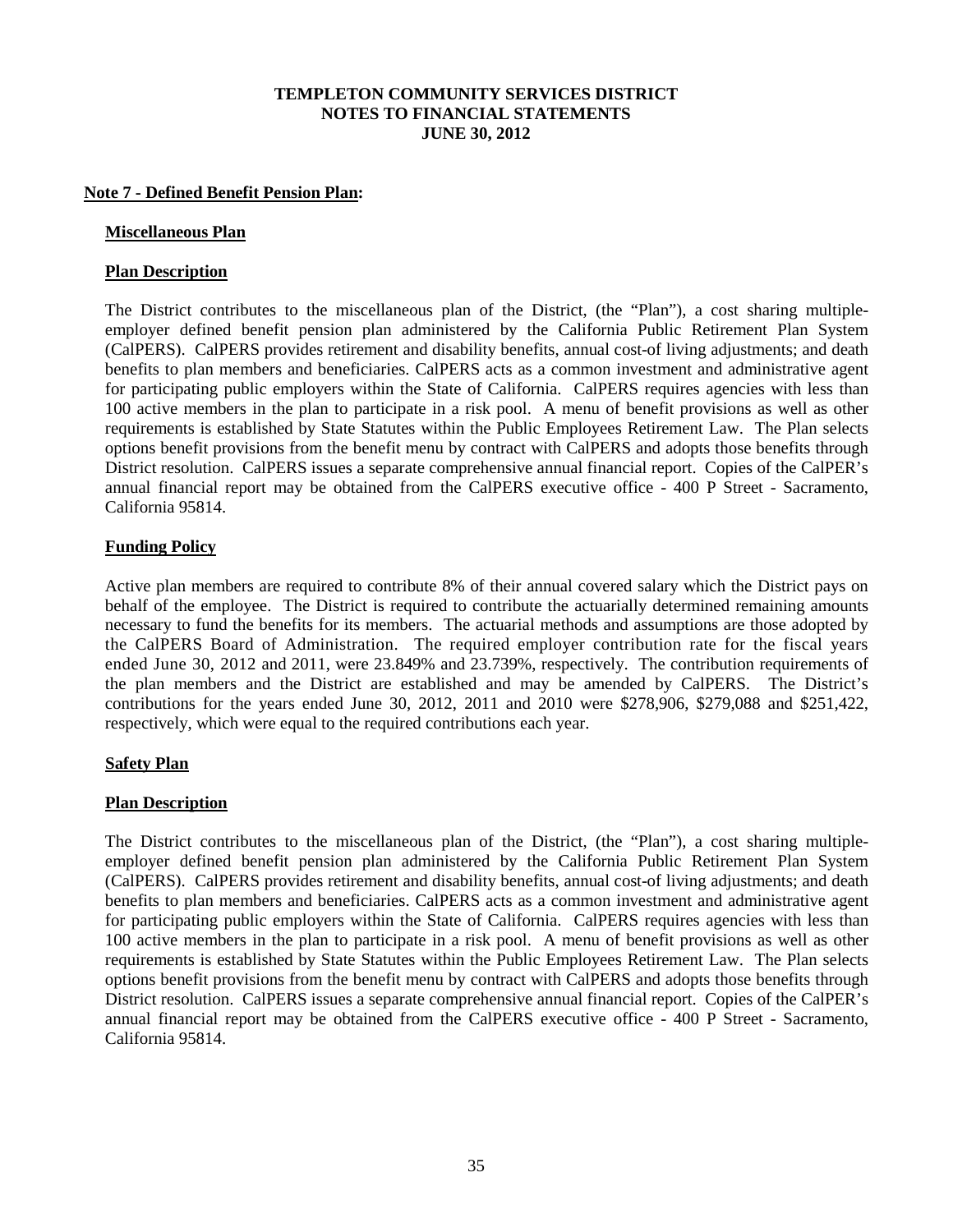#### **Note 7 - Defined Benefit Pension Plan:**

#### **Miscellaneous Plan**

## **Plan Description**

The District contributes to the miscellaneous plan of the District, (the "Plan"), a cost sharing multipleemployer defined benefit pension plan administered by the California Public Retirement Plan System (CalPERS). CalPERS provides retirement and disability benefits, annual cost-of living adjustments; and death benefits to plan members and beneficiaries. CalPERS acts as a common investment and administrative agent for participating public employers within the State of California. CalPERS requires agencies with less than 100 active members in the plan to participate in a risk pool. A menu of benefit provisions as well as other requirements is established by State Statutes within the Public Employees Retirement Law. The Plan selects options benefit provisions from the benefit menu by contract with CalPERS and adopts those benefits through District resolution. CalPERS issues a separate comprehensive annual financial report. Copies of the CalPER's annual financial report may be obtained from the CalPERS executive office - 400 P Street - Sacramento, California 95814.

#### **Funding Policy**

Active plan members are required to contribute 8% of their annual covered salary which the District pays on behalf of the employee. The District is required to contribute the actuarially determined remaining amounts necessary to fund the benefits for its members. The actuarial methods and assumptions are those adopted by the CalPERS Board of Administration. The required employer contribution rate for the fiscal years ended June 30, 2012 and 2011, were 23.849% and 23.739%, respectively. The contribution requirements of the plan members and the District are established and may be amended by CalPERS. The District's contributions for the years ended June 30, 2012, 2011 and 2010 were \$278,906, \$279,088 and \$251,422, respectively, which were equal to the required contributions each year.

## **Safety Plan**

## **Plan Description**

The District contributes to the miscellaneous plan of the District, (the "Plan"), a cost sharing multipleemployer defined benefit pension plan administered by the California Public Retirement Plan System (CalPERS). CalPERS provides retirement and disability benefits, annual cost-of living adjustments; and death benefits to plan members and beneficiaries. CalPERS acts as a common investment and administrative agent for participating public employers within the State of California. CalPERS requires agencies with less than 100 active members in the plan to participate in a risk pool. A menu of benefit provisions as well as other requirements is established by State Statutes within the Public Employees Retirement Law. The Plan selects options benefit provisions from the benefit menu by contract with CalPERS and adopts those benefits through District resolution. CalPERS issues a separate comprehensive annual financial report. Copies of the CalPER's annual financial report may be obtained from the CalPERS executive office - 400 P Street - Sacramento, California 95814.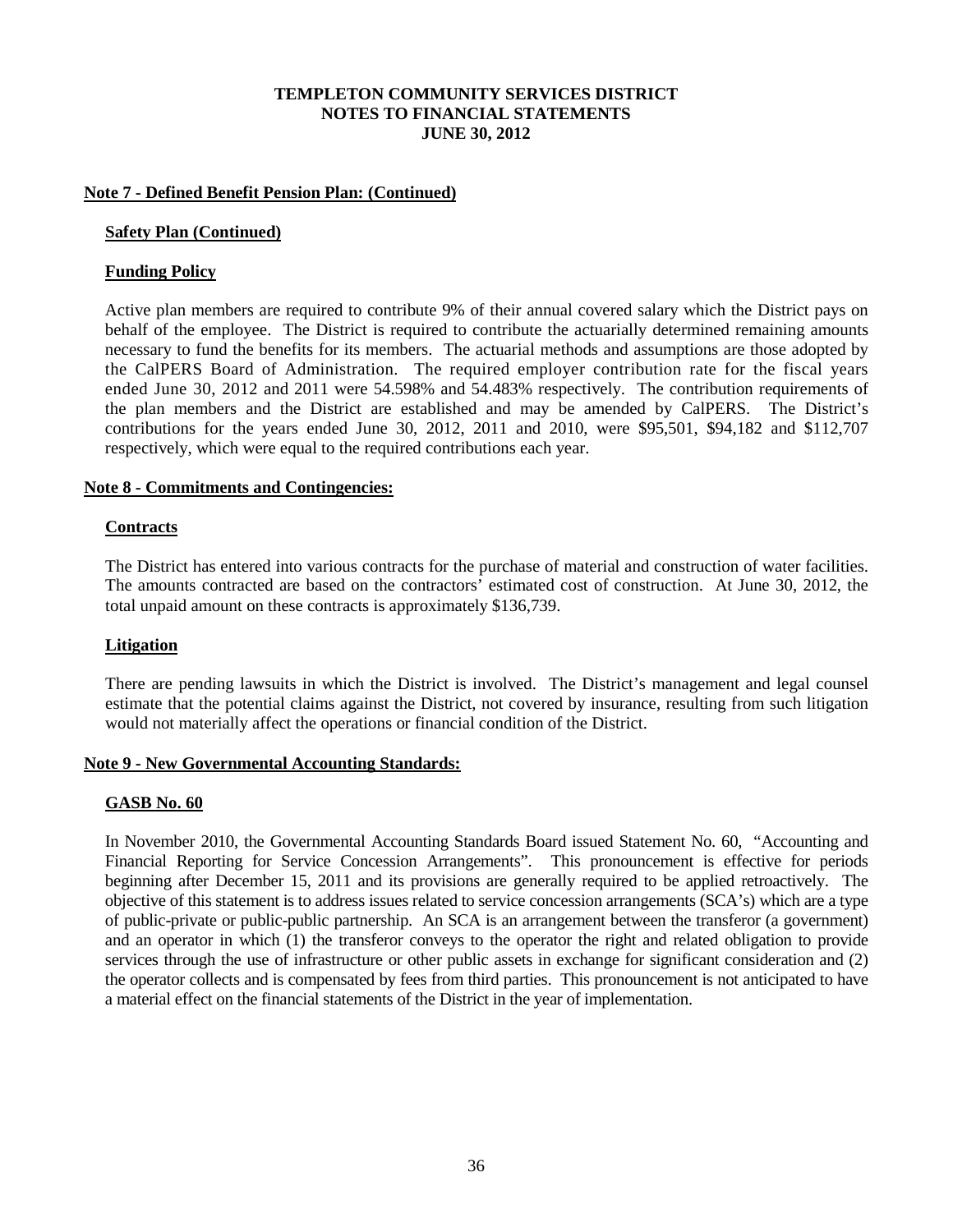#### **Note 7 - Defined Benefit Pension Plan: (Continued)**

#### **Safety Plan (Continued)**

#### **Funding Policy**

Active plan members are required to contribute 9% of their annual covered salary which the District pays on behalf of the employee. The District is required to contribute the actuarially determined remaining amounts necessary to fund the benefits for its members. The actuarial methods and assumptions are those adopted by the CalPERS Board of Administration. The required employer contribution rate for the fiscal years ended June 30, 2012 and 2011 were 54.598% and 54.483% respectively. The contribution requirements of the plan members and the District are established and may be amended by CalPERS. The District's contributions for the years ended June 30, 2012, 2011 and 2010, were \$95,501, \$94,182 and \$112,707 respectively, which were equal to the required contributions each year.

#### **Note 8 - Commitments and Contingencies:**

#### **Contracts**

The District has entered into various contracts for the purchase of material and construction of water facilities. The amounts contracted are based on the contractors' estimated cost of construction. At June 30, 2012, the total unpaid amount on these contracts is approximately \$136,739.

## **Litigation**

There are pending lawsuits in which the District is involved. The District's management and legal counsel estimate that the potential claims against the District, not covered by insurance, resulting from such litigation would not materially affect the operations or financial condition of the District.

#### **Note 9 - New Governmental Accounting Standards:**

#### **GASB No. 60**

In November 2010, the Governmental Accounting Standards Board issued Statement No. 60, "Accounting and Financial Reporting for Service Concession Arrangements". This pronouncement is effective for periods beginning after December 15, 2011 and its provisions are generally required to be applied retroactively. The objective of this statement is to address issues related to service concession arrangements (SCA's) which are a type of public-private or public-public partnership. An SCA is an arrangement between the transferor (a government) and an operator in which (1) the transferor conveys to the operator the right and related obligation to provide services through the use of infrastructure or other public assets in exchange for significant consideration and (2) the operator collects and is compensated by fees from third parties. This pronouncement is not anticipated to have a material effect on the financial statements of the District in the year of implementation.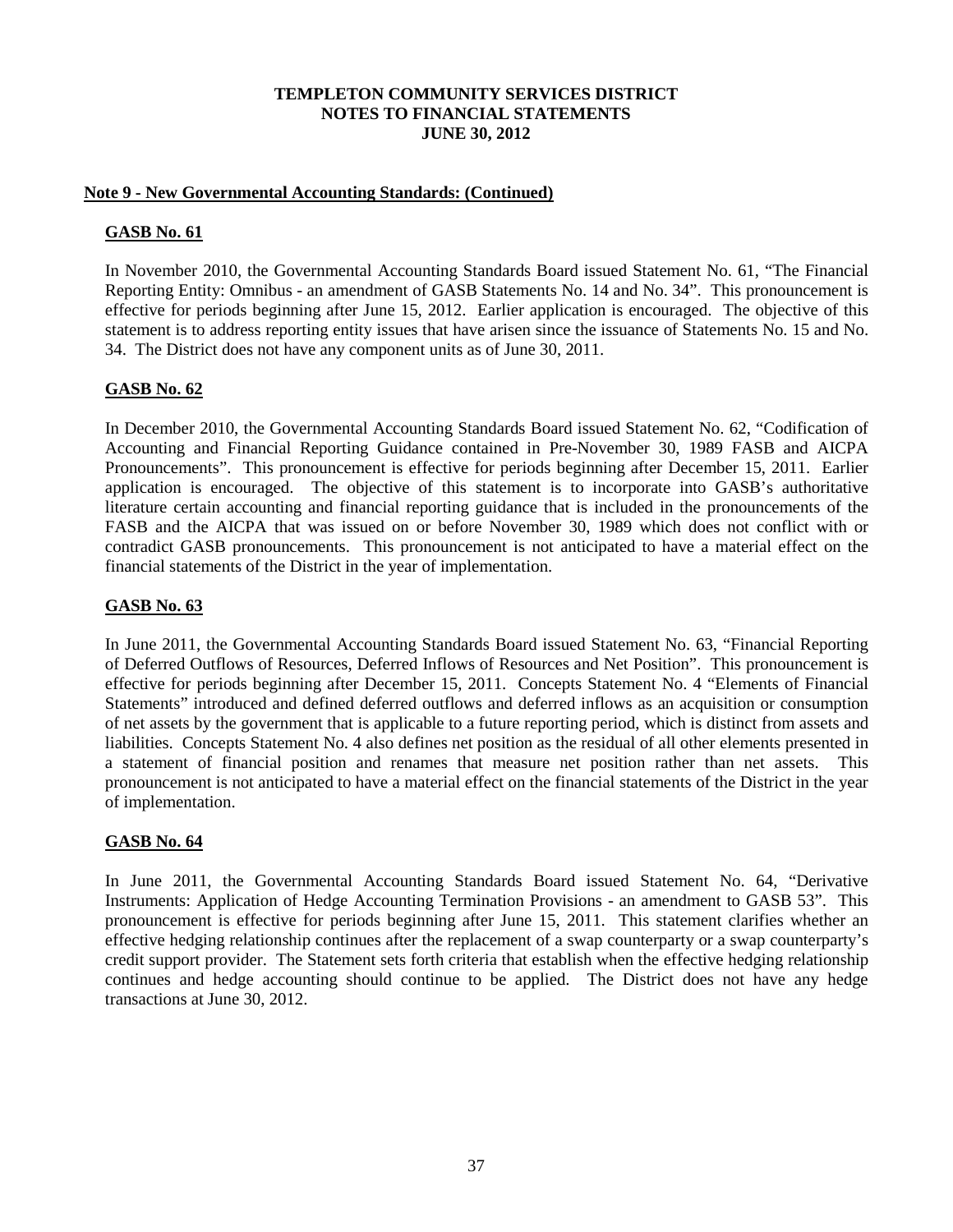## **Note 9 - New Governmental Accounting Standards: (Continued)**

## **GASB No. 61**

In November 2010, the Governmental Accounting Standards Board issued Statement No. 61, "The Financial Reporting Entity: Omnibus - an amendment of GASB Statements No. 14 and No. 34". This pronouncement is effective for periods beginning after June 15, 2012. Earlier application is encouraged. The objective of this statement is to address reporting entity issues that have arisen since the issuance of Statements No. 15 and No. 34. The District does not have any component units as of June 30, 2011.

## **GASB No. 62**

In December 2010, the Governmental Accounting Standards Board issued Statement No. 62, "Codification of Accounting and Financial Reporting Guidance contained in Pre-November 30, 1989 FASB and AICPA Pronouncements". This pronouncement is effective for periods beginning after December 15, 2011. Earlier application is encouraged. The objective of this statement is to incorporate into GASB's authoritative literature certain accounting and financial reporting guidance that is included in the pronouncements of the FASB and the AICPA that was issued on or before November 30, 1989 which does not conflict with or contradict GASB pronouncements. This pronouncement is not anticipated to have a material effect on the financial statements of the District in the year of implementation.

## **GASB No. 63**

In June 2011, the Governmental Accounting Standards Board issued Statement No. 63, "Financial Reporting of Deferred Outflows of Resources, Deferred Inflows of Resources and Net Position". This pronouncement is effective for periods beginning after December 15, 2011. Concepts Statement No. 4 "Elements of Financial Statements" introduced and defined deferred outflows and deferred inflows as an acquisition or consumption of net assets by the government that is applicable to a future reporting period, which is distinct from assets and liabilities. Concepts Statement No. 4 also defines net position as the residual of all other elements presented in a statement of financial position and renames that measure net position rather than net assets. This pronouncement is not anticipated to have a material effect on the financial statements of the District in the year of implementation.

## **GASB No. 64**

In June 2011, the Governmental Accounting Standards Board issued Statement No. 64, "Derivative Instruments: Application of Hedge Accounting Termination Provisions - an amendment to GASB 53". This pronouncement is effective for periods beginning after June 15, 2011. This statement clarifies whether an effective hedging relationship continues after the replacement of a swap counterparty or a swap counterparty's credit support provider. The Statement sets forth criteria that establish when the effective hedging relationship continues and hedge accounting should continue to be applied. The District does not have any hedge transactions at June 30, 2012.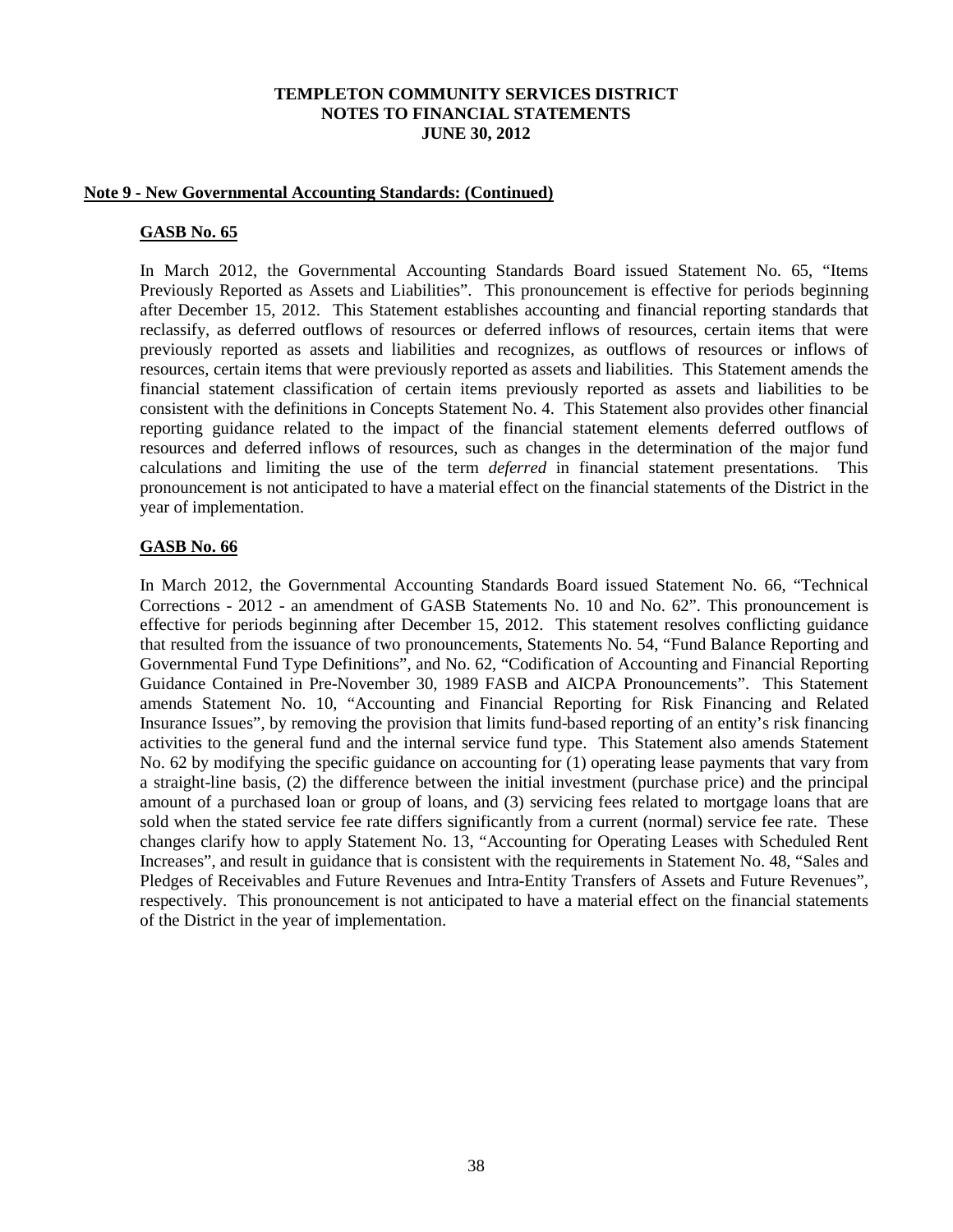#### **Note 9 - New Governmental Accounting Standards: (Continued)**

#### **GASB No. 65**

In March 2012, the Governmental Accounting Standards Board issued Statement No. 65, "Items Previously Reported as Assets and Liabilities". This pronouncement is effective for periods beginning after December 15, 2012. This Statement establishes accounting and financial reporting standards that reclassify, as deferred outflows of resources or deferred inflows of resources, certain items that were previously reported as assets and liabilities and recognizes, as outflows of resources or inflows of resources, certain items that were previously reported as assets and liabilities. This Statement amends the financial statement classification of certain items previously reported as assets and liabilities to be consistent with the definitions in Concepts Statement No. 4. This Statement also provides other financial reporting guidance related to the impact of the financial statement elements deferred outflows of resources and deferred inflows of resources, such as changes in the determination of the major fund calculations and limiting the use of the term *deferred* in financial statement presentations. This pronouncement is not anticipated to have a material effect on the financial statements of the District in the year of implementation.

#### **GASB No. 66**

In March 2012, the Governmental Accounting Standards Board issued Statement No. 66, "Technical Corrections - 2012 - an amendment of GASB Statements No. 10 and No. 62". This pronouncement is effective for periods beginning after December 15, 2012. This statement resolves conflicting guidance that resulted from the issuance of two pronouncements, Statements No. 54, "Fund Balance Reporting and Governmental Fund Type Definitions", and No. 62, "Codification of Accounting and Financial Reporting Guidance Contained in Pre-November 30, 1989 FASB and AICPA Pronouncements". This Statement amends Statement No. 10, "Accounting and Financial Reporting for Risk Financing and Related Insurance Issues", by removing the provision that limits fund-based reporting of an entity's risk financing activities to the general fund and the internal service fund type. This Statement also amends Statement No. 62 by modifying the specific guidance on accounting for (1) operating lease payments that vary from a straight-line basis, (2) the difference between the initial investment (purchase price) and the principal amount of a purchased loan or group of loans, and (3) servicing fees related to mortgage loans that are sold when the stated service fee rate differs significantly from a current (normal) service fee rate. These changes clarify how to apply Statement No. 13, "Accounting for Operating Leases with Scheduled Rent Increases", and result in guidance that is consistent with the requirements in Statement No. 48, "Sales and Pledges of Receivables and Future Revenues and Intra-Entity Transfers of Assets and Future Revenues", respectively. This pronouncement is not anticipated to have a material effect on the financial statements of the District in the year of implementation.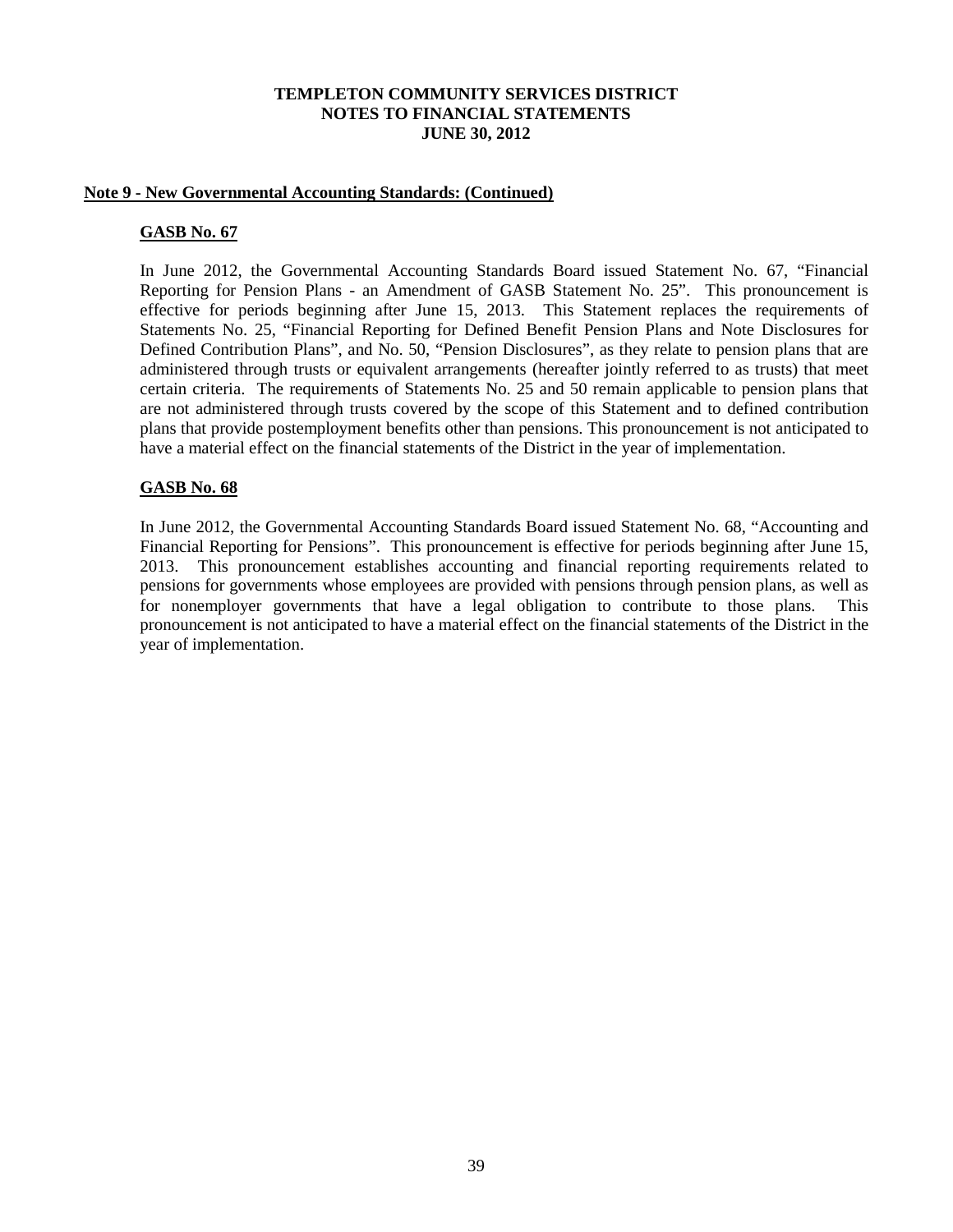#### **Note 9 - New Governmental Accounting Standards: (Continued)**

#### **GASB No. 67**

In June 2012, the Governmental Accounting Standards Board issued Statement No. 67, "Financial Reporting for Pension Plans - an Amendment of GASB Statement No. 25". This pronouncement is effective for periods beginning after June 15, 2013. This Statement replaces the requirements of Statements No. 25, "Financial Reporting for Defined Benefit Pension Plans and Note Disclosures for Defined Contribution Plans", and No. 50, "Pension Disclosures", as they relate to pension plans that are administered through trusts or equivalent arrangements (hereafter jointly referred to as trusts) that meet certain criteria. The requirements of Statements No. 25 and 50 remain applicable to pension plans that are not administered through trusts covered by the scope of this Statement and to defined contribution plans that provide postemployment benefits other than pensions. This pronouncement is not anticipated to have a material effect on the financial statements of the District in the year of implementation.

## **GASB No. 68**

In June 2012, the Governmental Accounting Standards Board issued Statement No. 68, "Accounting and Financial Reporting for Pensions". This pronouncement is effective for periods beginning after June 15, 2013. This pronouncement establishes accounting and financial reporting requirements related to pensions for governments whose employees are provided with pensions through pension plans, as well as for nonemployer governments that have a legal obligation to contribute to those plans. This pronouncement is not anticipated to have a material effect on the financial statements of the District in the year of implementation.